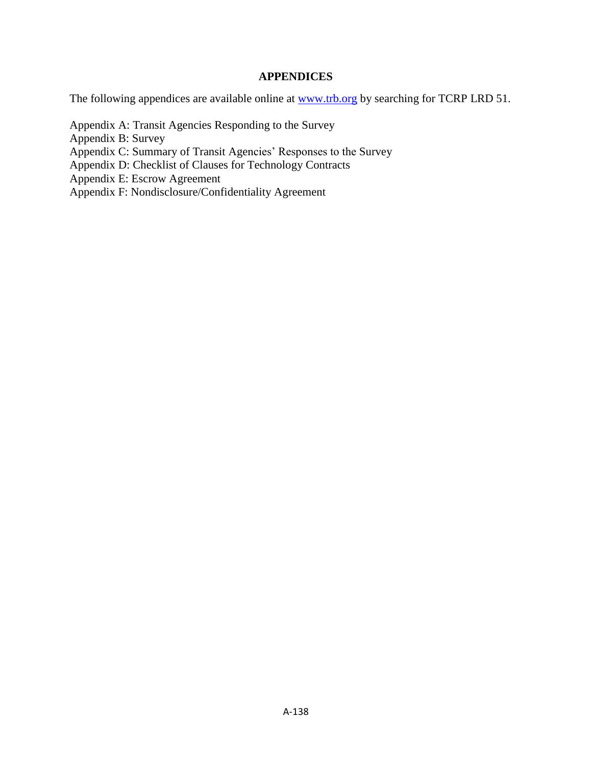### **APPENDICES**

The following appendices are available online at **www.trb.org** by searching for TCRP LRD 51.

[Appendix A: Transit Agencies Responding to the Survey](#page-1-0)

[Appendix B:](#page-3-0) Survey

- [Appendix C: Summary of Transit Agencies' Responses to the Survey](#page-9-0)
- Appendix D: [Checklist of Clauses for Technology Contracts](#page-43-0)
- [Appendix E: Escrow Agreement](#page-72-0)
- [Appendix F: Nondisclosure/Confidentiality Agreement](#page-75-0)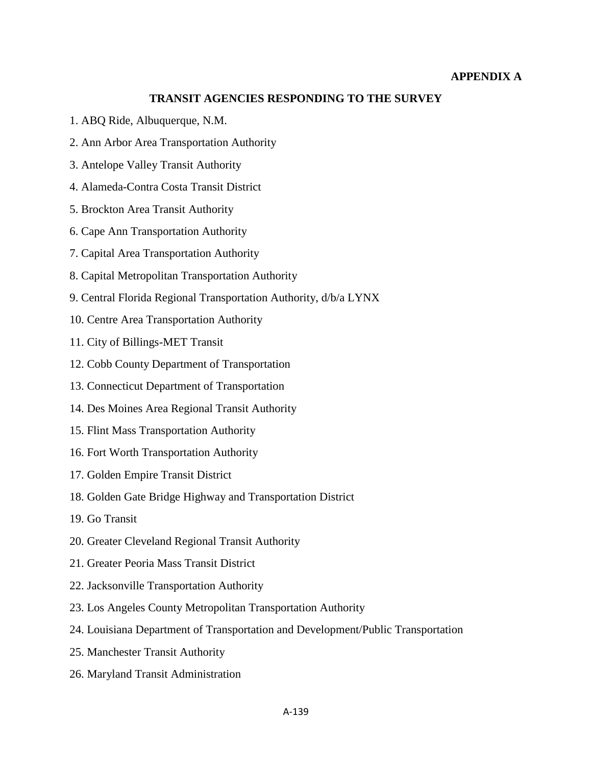#### **APPENDIX A**

#### **TRANSIT AGENCIES RESPONDING TO THE SURVEY**

- <span id="page-1-0"></span>1. ABQ Ride, Albuquerque, N.M.
- 2. Ann Arbor Area Transportation Authority
- 3. Antelope Valley Transit Authority
- 4. Alameda-Contra Costa Transit District
- 5. Brockton Area Transit Authority
- 6. Cape Ann Transportation Authority
- 7. Capital Area Transportation Authority
- 8. Capital Metropolitan Transportation Authority
- 9. Central Florida Regional Transportation Authority, d/b/a LYNX
- 10. Centre Area Transportation Authority
- 11. City of Billings-MET Transit
- 12. Cobb County Department of Transportation
- 13. Connecticut Department of Transportation
- 14. Des Moines Area Regional Transit Authority
- 15. Flint Mass Transportation Authority
- 16. Fort Worth Transportation Authority
- 17. Golden Empire Transit District
- 18. Golden Gate Bridge Highway and Transportation District
- 19. Go Transit
- 20. Greater Cleveland Regional Transit Authority
- 21. Greater Peoria Mass Transit District
- 22. Jacksonville Transportation Authority
- 23. Los Angeles County Metropolitan Transportation Authority
- 24. Louisiana Department of Transportation and Development/Public Transportation
- 25. Manchester Transit Authority
- 26. Maryland Transit Administration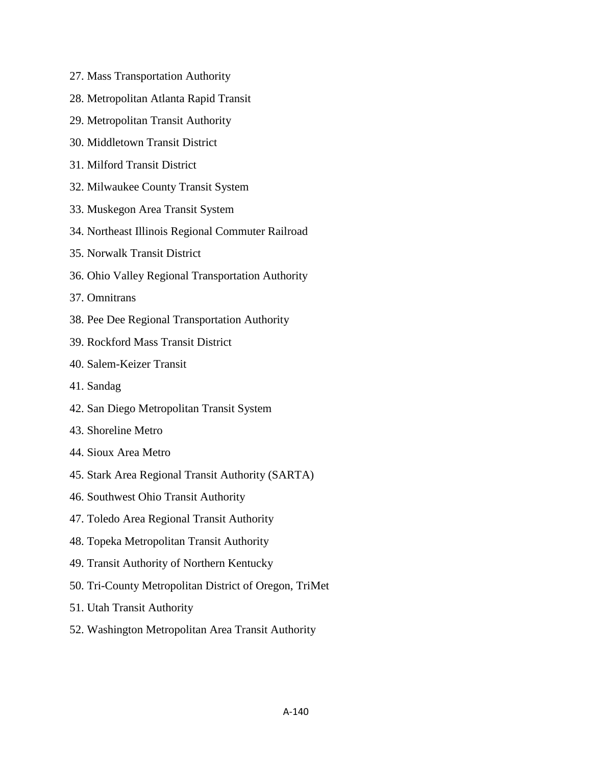- 27. Mass Transportation Authority
- 28. Metropolitan Atlanta Rapid Transit
- 29. Metropolitan Transit Authority
- 30. Middletown Transit District
- 31. Milford Transit District
- 32. Milwaukee County Transit System
- 33. Muskegon Area Transit System
- 34. Northeast Illinois Regional Commuter Railroad
- 35. Norwalk Transit District
- 36. Ohio Valley Regional Transportation Authority
- 37. Omnitrans
- 38. Pee Dee Regional Transportation Authority
- 39. Rockford Mass Transit District
- 40. Salem-Keizer Transit
- 41. Sandag
- 42. San Diego Metropolitan Transit System
- 43. Shoreline Metro
- 44. Sioux Area Metro
- 45. Stark Area Regional Transit Authority (SARTA)
- 46. Southwest Ohio Transit Authority
- 47. Toledo Area Regional Transit Authority
- 48. Topeka Metropolitan Transit Authority
- 49. Transit Authority of Northern Kentucky
- 50. Tri-County Metropolitan District of Oregon, TriMet
- 51. Utah Transit Authority
- 52. Washington Metropolitan Area Transit Authority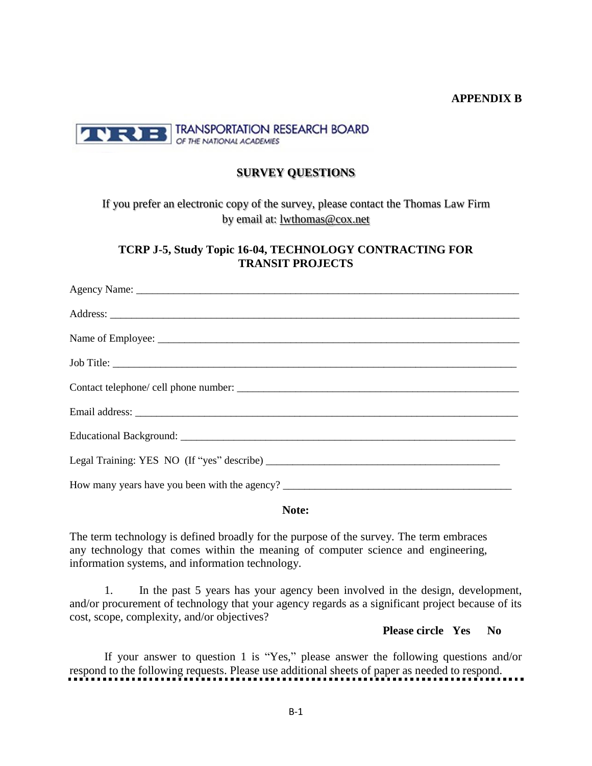#### **APPENDIX B**

<span id="page-3-0"></span>

#### **SURVEY QUESTIONS**

If you prefer an electronic copy of the survey, please contact the Thomas Law Firm by email at: [lwthomas@cox.net](mailto:lwthomas@cox.net)

**TCRP J-5, Study Topic 16-04, TECHNOLOGY CONTRACTING FOR TRANSIT PROJECTS**

**Note:**

The term technology is defined broadly for the purpose of the survey. The term embraces any technology that comes within the meaning of computer science and engineering, information systems, and information technology.

1. In the past 5 years has your agency been involved in the design, development, and/or procurement of technology that your agency regards as a significant project because of its cost, scope, complexity, and/or objectives?

**Please circle Yes No**

If your answer to question 1 is "Yes," please answer the following questions and/or respond to the following requests. Please use additional sheets of paper as needed to respond.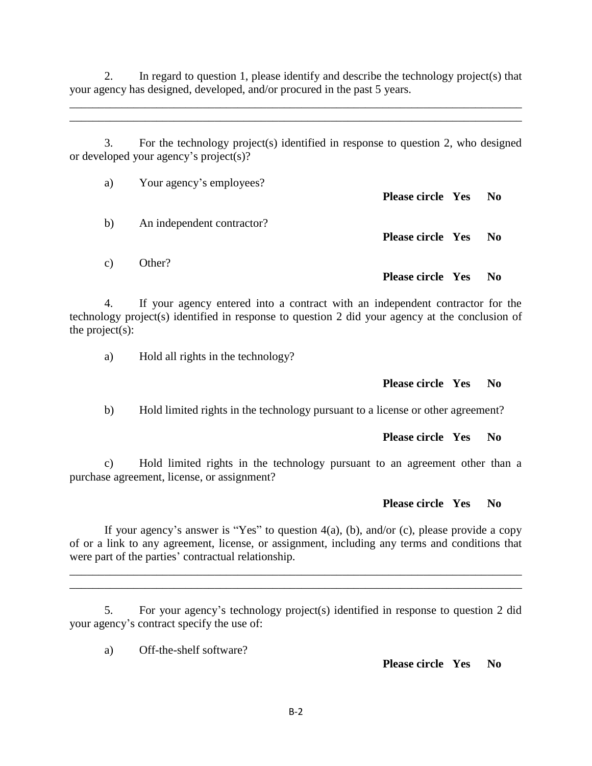2. In regard to question 1, please identify and describe the technology project(s) that your agency has designed, developed, and/or procured in the past 5 years.

\_\_\_\_\_\_\_\_\_\_\_\_\_\_\_\_\_\_\_\_\_\_\_\_\_\_\_\_\_\_\_\_\_\_\_\_\_\_\_\_\_\_\_\_\_\_\_\_\_\_\_\_\_\_\_\_\_\_\_\_\_\_\_\_\_\_\_\_\_\_\_\_\_\_\_\_\_\_ \_\_\_\_\_\_\_\_\_\_\_\_\_\_\_\_\_\_\_\_\_\_\_\_\_\_\_\_\_\_\_\_\_\_\_\_\_\_\_\_\_\_\_\_\_\_\_\_\_\_\_\_\_\_\_\_\_\_\_\_\_\_\_\_\_\_\_\_\_\_\_\_\_\_\_\_\_\_

3. For the technology project(s) identified in response to question 2, who designed or developed your agency's project(s)?

| a)             | Your agency's employees?   | Please circle Yes No     |     |
|----------------|----------------------------|--------------------------|-----|
| b)             | An independent contractor? | Please circle Yes No     |     |
| $\mathbf{c}$ ) | Other?                     | <b>Please circle Yes</b> | No. |

4. If your agency entered into a contract with an independent contractor for the technology project(s) identified in response to question 2 did your agency at the conclusion of the project(s):

a) Hold all rights in the technology?

#### **Please circle Yes No**

b) Hold limited rights in the technology pursuant to a license or other agreement?

#### **Please circle Yes No**

c) Hold limited rights in the technology pursuant to an agreement other than a purchase agreement, license, or assignment?

#### **Please circle Yes No**

If your agency's answer is "Yes" to question  $4(a)$ , (b), and/or (c), please provide a copy of or a link to any agreement, license, or assignment, including any terms and conditions that were part of the parties' contractual relationship.

\_\_\_\_\_\_\_\_\_\_\_\_\_\_\_\_\_\_\_\_\_\_\_\_\_\_\_\_\_\_\_\_\_\_\_\_\_\_\_\_\_\_\_\_\_\_\_\_\_\_\_\_\_\_\_\_\_\_\_\_\_\_\_\_\_\_\_\_\_\_\_\_\_\_\_\_\_\_ \_\_\_\_\_\_\_\_\_\_\_\_\_\_\_\_\_\_\_\_\_\_\_\_\_\_\_\_\_\_\_\_\_\_\_\_\_\_\_\_\_\_\_\_\_\_\_\_\_\_\_\_\_\_\_\_\_\_\_\_\_\_\_\_\_\_\_\_\_\_\_\_\_\_\_\_\_\_

5. For your agency's technology project(s) identified in response to question 2 did your agency's contract specify the use of:

a) Off-the-shelf software?

**Please circle Yes No**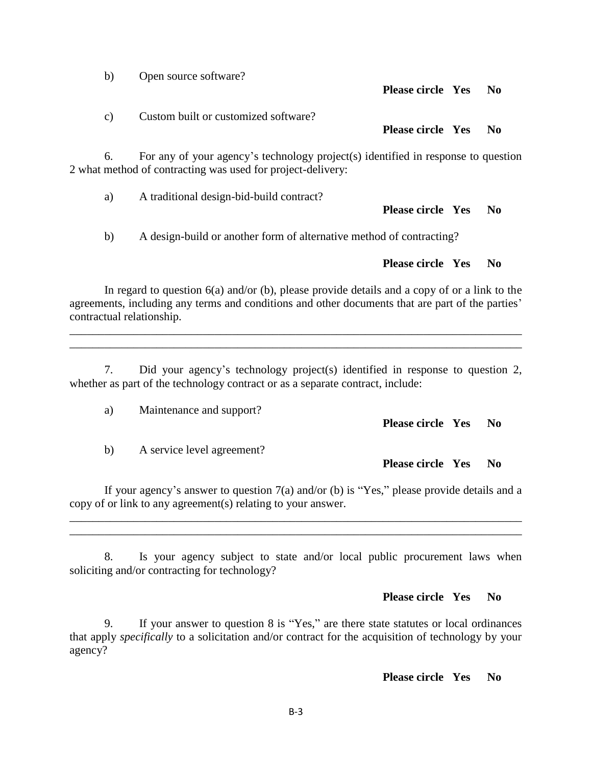**Please circle Yes No** c) Custom built or customized software? **Please circle Yes No** 6. For any of your agency's technology project(s) identified in response to question 2 what method of contracting was used for project-delivery: a) A traditional design-bid-build contract? **Please circle Yes No** b) A design-build or another form of alternative method of contracting?

In regard to question 6(a) and/or (b), please provide details and a copy of or a link to the agreements, including any terms and conditions and other documents that are part of the parties' contractual relationship.

7. Did your agency's technology project(s) identified in response to question 2, whether as part of the technology contract or as a separate contract, include:

\_\_\_\_\_\_\_\_\_\_\_\_\_\_\_\_\_\_\_\_\_\_\_\_\_\_\_\_\_\_\_\_\_\_\_\_\_\_\_\_\_\_\_\_\_\_\_\_\_\_\_\_\_\_\_\_\_\_\_\_\_\_\_\_\_\_\_\_\_\_\_\_\_\_\_\_\_\_ \_\_\_\_\_\_\_\_\_\_\_\_\_\_\_\_\_\_\_\_\_\_\_\_\_\_\_\_\_\_\_\_\_\_\_\_\_\_\_\_\_\_\_\_\_\_\_\_\_\_\_\_\_\_\_\_\_\_\_\_\_\_\_\_\_\_\_\_\_\_\_\_\_\_\_\_\_\_

**Please circle Yes No**

b) A service level agreement?

**Please circle Yes No**

If your agency's answer to question  $7(a)$  and/or (b) is "Yes," please provide details and a copy of or link to any agreement(s) relating to your answer.

\_\_\_\_\_\_\_\_\_\_\_\_\_\_\_\_\_\_\_\_\_\_\_\_\_\_\_\_\_\_\_\_\_\_\_\_\_\_\_\_\_\_\_\_\_\_\_\_\_\_\_\_\_\_\_\_\_\_\_\_\_\_\_\_\_\_\_\_\_\_\_\_\_\_\_\_\_\_ \_\_\_\_\_\_\_\_\_\_\_\_\_\_\_\_\_\_\_\_\_\_\_\_\_\_\_\_\_\_\_\_\_\_\_\_\_\_\_\_\_\_\_\_\_\_\_\_\_\_\_\_\_\_\_\_\_\_\_\_\_\_\_\_\_\_\_\_\_\_\_\_\_\_\_\_\_\_

8. Is your agency subject to state and/or local public procurement laws when soliciting and/or contracting for technology?

**Please circle Yes No**

9. If your answer to question 8 is "Yes," are there state statutes or local ordinances that apply *specifically* to a solicitation and/or contract for the acquisition of technology by your agency?

**Please circle Yes No**

# b) Open source software?

## a) Maintenance and support?

**Please circle Yes No**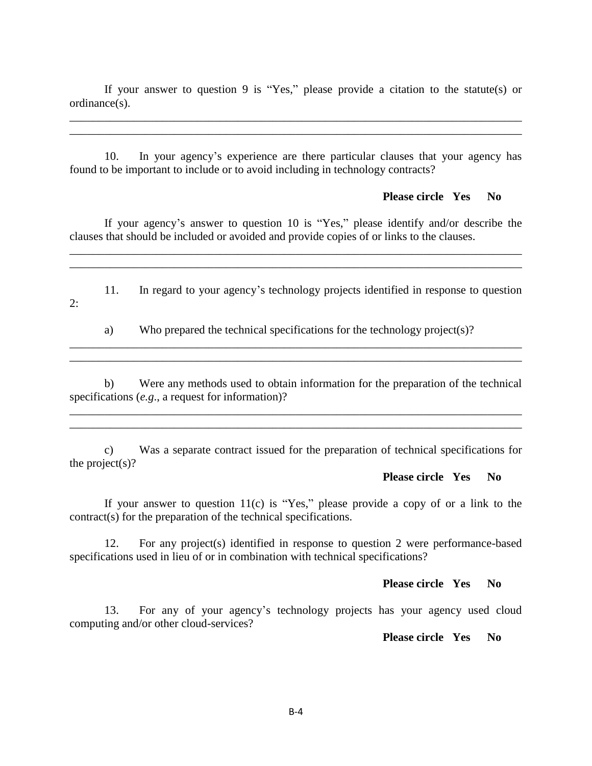If your answer to question 9 is "Yes," please provide a citation to the statute(s) or ordinance(s).

\_\_\_\_\_\_\_\_\_\_\_\_\_\_\_\_\_\_\_\_\_\_\_\_\_\_\_\_\_\_\_\_\_\_\_\_\_\_\_\_\_\_\_\_\_\_\_\_\_\_\_\_\_\_\_\_\_\_\_\_\_\_\_\_\_\_\_\_\_\_\_\_\_\_\_\_\_\_ \_\_\_\_\_\_\_\_\_\_\_\_\_\_\_\_\_\_\_\_\_\_\_\_\_\_\_\_\_\_\_\_\_\_\_\_\_\_\_\_\_\_\_\_\_\_\_\_\_\_\_\_\_\_\_\_\_\_\_\_\_\_\_\_\_\_\_\_\_\_\_\_\_\_\_\_\_\_

10. In your agency's experience are there particular clauses that your agency has found to be important to include or to avoid including in technology contracts?

#### **Please circle Yes No**

If your agency's answer to question 10 is "Yes," please identify and/or describe the clauses that should be included or avoided and provide copies of or links to the clauses.

\_\_\_\_\_\_\_\_\_\_\_\_\_\_\_\_\_\_\_\_\_\_\_\_\_\_\_\_\_\_\_\_\_\_\_\_\_\_\_\_\_\_\_\_\_\_\_\_\_\_\_\_\_\_\_\_\_\_\_\_\_\_\_\_\_\_\_\_\_\_\_\_\_\_\_\_\_\_ \_\_\_\_\_\_\_\_\_\_\_\_\_\_\_\_\_\_\_\_\_\_\_\_\_\_\_\_\_\_\_\_\_\_\_\_\_\_\_\_\_\_\_\_\_\_\_\_\_\_\_\_\_\_\_\_\_\_\_\_\_\_\_\_\_\_\_\_\_\_\_\_\_\_\_\_\_\_

11. In regard to your agency's technology projects identified in response to question 2:

a) Who prepared the technical specifications for the technology project(s)? \_\_\_\_\_\_\_\_\_\_\_\_\_\_\_\_\_\_\_\_\_\_\_\_\_\_\_\_\_\_\_\_\_\_\_\_\_\_\_\_\_\_\_\_\_\_\_\_\_\_\_\_\_\_\_\_\_\_\_\_\_\_\_\_\_\_\_\_\_\_\_\_\_\_\_\_\_\_

b) Were any methods used to obtain information for the preparation of the technical specifications (*e.g*., a request for information)?

\_\_\_\_\_\_\_\_\_\_\_\_\_\_\_\_\_\_\_\_\_\_\_\_\_\_\_\_\_\_\_\_\_\_\_\_\_\_\_\_\_\_\_\_\_\_\_\_\_\_\_\_\_\_\_\_\_\_\_\_\_\_\_\_\_\_\_\_\_\_\_\_\_\_\_\_\_\_

\_\_\_\_\_\_\_\_\_\_\_\_\_\_\_\_\_\_\_\_\_\_\_\_\_\_\_\_\_\_\_\_\_\_\_\_\_\_\_\_\_\_\_\_\_\_\_\_\_\_\_\_\_\_\_\_\_\_\_\_\_\_\_\_\_\_\_\_\_\_\_\_\_\_\_\_\_\_

\_\_\_\_\_\_\_\_\_\_\_\_\_\_\_\_\_\_\_\_\_\_\_\_\_\_\_\_\_\_\_\_\_\_\_\_\_\_\_\_\_\_\_\_\_\_\_\_\_\_\_\_\_\_\_\_\_\_\_\_\_\_\_\_\_\_\_\_\_\_\_\_\_\_\_\_\_\_

c) Was a separate contract issued for the preparation of technical specifications for the project(s)?

#### **Please circle Yes No**

If your answer to question  $11(c)$  is "Yes," please provide a copy of or a link to the contract(s) for the preparation of the technical specifications.

12. For any project(s) identified in response to question 2 were performance-based specifications used in lieu of or in combination with technical specifications?

#### **Please circle Yes No**

13. For any of your agency's technology projects has your agency used cloud computing and/or other cloud-services?

**Please circle Yes No**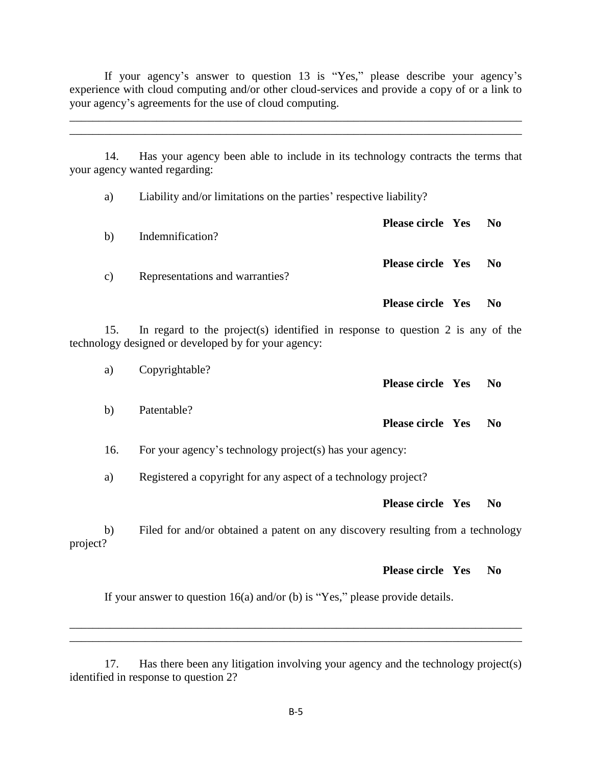If your agency's answer to question  $13$  is "Yes," please describe your agency's experience with cloud computing and/or other cloud-services and provide a copy of or a link to your agency's agreements for the use of cloud computing.

\_\_\_\_\_\_\_\_\_\_\_\_\_\_\_\_\_\_\_\_\_\_\_\_\_\_\_\_\_\_\_\_\_\_\_\_\_\_\_\_\_\_\_\_\_\_\_\_\_\_\_\_\_\_\_\_\_\_\_\_\_\_\_\_\_\_\_\_\_\_\_\_\_\_\_\_\_\_ \_\_\_\_\_\_\_\_\_\_\_\_\_\_\_\_\_\_\_\_\_\_\_\_\_\_\_\_\_\_\_\_\_\_\_\_\_\_\_\_\_\_\_\_\_\_\_\_\_\_\_\_\_\_\_\_\_\_\_\_\_\_\_\_\_\_\_\_\_\_\_\_\_\_\_\_\_\_

14. Has your agency been able to include in its technology contracts the terms that your agency wanted regarding:

a) Liability and/or limitations on the parties' respective liability? **Please circle Yes No** b) Indemnification? **Please circle Yes No** c) Representations and warranties?

15. In regard to the project(s) identified in response to question 2 is any of the technology designed or developed by for your agency:

a) Copyrightable? **Please circle Yes No** b) Patentable? **Please circle Yes No** 16. For your agency's technology project(s) has your agency: a) Registered a copyright for any aspect of a technology project? **Please circle Yes No** b) Filed for and/or obtained a patent on any discovery resulting from a technology project?

**Please circle Yes No**

**Please circle Yes No**

If your answer to question  $16(a)$  and/or (b) is "Yes," please provide details.

\_\_\_\_\_\_\_\_\_\_\_\_\_\_\_\_\_\_\_\_\_\_\_\_\_\_\_\_\_\_\_\_\_\_\_\_\_\_\_\_\_\_\_\_\_\_\_\_\_\_\_\_\_\_\_\_\_\_\_\_\_\_\_\_\_\_\_\_\_\_\_\_\_\_\_\_\_\_ \_\_\_\_\_\_\_\_\_\_\_\_\_\_\_\_\_\_\_\_\_\_\_\_\_\_\_\_\_\_\_\_\_\_\_\_\_\_\_\_\_\_\_\_\_\_\_\_\_\_\_\_\_\_\_\_\_\_\_\_\_\_\_\_\_\_\_\_\_\_\_\_\_\_\_\_\_\_

<sup>17.</sup> Has there been any litigation involving your agency and the technology project(s) identified in response to question 2?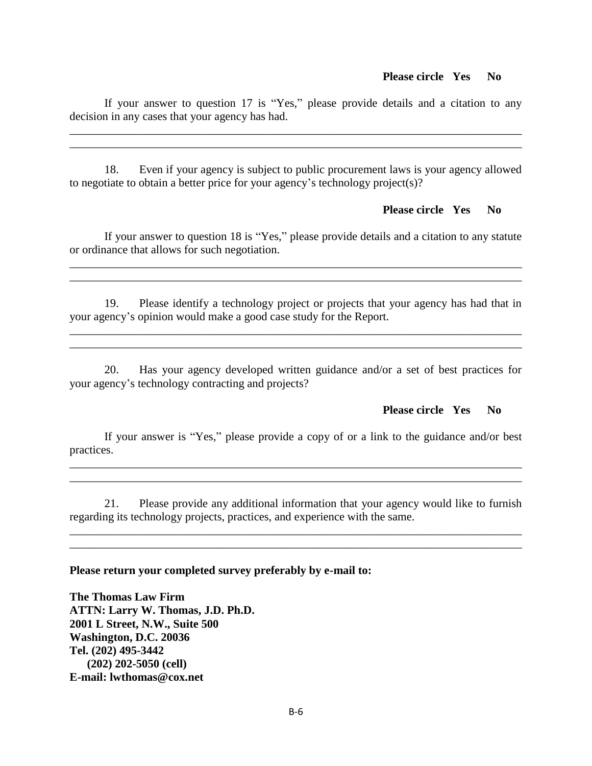If your answer to question 17 is "Yes," please provide details and a citation to any decision in any cases that your agency has had.

\_\_\_\_\_\_\_\_\_\_\_\_\_\_\_\_\_\_\_\_\_\_\_\_\_\_\_\_\_\_\_\_\_\_\_\_\_\_\_\_\_\_\_\_\_\_\_\_\_\_\_\_\_\_\_\_\_\_\_\_\_\_\_\_\_\_\_\_\_\_\_\_\_\_\_\_\_\_ \_\_\_\_\_\_\_\_\_\_\_\_\_\_\_\_\_\_\_\_\_\_\_\_\_\_\_\_\_\_\_\_\_\_\_\_\_\_\_\_\_\_\_\_\_\_\_\_\_\_\_\_\_\_\_\_\_\_\_\_\_\_\_\_\_\_\_\_\_\_\_\_\_\_\_\_\_\_

18. Even if your agency is subject to public procurement laws is your agency allowed to negotiate to obtain a better price for your agency's technology project(s)?

#### **Please circle Yes No**

If your answer to question 18 is "Yes," please provide details and a citation to any statute or ordinance that allows for such negotiation.

19. Please identify a technology project or projects that your agency has had that in your agency's opinion would make a good case study for the Report.

 $\mathcal{L}_\mathcal{L} = \{ \mathcal{L}_\mathcal{L} = \{ \mathcal{L}_\mathcal{L} = \{ \mathcal{L}_\mathcal{L} = \{ \mathcal{L}_\mathcal{L} = \{ \mathcal{L}_\mathcal{L} = \{ \mathcal{L}_\mathcal{L} = \{ \mathcal{L}_\mathcal{L} = \{ \mathcal{L}_\mathcal{L} = \{ \mathcal{L}_\mathcal{L} = \{ \mathcal{L}_\mathcal{L} = \{ \mathcal{L}_\mathcal{L} = \{ \mathcal{L}_\mathcal{L} = \{ \mathcal{L}_\mathcal{L} = \{ \mathcal{L}_\mathcal{$ 

 $\mathcal{L}_\mathcal{L} = \{ \mathcal{L}_\mathcal{L} = \{ \mathcal{L}_\mathcal{L} = \{ \mathcal{L}_\mathcal{L} = \{ \mathcal{L}_\mathcal{L} = \{ \mathcal{L}_\mathcal{L} = \{ \mathcal{L}_\mathcal{L} = \{ \mathcal{L}_\mathcal{L} = \{ \mathcal{L}_\mathcal{L} = \{ \mathcal{L}_\mathcal{L} = \{ \mathcal{L}_\mathcal{L} = \{ \mathcal{L}_\mathcal{L} = \{ \mathcal{L}_\mathcal{L} = \{ \mathcal{L}_\mathcal{L} = \{ \mathcal{L}_\mathcal{$ 

\_\_\_\_\_\_\_\_\_\_\_\_\_\_\_\_\_\_\_\_\_\_\_\_\_\_\_\_\_\_\_\_\_\_\_\_\_\_\_\_\_\_\_\_\_\_\_\_\_\_\_\_\_\_\_\_\_\_\_\_\_\_\_\_\_\_\_\_\_\_\_\_\_\_\_\_\_\_

20. Has your agency developed written guidance and/or a set of best practices for your agency's technology contracting and projects?

#### **Please circle Yes No**

If your answer is "Yes," please provide a copy of or a link to the guidance and/or best practices.

\_\_\_\_\_\_\_\_\_\_\_\_\_\_\_\_\_\_\_\_\_\_\_\_\_\_\_\_\_\_\_\_\_\_\_\_\_\_\_\_\_\_\_\_\_\_\_\_\_\_\_\_\_\_\_\_\_\_\_\_\_\_\_\_\_\_\_\_\_\_\_\_\_\_\_\_\_\_ \_\_\_\_\_\_\_\_\_\_\_\_\_\_\_\_\_\_\_\_\_\_\_\_\_\_\_\_\_\_\_\_\_\_\_\_\_\_\_\_\_\_\_\_\_\_\_\_\_\_\_\_\_\_\_\_\_\_\_\_\_\_\_\_\_\_\_\_\_\_\_\_\_\_\_\_\_\_

21. Please provide any additional information that your agency would like to furnish regarding its technology projects, practices, and experience with the same.

\_\_\_\_\_\_\_\_\_\_\_\_\_\_\_\_\_\_\_\_\_\_\_\_\_\_\_\_\_\_\_\_\_\_\_\_\_\_\_\_\_\_\_\_\_\_\_\_\_\_\_\_\_\_\_\_\_\_\_\_\_\_\_\_\_\_\_\_\_\_\_\_\_\_\_\_\_\_ \_\_\_\_\_\_\_\_\_\_\_\_\_\_\_\_\_\_\_\_\_\_\_\_\_\_\_\_\_\_\_\_\_\_\_\_\_\_\_\_\_\_\_\_\_\_\_\_\_\_\_\_\_\_\_\_\_\_\_\_\_\_\_\_\_\_\_\_\_\_\_\_\_\_\_\_\_\_

#### **Please return your completed survey preferably by e-mail to:**

**The Thomas Law Firm ATTN: Larry W. Thomas, J.D. Ph.D. 2001 L Street, N.W., Suite 500 Washington, D.C. 20036 Tel. (202) 495-3442 (202) 202-5050 (cell) E-mail: lwthomas@cox.net**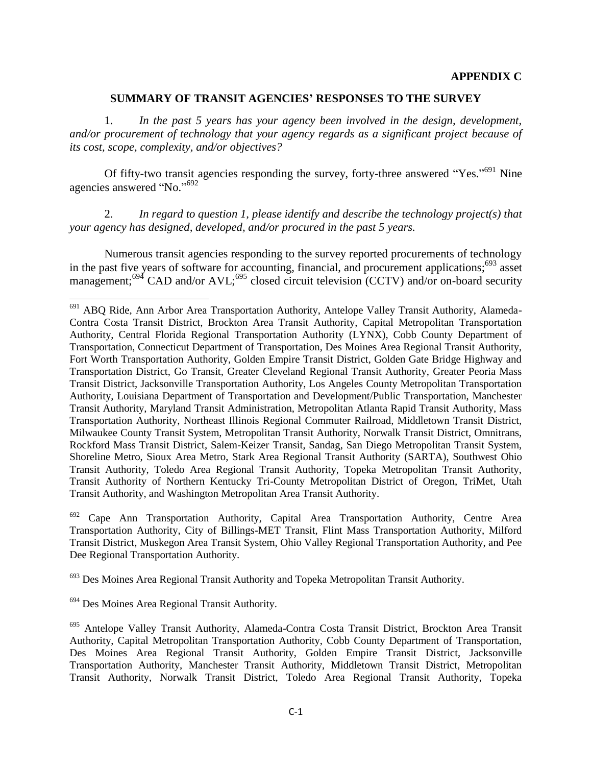#### **SUMMARY OF TRANSIT AGENCIES' RESPONSES TO THE SURVEY**

<span id="page-9-0"></span>1. *In the past 5 years has your agency been involved in the design, development, and/or procurement of technology that your agency regards as a significant project because of its cost, scope, complexity, and/or objectives?*

Of fifty-two transit agencies responding the survey, forty-three answered "Yes."<sup>691</sup> Nine agencies answered "No."<sup>692</sup>

2. *In regard to question 1, please identify and describe the technology project(s) that your agency has designed, developed, and/or procured in the past 5 years.*

Numerous transit agencies responding to the survey reported procurements of technology in the past five years of software for accounting, financial, and procurement applications; $693$  asset management;<sup>694</sup> CAD and/or AVL;<sup>695</sup> closed circuit television (CCTV) and/or on-board security

 $692$  Cape Ann Transportation Authority, Capital Area Transportation Authority, Centre Area Transportation Authority, City of Billings-MET Transit, Flint Mass Transportation Authority, Milford Transit District, Muskegon Area Transit System, Ohio Valley Regional Transportation Authority, and Pee Dee Regional Transportation Authority.

<sup>693</sup> Des Moines Area Regional Transit Authority and Topeka Metropolitan Transit Authority.

 $\overline{\phantom{a}}$ 

<sup>&</sup>lt;sup>691</sup> ABQ Ride, Ann Arbor Area Transportation Authority, Antelope Valley Transit Authority, Alameda-Contra Costa Transit District, Brockton Area Transit Authority, Capital Metropolitan Transportation Authority, Central Florida Regional Transportation Authority (LYNX), Cobb County Department of Transportation, Connecticut Department of Transportation, Des Moines Area Regional Transit Authority, Fort Worth Transportation Authority, Golden Empire Transit District, Golden Gate Bridge Highway and Transportation District, Go Transit, Greater Cleveland Regional Transit Authority, Greater Peoria Mass Transit District, Jacksonville Transportation Authority, Los Angeles County Metropolitan Transportation Authority, Louisiana Department of Transportation and Development/Public Transportation, Manchester Transit Authority, Maryland Transit Administration, Metropolitan Atlanta Rapid Transit Authority, Mass Transportation Authority, Northeast Illinois Regional Commuter Railroad, Middletown Transit District, Milwaukee County Transit System, Metropolitan Transit Authority, Norwalk Transit District, Omnitrans, Rockford Mass Transit District, Salem-Keizer Transit, Sandag, San Diego Metropolitan Transit System, Shoreline Metro, Sioux Area Metro, Stark Area Regional Transit Authority (SARTA), Southwest Ohio Transit Authority, Toledo Area Regional Transit Authority, Topeka Metropolitan Transit Authority, Transit Authority of Northern Kentucky Tri-County Metropolitan District of Oregon, TriMet, Utah Transit Authority, and Washington Metropolitan Area Transit Authority.

<sup>&</sup>lt;sup>694</sup> Des Moines Area Regional Transit Authority.

<sup>695</sup> Antelope Valley Transit Authority, Alameda-Contra Costa Transit District, Brockton Area Transit Authority, Capital Metropolitan Transportation Authority, Cobb County Department of Transportation, Des Moines Area Regional Transit Authority, Golden Empire Transit District, Jacksonville Transportation Authority, Manchester Transit Authority, Middletown Transit District, Metropolitan Transit Authority, Norwalk Transit District, Toledo Area Regional Transit Authority, Topeka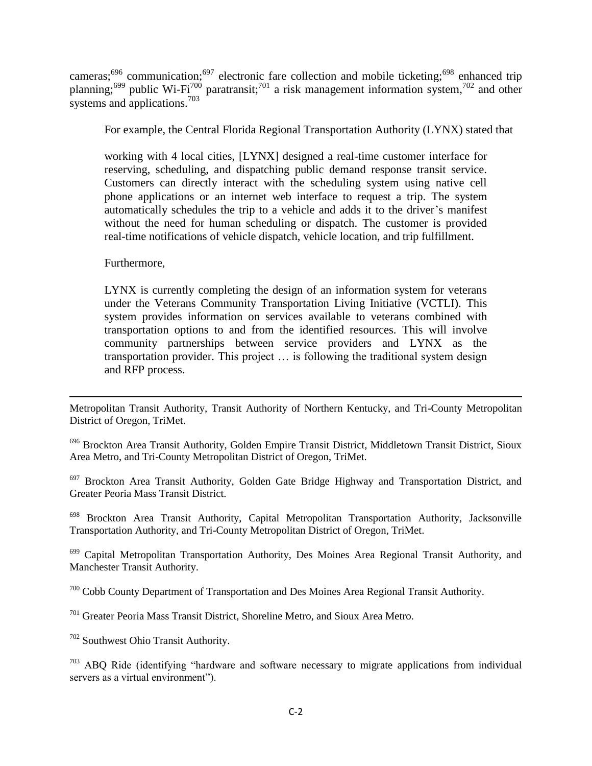cameras;<sup>696</sup> communication;<sup>697</sup> electronic fare collection and mobile ticketing;<sup>698</sup> enhanced trip planning;<sup>699</sup> public Wi-Fi<sup>700</sup> paratransit;<sup>701</sup> a risk management information system,<sup>702</sup> and other systems and applications.<sup>703</sup>

For example, the Central Florida Regional Transportation Authority (LYNX) stated that

working with 4 local cities, [LYNX] designed a real-time customer interface for reserving, scheduling, and dispatching public demand response transit service. Customers can directly interact with the scheduling system using native cell phone applications or an internet web interface to request a trip. The system automatically schedules the trip to a vehicle and adds it to the driver's manifest without the need for human scheduling or dispatch. The customer is provided real-time notifications of vehicle dispatch, vehicle location, and trip fulfillment.

Furthermore,

LYNX is currently completing the design of an information system for veterans under the Veterans Community Transportation Living Initiative (VCTLI). This system provides information on services available to veterans combined with transportation options to and from the identified resources. This will involve community partnerships between service providers and LYNX as the transportation provider. This project … is following the traditional system design and RFP process.

 $\overline{\phantom{a}}$ Metropolitan Transit Authority, Transit Authority of Northern Kentucky, and Tri-County Metropolitan District of Oregon, TriMet.

<sup>696</sup> Brockton Area Transit Authority, Golden Empire Transit District, Middletown Transit District, Sioux Area Metro, and Tri-County Metropolitan District of Oregon, TriMet.

 $697$  Brockton Area Transit Authority, Golden Gate Bridge Highway and Transportation District, and Greater Peoria Mass Transit District.

<sup>698</sup> Brockton Area Transit Authority, Capital Metropolitan Transportation Authority, Jacksonville Transportation Authority, and Tri-County Metropolitan District of Oregon, TriMet.

<sup>699</sup> Capital Metropolitan Transportation Authority, Des Moines Area Regional Transit Authority, and Manchester Transit Authority.

<sup>700</sup> Cobb County Department of Transportation and Des Moines Area Regional Transit Authority.

<sup>701</sup> Greater Peoria Mass Transit District, Shoreline Metro, and Sioux Area Metro.

<sup>702</sup> Southwest Ohio Transit Authority.

 $703$  ABQ Ride (identifying "hardware and software necessary to migrate applications from individual servers as a virtual environment").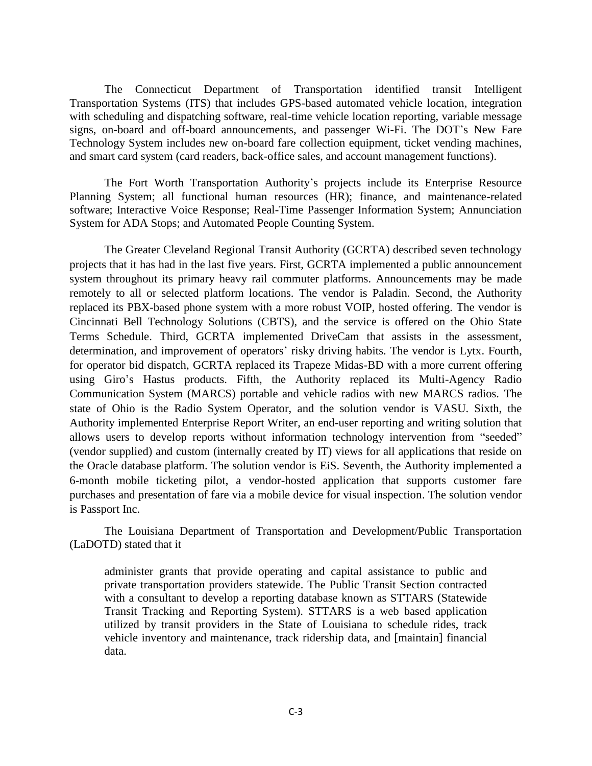The Connecticut Department of Transportation identified transit Intelligent Transportation Systems (ITS) that includes GPS-based automated vehicle location, integration with scheduling and dispatching software, real-time vehicle location reporting, variable message signs, on-board and off-board announcements, and passenger Wi-Fi. The DOT's New Fare Technology System includes new on-board fare collection equipment, ticket vending machines, and smart card system (card readers, back-office sales, and account management functions).

The Fort Worth Transportation Authority's projects include its Enterprise Resource Planning System; all functional human resources (HR); finance, and maintenance-related software; Interactive Voice Response; Real-Time Passenger Information System; Annunciation System for ADA Stops; and Automated People Counting System.

The Greater Cleveland Regional Transit Authority (GCRTA) described seven technology projects that it has had in the last five years. First, GCRTA implemented a public announcement system throughout its primary heavy rail commuter platforms. Announcements may be made remotely to all or selected platform locations. The vendor is Paladin. Second, the Authority replaced its PBX-based phone system with a more robust VOIP, hosted offering. The vendor is Cincinnati Bell Technology Solutions (CBTS), and the service is offered on the Ohio State Terms Schedule. Third, GCRTA implemented DriveCam that assists in the assessment, determination, and improvement of operators' risky driving habits. The vendor is Lytx. Fourth, for operator bid dispatch, GCRTA replaced its Trapeze Midas-BD with a more current offering using Giro's Hastus products. Fifth, the Authority replaced its Multi-Agency Radio Communication System (MARCS) portable and vehicle radios with new MARCS radios. The state of Ohio is the Radio System Operator, and the solution vendor is VASU. Sixth, the Authority implemented Enterprise Report Writer, an end-user reporting and writing solution that allows users to develop reports without information technology intervention from "seeded" (vendor supplied) and custom (internally created by IT) views for all applications that reside on the Oracle database platform. The solution vendor is EiS. Seventh, the Authority implemented a 6-month mobile ticketing pilot, a vendor-hosted application that supports customer fare purchases and presentation of fare via a mobile device for visual inspection. The solution vendor is Passport Inc.

The Louisiana Department of Transportation and Development/Public Transportation (LaDOTD) stated that it

administer grants that provide operating and capital assistance to public and private transportation providers statewide. The Public Transit Section contracted with a consultant to develop a reporting database known as STTARS (Statewide Transit Tracking and Reporting System). STTARS is a web based application utilized by transit providers in the State of Louisiana to schedule rides, track vehicle inventory and maintenance, track ridership data, and [maintain] financial data.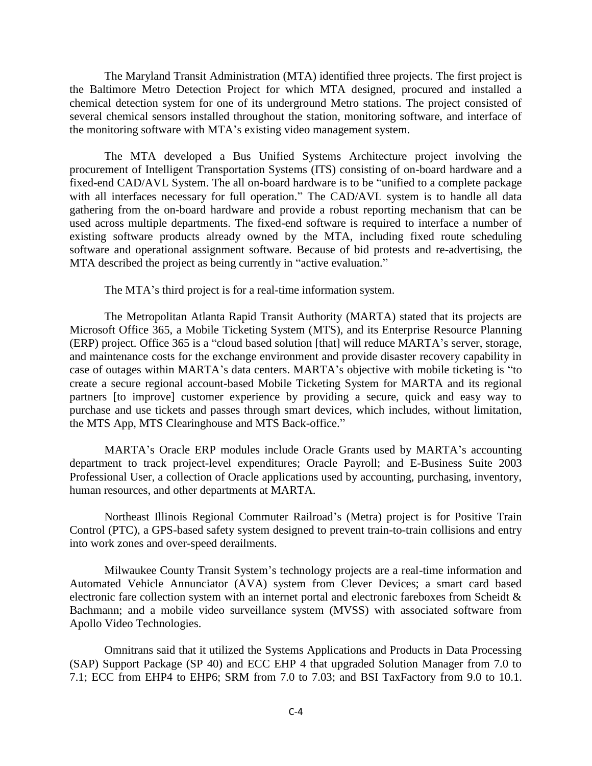The Maryland Transit Administration (MTA) identified three projects. The first project is the Baltimore Metro Detection Project for which MTA designed, procured and installed a chemical detection system for one of its underground Metro stations. The project consisted of several chemical sensors installed throughout the station, monitoring software, and interface of the monitoring software with MTA's existing video management system.

The MTA developed a Bus Unified Systems Architecture project involving the procurement of Intelligent Transportation Systems (ITS) consisting of on-board hardware and a fixed-end CAD/AVL System. The all on-board hardware is to be "unified to a complete package with all interfaces necessary for full operation." The CAD/AVL system is to handle all data gathering from the on-board hardware and provide a robust reporting mechanism that can be used across multiple departments. The fixed-end software is required to interface a number of existing software products already owned by the MTA, including fixed route scheduling software and operational assignment software. Because of bid protests and re-advertising, the MTA described the project as being currently in "active evaluation."

The MTA's third project is for a real-time information system.

The Metropolitan Atlanta Rapid Transit Authority (MARTA) stated that its projects are Microsoft Office 365, a Mobile Ticketing System (MTS), and its Enterprise Resource Planning (ERP) project. Office 365 is a "cloud based solution [that] will reduce MARTA's server, storage, and maintenance costs for the exchange environment and provide disaster recovery capability in case of outages within MARTA's data centers. MARTA's objective with mobile ticketing is "to create a secure regional account-based Mobile Ticketing System for MARTA and its regional partners [to improve] customer experience by providing a secure, quick and easy way to purchase and use tickets and passes through smart devices, which includes, without limitation, the MTS App, MTS Clearinghouse and MTS Back-office."

MARTA's Oracle ERP modules include Oracle Grants used by MARTA's accounting department to track project-level expenditures; Oracle Payroll; and E-Business Suite 2003 Professional User, a collection of Oracle applications used by accounting, purchasing, inventory, human resources, and other departments at MARTA.

Northeast Illinois Regional Commuter Railroad's (Metra) project is for Positive Train Control (PTC), a GPS-based safety system designed to prevent train-to-train collisions and entry into work zones and over-speed derailments.

Milwaukee County Transit System's technology projects are a real-time information and Automated Vehicle Annunciator (AVA) system from Clever Devices; a smart card based electronic fare collection system with an internet portal and electronic fareboxes from Scheidt & Bachmann; and a mobile video surveillance system (MVSS) with associated software from Apollo Video Technologies.

Omnitrans said that it utilized the Systems Applications and Products in Data Processing (SAP) Support Package (SP 40) and ECC EHP 4 that upgraded Solution Manager from 7.0 to 7.1; ECC from EHP4 to EHP6; SRM from 7.0 to 7.03; and BSI TaxFactory from 9.0 to 10.1.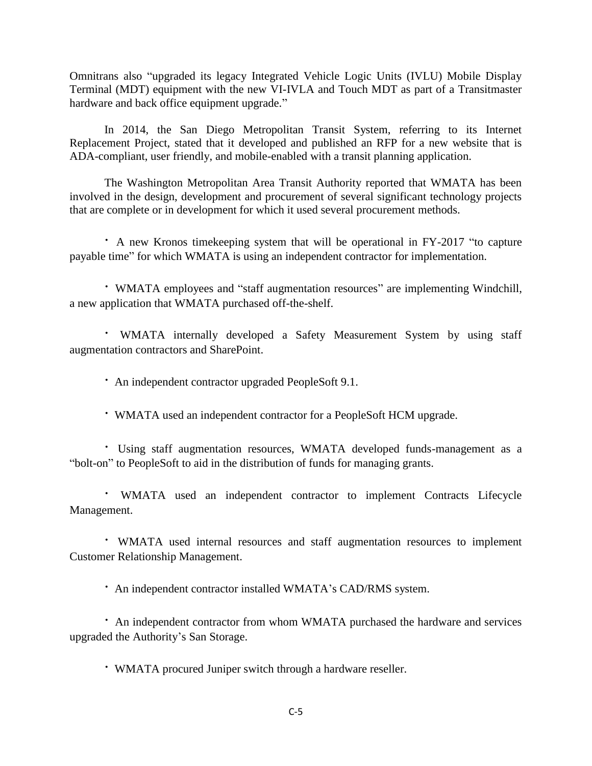Omnitrans also "upgraded its legacy Integrated Vehicle Logic Units (IVLU) Mobile Display Terminal (MDT) equipment with the new VI-IVLA and Touch MDT as part of a Transitmaster hardware and back office equipment upgrade."

In 2014, the San Diego Metropolitan Transit System, referring to its Internet Replacement Project, stated that it developed and published an RFP for a new website that is ADA-compliant, user friendly, and mobile-enabled with a transit planning application.

The Washington Metropolitan Area Transit Authority reported that WMATA has been involved in the design, development and procurement of several significant technology projects that are complete or in development for which it used several procurement methods.

• A new Kronos timekeeping system that will be operational in FY-2017 "to capture payable time" for which WMATA is using an independent contractor for implementation.

• WMATA employees and "staff augmentation resources" are implementing Windchill, a new application that WMATA purchased off-the-shelf.

· WMATA internally developed a Safety Measurement System by using staff augmentation contractors and SharePoint.

· An independent contractor upgraded PeopleSoft 9.1.

· WMATA used an independent contractor for a PeopleSoft HCM upgrade.

· Using staff augmentation resources, WMATA developed funds-management as a "bolt-on" to PeopleSoft to aid in the distribution of funds for managing grants.

· WMATA used an independent contractor to implement Contracts Lifecycle Management.

· WMATA used internal resources and staff augmentation resources to implement Customer Relationship Management.

· An independent contractor installed WMATA's CAD/RMS system.

· An independent contractor from whom WMATA purchased the hardware and services upgraded the Authority's San Storage.

· WMATA procured Juniper switch through a hardware reseller.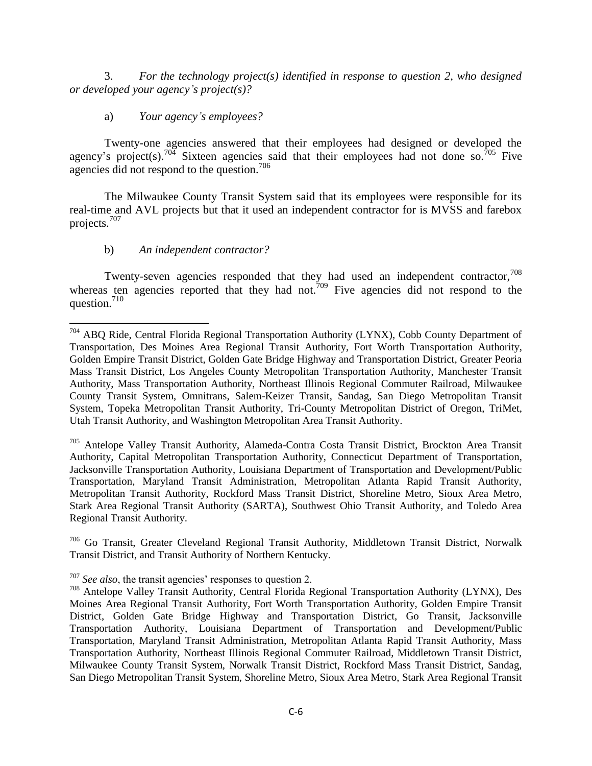3. *For the technology project(s) identified in response to question 2, who designed or developed your agency"s project(s)?*

a) *Your agency"s employees?*

Twenty-one agencies answered that their employees had designed or developed the agency's project(s).<sup>704</sup> Sixteen agencies said that their employees had not done so.<sup>705</sup> Five agencies did not respond to the question.<sup>706</sup>

The Milwaukee County Transit System said that its employees were responsible for its real-time and AVL projects but that it used an independent contractor for is MVSS and farebox projects.<sup>707</sup>

### b) *An independent contractor?*

Twenty-seven agencies responded that they had used an independent contractor,  $708$ whereas ten agencies reported that they had not.<sup>709</sup> Five agencies did not respond to the question.<sup>710</sup>

<sup>705</sup> Antelope Valley Transit Authority, Alameda-Contra Costa Transit District, Brockton Area Transit Authority, Capital Metropolitan Transportation Authority, Connecticut Department of Transportation, Jacksonville Transportation Authority, Louisiana Department of Transportation and Development/Public Transportation, Maryland Transit Administration, Metropolitan Atlanta Rapid Transit Authority, Metropolitan Transit Authority, Rockford Mass Transit District, Shoreline Metro, Sioux Area Metro, Stark Area Regional Transit Authority (SARTA), Southwest Ohio Transit Authority, and Toledo Area Regional Transit Authority.

<sup>706</sup> Go Transit, Greater Cleveland Regional Transit Authority, Middletown Transit District, Norwalk Transit District, and Transit Authority of Northern Kentucky.

<sup>707</sup> *See also*, the transit agencies' responses to question 2.

 $\overline{a}$ <sup>704</sup> ABQ Ride, Central Florida Regional Transportation Authority (LYNX), Cobb County Department of Transportation, Des Moines Area Regional Transit Authority, Fort Worth Transportation Authority, Golden Empire Transit District, Golden Gate Bridge Highway and Transportation District, Greater Peoria Mass Transit District, Los Angeles County Metropolitan Transportation Authority, Manchester Transit Authority, Mass Transportation Authority, Northeast Illinois Regional Commuter Railroad, Milwaukee County Transit System, Omnitrans, Salem-Keizer Transit, Sandag, San Diego Metropolitan Transit System, Topeka Metropolitan Transit Authority, Tri-County Metropolitan District of Oregon, TriMet, Utah Transit Authority, and Washington Metropolitan Area Transit Authority.

<sup>708</sup> Antelope Valley Transit Authority, Central Florida Regional Transportation Authority (LYNX), Des Moines Area Regional Transit Authority, Fort Worth Transportation Authority, Golden Empire Transit District, Golden Gate Bridge Highway and Transportation District, Go Transit, Jacksonville Transportation Authority, Louisiana Department of Transportation and Development/Public Transportation, Maryland Transit Administration, Metropolitan Atlanta Rapid Transit Authority, Mass Transportation Authority, Northeast Illinois Regional Commuter Railroad, Middletown Transit District, Milwaukee County Transit System, Norwalk Transit District, Rockford Mass Transit District, Sandag, San Diego Metropolitan Transit System, Shoreline Metro, Sioux Area Metro, Stark Area Regional Transit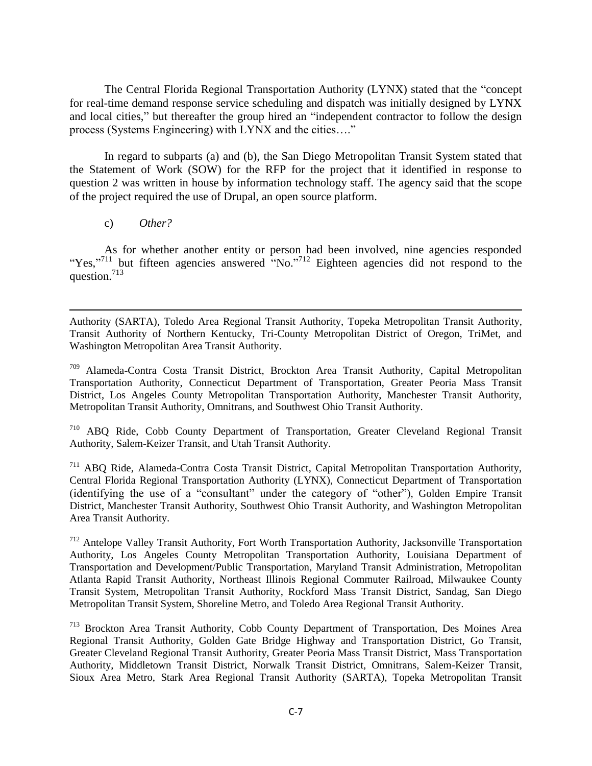The Central Florida Regional Transportation Authority (LYNX) stated that the "concept for real-time demand response service scheduling and dispatch was initially designed by LYNX and local cities," but thereafter the group hired an "independent contractor to follow the design process (Systems Engineering) with LYNX and the cities...."

In regard to subparts (a) and (b), the San Diego Metropolitan Transit System stated that the Statement of Work (SOW) for the RFP for the project that it identified in response to question 2 was written in house by information technology staff. The agency said that the scope of the project required the use of Drupal, an open source platform.

c) *Other?*

l

As for whether another entity or person had been involved, nine agencies responded "Yes,"<sup>711</sup> but fifteen agencies answered "No."<sup>712</sup> Eighteen agencies did not respond to the question. 713

Authority (SARTA), Toledo Area Regional Transit Authority, Topeka Metropolitan Transit Authority, Transit Authority of Northern Kentucky, Tri-County Metropolitan District of Oregon, TriMet, and Washington Metropolitan Area Transit Authority.

<sup>709</sup> Alameda-Contra Costa Transit District, Brockton Area Transit Authority, Capital Metropolitan Transportation Authority, Connecticut Department of Transportation, Greater Peoria Mass Transit District, Los Angeles County Metropolitan Transportation Authority, Manchester Transit Authority, Metropolitan Transit Authority, Omnitrans, and Southwest Ohio Transit Authority.

<sup>710</sup> ABQ Ride, Cobb County Department of Transportation, Greater Cleveland Regional Transit Authority, Salem-Keizer Transit, and Utah Transit Authority.

<sup>711</sup> ABQ Ride, Alameda-Contra Costa Transit District, Capital Metropolitan Transportation Authority, Central Florida Regional Transportation Authority (LYNX), Connecticut Department of Transportation (identifying the use of a "consultant" under the category of "other"), Golden Empire Transit District, Manchester Transit Authority, Southwest Ohio Transit Authority, and Washington Metropolitan Area Transit Authority.

<sup>712</sup> Antelope Valley Transit Authority, Fort Worth Transportation Authority, Jacksonville Transportation Authority, Los Angeles County Metropolitan Transportation Authority, Louisiana Department of Transportation and Development/Public Transportation, Maryland Transit Administration, Metropolitan Atlanta Rapid Transit Authority, Northeast Illinois Regional Commuter Railroad, Milwaukee County Transit System, Metropolitan Transit Authority, Rockford Mass Transit District, Sandag, San Diego Metropolitan Transit System, Shoreline Metro, and Toledo Area Regional Transit Authority.

<sup>713</sup> Brockton Area Transit Authority, Cobb County Department of Transportation, Des Moines Area Regional Transit Authority, Golden Gate Bridge Highway and Transportation District, Go Transit, Greater Cleveland Regional Transit Authority, Greater Peoria Mass Transit District, Mass Transportation Authority, Middletown Transit District, Norwalk Transit District, Omnitrans, Salem-Keizer Transit, Sioux Area Metro, Stark Area Regional Transit Authority (SARTA), Topeka Metropolitan Transit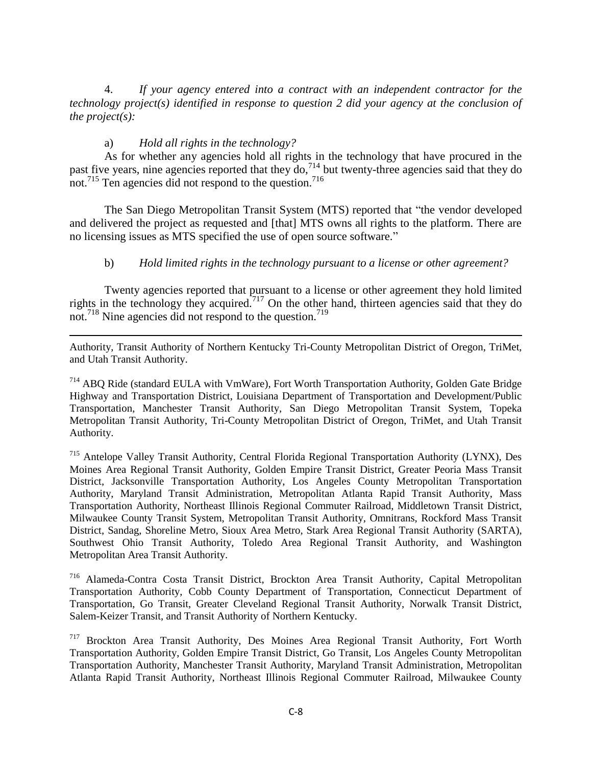4. *If your agency entered into a contract with an independent contractor for the technology project(s) identified in response to question 2 did your agency at the conclusion of the project(s):*

### a) *Hold all rights in the technology?*

As for whether any agencies hold all rights in the technology that have procured in the past five years, nine agencies reported that they do,  $714$  but twenty-three agencies said that they do not.<sup>715</sup> Ten agencies did not respond to the question.<sup>716</sup>

The San Diego Metropolitan Transit System (MTS) reported that "the vendor developed and delivered the project as requested and [that] MTS owns all rights to the platform. There are no licensing issues as MTS specified the use of open source software."

### b) *Hold limited rights in the technology pursuant to a license or other agreement?*

Twenty agencies reported that pursuant to a license or other agreement they hold limited rights in the technology they acquired.<sup> $717$ </sup> On the other hand, thirteen agencies said that they do not.<sup>718</sup> Nine agencies did not respond to the question.<sup>719</sup>

 $\overline{a}$ Authority, Transit Authority of Northern Kentucky Tri-County Metropolitan District of Oregon, TriMet, and Utah Transit Authority.

<sup>714</sup> ABO Ride (standard EULA with VmWare), Fort Worth Transportation Authority, Golden Gate Bridge Highway and Transportation District, Louisiana Department of Transportation and Development/Public Transportation, Manchester Transit Authority, San Diego Metropolitan Transit System, Topeka Metropolitan Transit Authority, Tri-County Metropolitan District of Oregon, TriMet, and Utah Transit Authority.

<sup>715</sup> Antelope Valley Transit Authority, Central Florida Regional Transportation Authority (LYNX), Des Moines Area Regional Transit Authority, Golden Empire Transit District, Greater Peoria Mass Transit District, Jacksonville Transportation Authority, Los Angeles County Metropolitan Transportation Authority, Maryland Transit Administration, Metropolitan Atlanta Rapid Transit Authority, Mass Transportation Authority, Northeast Illinois Regional Commuter Railroad, Middletown Transit District, Milwaukee County Transit System, Metropolitan Transit Authority, Omnitrans, Rockford Mass Transit District, Sandag, Shoreline Metro, Sioux Area Metro, Stark Area Regional Transit Authority (SARTA), Southwest Ohio Transit Authority, Toledo Area Regional Transit Authority, and Washington Metropolitan Area Transit Authority.

<sup>716</sup> Alameda-Contra Costa Transit District, Brockton Area Transit Authority, Capital Metropolitan Transportation Authority, Cobb County Department of Transportation, Connecticut Department of Transportation, Go Transit, Greater Cleveland Regional Transit Authority, Norwalk Transit District, Salem-Keizer Transit, and Transit Authority of Northern Kentucky.

<sup>717</sup> Brockton Area Transit Authority, Des Moines Area Regional Transit Authority, Fort Worth Transportation Authority, Golden Empire Transit District, Go Transit, Los Angeles County Metropolitan Transportation Authority, Manchester Transit Authority, Maryland Transit Administration, Metropolitan Atlanta Rapid Transit Authority, Northeast Illinois Regional Commuter Railroad, Milwaukee County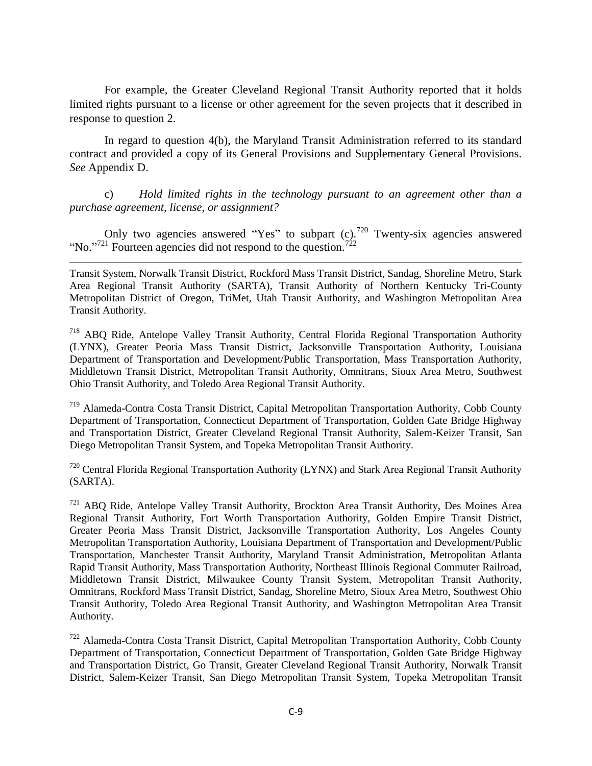For example, the Greater Cleveland Regional Transit Authority reported that it holds limited rights pursuant to a license or other agreement for the seven projects that it described in response to question 2.

In regard to question 4(b), the Maryland Transit Administration referred to its standard contract and provided a copy of its General Provisions and Supplementary General Provisions. *See* Appendix D.

c) *Hold limited rights in the technology pursuant to an agreement other than a purchase agreement, license, or assignment?*

Only two agencies answered "Yes" to subpart (c).<sup>720</sup> Twenty-six agencies answered "No."<sup>721</sup> Fourteen agencies did not respond to the question.<sup>722</sup>

 $\overline{\phantom{a}}$ 

Transit System, Norwalk Transit District, Rockford Mass Transit District, Sandag, Shoreline Metro, Stark Area Regional Transit Authority (SARTA), Transit Authority of Northern Kentucky Tri-County Metropolitan District of Oregon, TriMet, Utah Transit Authority, and Washington Metropolitan Area Transit Authority.

<sup>718</sup> ABO Ride, Antelope Valley Transit Authority, Central Florida Regional Transportation Authority (LYNX), Greater Peoria Mass Transit District, Jacksonville Transportation Authority, Louisiana Department of Transportation and Development/Public Transportation, Mass Transportation Authority, Middletown Transit District, Metropolitan Transit Authority, Omnitrans, Sioux Area Metro, Southwest Ohio Transit Authority, and Toledo Area Regional Transit Authority.

<sup>719</sup> Alameda-Contra Costa Transit District, Capital Metropolitan Transportation Authority, Cobb County Department of Transportation, Connecticut Department of Transportation, Golden Gate Bridge Highway and Transportation District, Greater Cleveland Regional Transit Authority, Salem-Keizer Transit, San Diego Metropolitan Transit System, and Topeka Metropolitan Transit Authority.

 $720$  Central Florida Regional Transportation Authority (LYNX) and Stark Area Regional Transit Authority (SARTA).

<sup>721</sup> ABQ Ride, Antelope Valley Transit Authority, Brockton Area Transit Authority, Des Moines Area Regional Transit Authority, Fort Worth Transportation Authority, Golden Empire Transit District, Greater Peoria Mass Transit District, Jacksonville Transportation Authority, Los Angeles County Metropolitan Transportation Authority, Louisiana Department of Transportation and Development/Public Transportation, Manchester Transit Authority, Maryland Transit Administration, Metropolitan Atlanta Rapid Transit Authority, Mass Transportation Authority, Northeast Illinois Regional Commuter Railroad, Middletown Transit District, Milwaukee County Transit System, Metropolitan Transit Authority, Omnitrans, Rockford Mass Transit District, Sandag, Shoreline Metro, Sioux Area Metro, Southwest Ohio Transit Authority, Toledo Area Regional Transit Authority, and Washington Metropolitan Area Transit Authority.

<sup>722</sup> Alameda-Contra Costa Transit District, Capital Metropolitan Transportation Authority, Cobb County Department of Transportation, Connecticut Department of Transportation, Golden Gate Bridge Highway and Transportation District, Go Transit, Greater Cleveland Regional Transit Authority, Norwalk Transit District, Salem-Keizer Transit, San Diego Metropolitan Transit System, Topeka Metropolitan Transit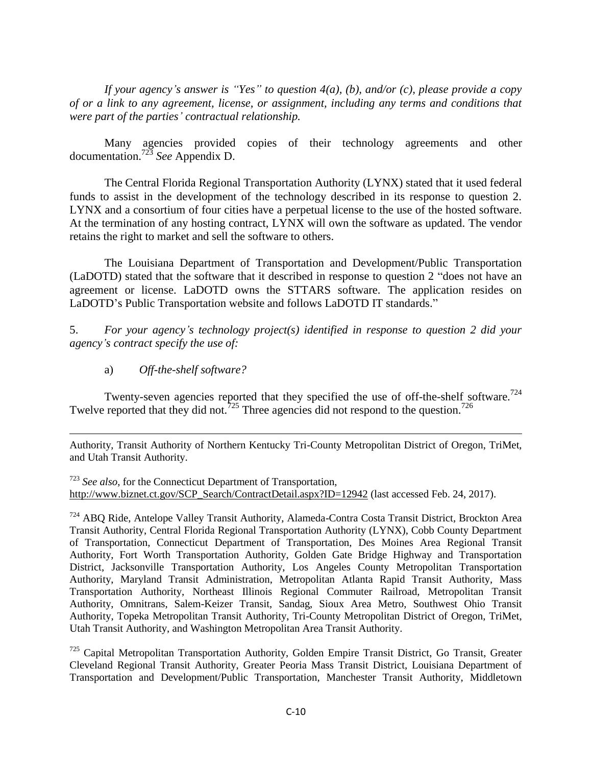*If your agency"s answer is "Yes" to question 4(a), (b), and/or (c), please provide a copy of or a link to any agreement, license, or assignment, including any terms and conditions that were part of the parties" contractual relationship.*

Many agencies provided copies of their technology agreements and other documentation.<sup>723</sup> *See* Appendix D.

The Central Florida Regional Transportation Authority (LYNX) stated that it used federal funds to assist in the development of the technology described in its response to question 2. LYNX and a consortium of four cities have a perpetual license to the use of the hosted software. At the termination of any hosting contract, LYNX will own the software as updated. The vendor retains the right to market and sell the software to others.

The Louisiana Department of Transportation and Development/Public Transportation (LaDOTD) stated that the software that it described in response to question 2 "does not have an agreement or license. LaDOTD owns the STTARS software. The application resides on LaDOTD's Public Transportation website and follows LaDOTD IT standards."

5. *For your agency"s technology project(s) identified in response to question 2 did your agency"s contract specify the use of:*

a) *Off-the-shelf software?*

 $\overline{a}$ 

Twenty-seven agencies reported that they specified the use of off-the-shelf software.<sup>724</sup> Twelve reported that they did not.<sup>725</sup> Three agencies did not respond to the question.<sup>726</sup>

Authority, Transit Authority of Northern Kentucky Tri-County Metropolitan District of Oregon, TriMet, and Utah Transit Authority.

<sup>723</sup> *See also*, for the Connecticut Department of Transportation, [http://www.biznet.ct.gov/SCP\\_Search/ContractDetail.aspx?ID=12942](http://www.biznet.ct.gov/SCP_Search/ContractDetail.aspx?ID=12942) (last accessed Feb. 24, 2017).

<sup>724</sup> ABQ Ride, Antelope Valley Transit Authority, Alameda-Contra Costa Transit District, Brockton Area Transit Authority, Central Florida Regional Transportation Authority (LYNX), Cobb County Department of Transportation, Connecticut Department of Transportation, Des Moines Area Regional Transit Authority, Fort Worth Transportation Authority, Golden Gate Bridge Highway and Transportation District, Jacksonville Transportation Authority, Los Angeles County Metropolitan Transportation Authority, Maryland Transit Administration, Metropolitan Atlanta Rapid Transit Authority, Mass Transportation Authority, Northeast Illinois Regional Commuter Railroad, Metropolitan Transit Authority, Omnitrans, Salem-Keizer Transit, Sandag, Sioux Area Metro, Southwest Ohio Transit Authority, Topeka Metropolitan Transit Authority, Tri-County Metropolitan District of Oregon, TriMet, Utah Transit Authority, and Washington Metropolitan Area Transit Authority.

 $725$  Capital Metropolitan Transportation Authority, Golden Empire Transit District, Go Transit, Greater Cleveland Regional Transit Authority, Greater Peoria Mass Transit District, Louisiana Department of Transportation and Development/Public Transportation, Manchester Transit Authority, Middletown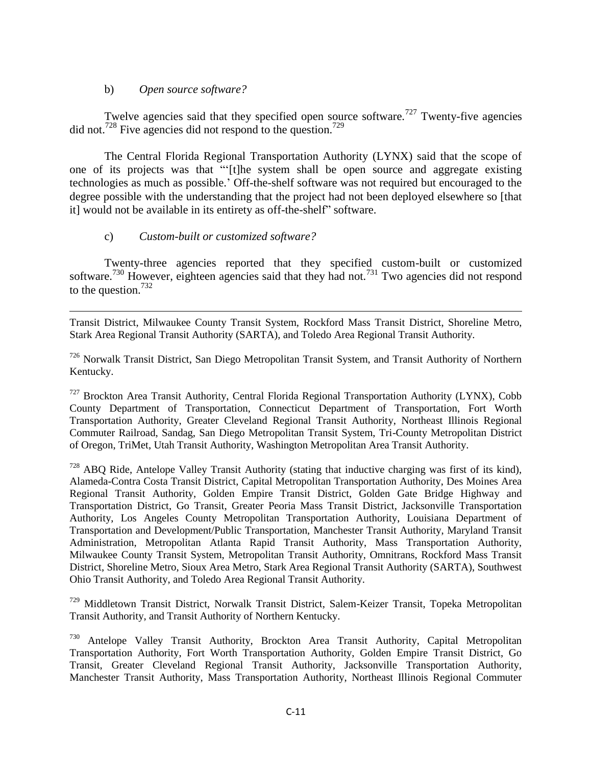### b) *Open source software?*

Twelve agencies said that they specified open source software.<sup>727</sup> Twenty-five agencies did not.<sup>728</sup> Five agencies did not respond to the question.<sup>729</sup>

The Central Florida Regional Transportation Authority (LYNX) said that the scope of one of its projects was that "[t]he system shall be open source and aggregate existing technologies as much as possible.' Off-the-shelf software was not required but encouraged to the degree possible with the understanding that the project had not been deployed elsewhere so [that it] would not be available in its entirety as off-the-shelf" software.

### c) *Custom-built or customized software?*

Twenty-three agencies reported that they specified custom-built or customized software.<sup>730</sup> However, eighteen agencies said that they had not.<sup>731</sup> Two agencies did not respond to the question.<sup>732</sup>

 $\overline{\phantom{a}}$ Transit District, Milwaukee County Transit System, Rockford Mass Transit District, Shoreline Metro, Stark Area Regional Transit Authority (SARTA), and Toledo Area Regional Transit Authority.

<sup>726</sup> Norwalk Transit District, San Diego Metropolitan Transit System, and Transit Authority of Northern Kentucky.

<sup>727</sup> Brockton Area Transit Authority, Central Florida Regional Transportation Authority (LYNX), Cobb County Department of Transportation, Connecticut Department of Transportation, Fort Worth Transportation Authority, Greater Cleveland Regional Transit Authority, Northeast Illinois Regional Commuter Railroad, Sandag, San Diego Metropolitan Transit System, Tri-County Metropolitan District of Oregon, TriMet, Utah Transit Authority, Washington Metropolitan Area Transit Authority.

 $728$  ABO Ride, Antelope Valley Transit Authority (stating that inductive charging was first of its kind). Alameda-Contra Costa Transit District, Capital Metropolitan Transportation Authority, Des Moines Area Regional Transit Authority, Golden Empire Transit District, Golden Gate Bridge Highway and Transportation District, Go Transit, Greater Peoria Mass Transit District, Jacksonville Transportation Authority, Los Angeles County Metropolitan Transportation Authority, Louisiana Department of Transportation and Development/Public Transportation, Manchester Transit Authority, Maryland Transit Administration, Metropolitan Atlanta Rapid Transit Authority, Mass Transportation Authority, Milwaukee County Transit System, Metropolitan Transit Authority, Omnitrans, Rockford Mass Transit District, Shoreline Metro, Sioux Area Metro, Stark Area Regional Transit Authority (SARTA), Southwest Ohio Transit Authority, and Toledo Area Regional Transit Authority.

<sup>729</sup> Middletown Transit District, Norwalk Transit District, Salem-Keizer Transit, Topeka Metropolitan Transit Authority, and Transit Authority of Northern Kentucky.

<sup>730</sup> Antelope Valley Transit Authority, Brockton Area Transit Authority, Capital Metropolitan Transportation Authority, Fort Worth Transportation Authority, Golden Empire Transit District, Go Transit, Greater Cleveland Regional Transit Authority, Jacksonville Transportation Authority, Manchester Transit Authority, Mass Transportation Authority, Northeast Illinois Regional Commuter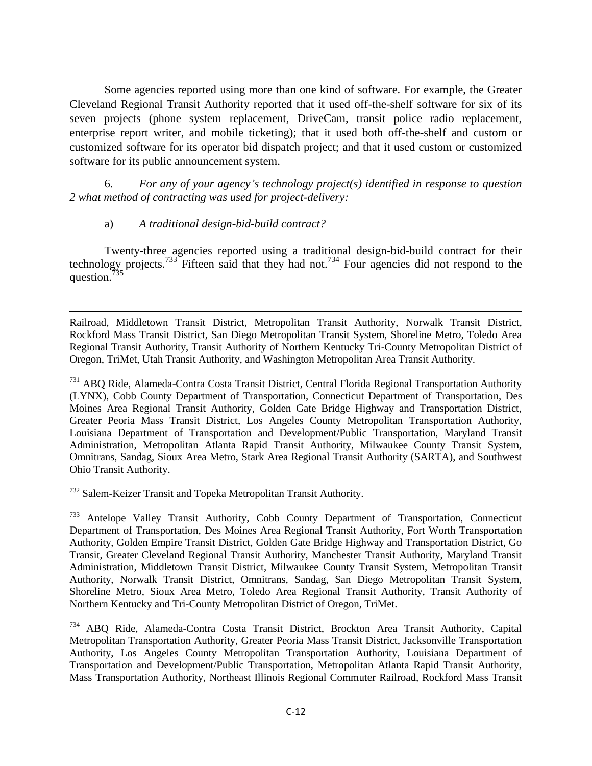Some agencies reported using more than one kind of software. For example, the Greater Cleveland Regional Transit Authority reported that it used off-the-shelf software for six of its seven projects (phone system replacement, DriveCam, transit police radio replacement, enterprise report writer, and mobile ticketing); that it used both off-the-shelf and custom or customized software for its operator bid dispatch project; and that it used custom or customized software for its public announcement system.

6. *For any of your agency"s technology project(s) identified in response to question 2 what method of contracting was used for project-delivery:*

### a) *A traditional design-bid-build contract?*

 $\overline{\phantom{a}}$ 

Twenty-three agencies reported using a traditional design-bid-build contract for their technology projects.<sup>733</sup> Fifteen said that they had not.<sup>734</sup> Four agencies did not respond to the question.<sup>7</sup>

Railroad, Middletown Transit District, Metropolitan Transit Authority, Norwalk Transit District, Rockford Mass Transit District, San Diego Metropolitan Transit System, Shoreline Metro, Toledo Area Regional Transit Authority, Transit Authority of Northern Kentucky Tri-County Metropolitan District of Oregon, TriMet, Utah Transit Authority, and Washington Metropolitan Area Transit Authority.

<sup>731</sup> ABQ Ride, Alameda-Contra Costa Transit District, Central Florida Regional Transportation Authority (LYNX), Cobb County Department of Transportation, Connecticut Department of Transportation, Des Moines Area Regional Transit Authority, Golden Gate Bridge Highway and Transportation District, Greater Peoria Mass Transit District, Los Angeles County Metropolitan Transportation Authority, Louisiana Department of Transportation and Development/Public Transportation, Maryland Transit Administration, Metropolitan Atlanta Rapid Transit Authority, Milwaukee County Transit System, Omnitrans, Sandag, Sioux Area Metro, Stark Area Regional Transit Authority (SARTA), and Southwest Ohio Transit Authority.

<sup>732</sup> Salem-Keizer Transit and Topeka Metropolitan Transit Authority.

<sup>733</sup> Antelope Valley Transit Authority, Cobb County Department of Transportation, Connecticut Department of Transportation, Des Moines Area Regional Transit Authority, Fort Worth Transportation Authority, Golden Empire Transit District, Golden Gate Bridge Highway and Transportation District, Go Transit, Greater Cleveland Regional Transit Authority, Manchester Transit Authority, Maryland Transit Administration, Middletown Transit District, Milwaukee County Transit System, Metropolitan Transit Authority, Norwalk Transit District, Omnitrans, Sandag, San Diego Metropolitan Transit System, Shoreline Metro, Sioux Area Metro, Toledo Area Regional Transit Authority, Transit Authority of Northern Kentucky and Tri-County Metropolitan District of Oregon, TriMet.

<sup>734</sup> ABQ Ride, Alameda-Contra Costa Transit District, Brockton Area Transit Authority, Capital Metropolitan Transportation Authority, Greater Peoria Mass Transit District, Jacksonville Transportation Authority, Los Angeles County Metropolitan Transportation Authority, Louisiana Department of Transportation and Development/Public Transportation, Metropolitan Atlanta Rapid Transit Authority, Mass Transportation Authority, Northeast Illinois Regional Commuter Railroad, Rockford Mass Transit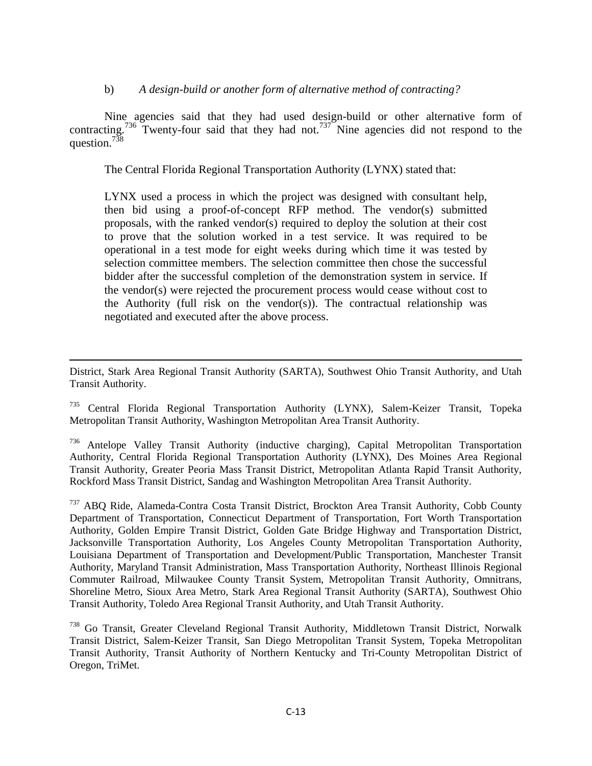#### b) *A design-build or another form of alternative method of contracting?*

Nine agencies said that they had used design-build or other alternative form of contracting.<sup>736</sup> Twenty-four said that they had not.<sup>737</sup> Nine agencies did not respond to the question.<sup>738</sup>

The Central Florida Regional Transportation Authority (LYNX) stated that:

LYNX used a process in which the project was designed with consultant help, then bid using a proof-of-concept RFP method. The vendor(s) submitted proposals, with the ranked vendor(s) required to deploy the solution at their cost to prove that the solution worked in a test service. It was required to be operational in a test mode for eight weeks during which time it was tested by selection committee members. The selection committee then chose the successful bidder after the successful completion of the demonstration system in service. If the vendor(s) were rejected the procurement process would cease without cost to the Authority (full risk on the vendor(s)). The contractual relationship was negotiated and executed after the above process.

 $\overline{\phantom{a}}$ District, Stark Area Regional Transit Authority (SARTA), Southwest Ohio Transit Authority, and Utah Transit Authority.

<sup>735</sup> Central Florida Regional Transportation Authority (LYNX), Salem-Keizer Transit, Topeka Metropolitan Transit Authority, Washington Metropolitan Area Transit Authority.

<sup>&</sup>lt;sup>736</sup> Antelope Valley Transit Authority (inductive charging), Capital Metropolitan Transportation Authority, Central Florida Regional Transportation Authority (LYNX), Des Moines Area Regional Transit Authority, Greater Peoria Mass Transit District, Metropolitan Atlanta Rapid Transit Authority, Rockford Mass Transit District, Sandag and Washington Metropolitan Area Transit Authority.

<sup>737</sup> ABQ Ride, Alameda-Contra Costa Transit District, Brockton Area Transit Authority, Cobb County Department of Transportation, Connecticut Department of Transportation, Fort Worth Transportation Authority, Golden Empire Transit District, Golden Gate Bridge Highway and Transportation District, Jacksonville Transportation Authority, Los Angeles County Metropolitan Transportation Authority, Louisiana Department of Transportation and Development/Public Transportation, Manchester Transit Authority, Maryland Transit Administration, Mass Transportation Authority, Northeast Illinois Regional Commuter Railroad, Milwaukee County Transit System, Metropolitan Transit Authority, Omnitrans, Shoreline Metro, Sioux Area Metro, Stark Area Regional Transit Authority (SARTA), Southwest Ohio Transit Authority, Toledo Area Regional Transit Authority, and Utah Transit Authority.

<sup>738</sup> Go Transit, Greater Cleveland Regional Transit Authority, Middletown Transit District, Norwalk Transit District, Salem-Keizer Transit, San Diego Metropolitan Transit System, Topeka Metropolitan Transit Authority, Transit Authority of Northern Kentucky and Tri-County Metropolitan District of Oregon, TriMet.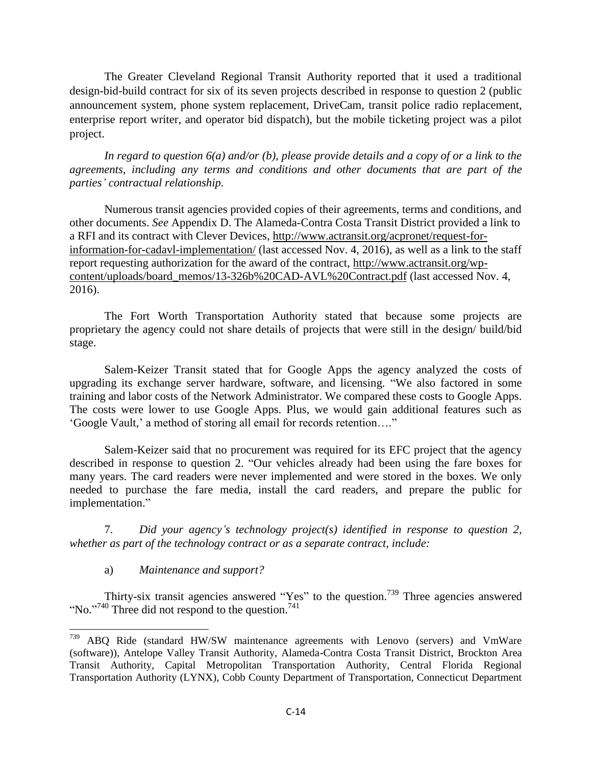The Greater Cleveland Regional Transit Authority reported that it used a traditional design-bid-build contract for six of its seven projects described in response to question 2 (public announcement system, phone system replacement, DriveCam, transit police radio replacement, enterprise report writer, and operator bid dispatch), but the mobile ticketing project was a pilot project.

*In regard to question 6(a) and/or (b), please provide details and a copy of or a link to the agreements, including any terms and conditions and other documents that are part of the parties" contractual relationship.*

Numerous transit agencies provided copies of their agreements, terms and conditions, and other documents. *See* Appendix D. The Alameda-Contra Costa Transit District provided a link to a RFI and its contract with Clever Devices, [http://www.actransit.org/acpronet/request-for](http://www.actransit.org/acpronet/request-for-information-for-cadavl-implementation/)[information-for-cadavl-implementation/](http://www.actransit.org/acpronet/request-for-information-for-cadavl-implementation/) (last accessed Nov. 4, 2016), as well as a link to the staff report requesting authorization for the award of the contract, [http://www.actransit.org/wp](http://www.actransit.org/wp-content/uploads/board_memos/13-326b%20CAD-AVL%20Contract.pdf)[content/uploads/board\\_memos/13-326b%20CAD-AVL%20Contract.pdf](http://www.actransit.org/wp-content/uploads/board_memos/13-326b%20CAD-AVL%20Contract.pdf) (last accessed Nov. 4, 2016).

The Fort Worth Transportation Authority stated that because some projects are proprietary the agency could not share details of projects that were still in the design/ build/bid stage.

Salem-Keizer Transit stated that for Google Apps the agency analyzed the costs of upgrading its exchange server hardware, software, and licensing. "We also factored in some training and labor costs of the Network Administrator. We compared these costs to Google Apps. The costs were lower to use Google Apps. Plus, we would gain additional features such as ‗Google Vault,' a method of storing all email for records retention….‖

Salem-Keizer said that no procurement was required for its EFC project that the agency described in response to question 2. "Our vehicles already had been using the fare boxes for many years. The card readers were never implemented and were stored in the boxes. We only needed to purchase the fare media, install the card readers, and prepare the public for implementation."

7. *Did your agency"s technology project(s) identified in response to question 2, whether as part of the technology contract or as a separate contract, include:*

a) *Maintenance and support?*

Thirty-six transit agencies answered "Yes" to the question.<sup>739</sup> Three agencies answered "No."<sup>740</sup> Three did not respond to the question.<sup>741</sup>

<sup>739</sup> ABQ Ride (standard HW/SW maintenance agreements with Lenovo (servers) and VmWare (software)), Antelope Valley Transit Authority, Alameda-Contra Costa Transit District, Brockton Area Transit Authority, Capital Metropolitan Transportation Authority, Central Florida Regional Transportation Authority (LYNX), Cobb County Department of Transportation, Connecticut Department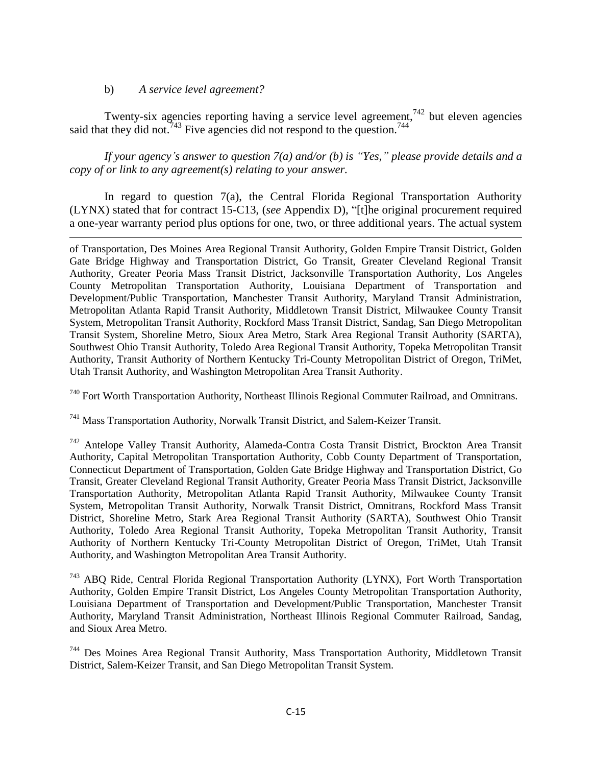#### b) *A service level agreement?*

 $\overline{a}$ 

Twenty-six agencies reporting having a service level agreement,<sup>742</sup> but eleven agencies said that they did not.<sup>743</sup> Five agencies did not respond to the question.<sup>744</sup>

*If your agency"s answer to question 7(a) and/or (b) is "Yes," please provide details and a copy of or link to any agreement(s) relating to your answer.*

In regard to question 7(a), the Central Florida Regional Transportation Authority (LYNX) stated that for contract 15-C13, (*see* Appendix D), "[t]he original procurement required a one-year warranty period plus options for one, two, or three additional years. The actual system

of Transportation, Des Moines Area Regional Transit Authority, Golden Empire Transit District, Golden Gate Bridge Highway and Transportation District, Go Transit, Greater Cleveland Regional Transit Authority, Greater Peoria Mass Transit District, Jacksonville Transportation Authority, Los Angeles County Metropolitan Transportation Authority, Louisiana Department of Transportation and Development/Public Transportation, Manchester Transit Authority, Maryland Transit Administration, Metropolitan Atlanta Rapid Transit Authority, Middletown Transit District, Milwaukee County Transit System, Metropolitan Transit Authority, Rockford Mass Transit District, Sandag, San Diego Metropolitan Transit System, Shoreline Metro, Sioux Area Metro, Stark Area Regional Transit Authority (SARTA), Southwest Ohio Transit Authority, Toledo Area Regional Transit Authority, Topeka Metropolitan Transit Authority, Transit Authority of Northern Kentucky Tri-County Metropolitan District of Oregon, TriMet, Utah Transit Authority, and Washington Metropolitan Area Transit Authority.

<sup>740</sup> Fort Worth Transportation Authority, Northeast Illinois Regional Commuter Railroad, and Omnitrans.

<sup>741</sup> Mass Transportation Authority, Norwalk Transit District, and Salem-Keizer Transit.

<sup>742</sup> Antelope Valley Transit Authority, Alameda-Contra Costa Transit District, Brockton Area Transit Authority, Capital Metropolitan Transportation Authority, Cobb County Department of Transportation, Connecticut Department of Transportation, Golden Gate Bridge Highway and Transportation District, Go Transit, Greater Cleveland Regional Transit Authority, Greater Peoria Mass Transit District, Jacksonville Transportation Authority, Metropolitan Atlanta Rapid Transit Authority, Milwaukee County Transit System, Metropolitan Transit Authority, Norwalk Transit District, Omnitrans, Rockford Mass Transit District, Shoreline Metro, Stark Area Regional Transit Authority (SARTA), Southwest Ohio Transit Authority, Toledo Area Regional Transit Authority, Topeka Metropolitan Transit Authority, Transit Authority of Northern Kentucky Tri-County Metropolitan District of Oregon, TriMet, Utah Transit Authority, and Washington Metropolitan Area Transit Authority.

<sup>743</sup> ABQ Ride, Central Florida Regional Transportation Authority (LYNX), Fort Worth Transportation Authority, Golden Empire Transit District, Los Angeles County Metropolitan Transportation Authority, Louisiana Department of Transportation and Development/Public Transportation, Manchester Transit Authority, Maryland Transit Administration, Northeast Illinois Regional Commuter Railroad, Sandag, and Sioux Area Metro.

<sup>744</sup> Des Moines Area Regional Transit Authority, Mass Transportation Authority, Middletown Transit District, Salem-Keizer Transit, and San Diego Metropolitan Transit System.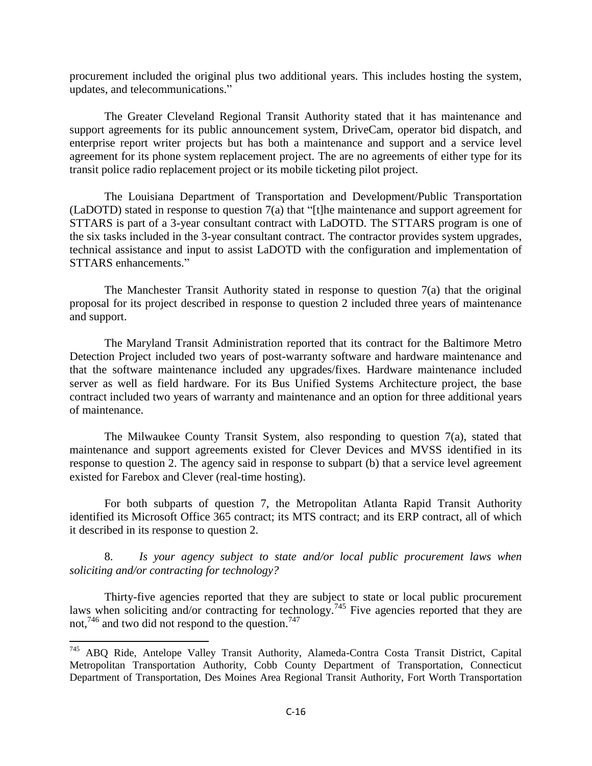procurement included the original plus two additional years. This includes hosting the system, updates, and telecommunications."

The Greater Cleveland Regional Transit Authority stated that it has maintenance and support agreements for its public announcement system, DriveCam, operator bid dispatch, and enterprise report writer projects but has both a maintenance and support and a service level agreement for its phone system replacement project. The are no agreements of either type for its transit police radio replacement project or its mobile ticketing pilot project.

The Louisiana Department of Transportation and Development/Public Transportation  $(LaDOTD)$  stated in response to question  $7(a)$  that "[t]he maintenance and support agreement for STTARS is part of a 3-year consultant contract with LaDOTD. The STTARS program is one of the six tasks included in the 3-year consultant contract. The contractor provides system upgrades, technical assistance and input to assist LaDOTD with the configuration and implementation of STTARS enhancements."

The Manchester Transit Authority stated in response to question  $7(a)$  that the original proposal for its project described in response to question 2 included three years of maintenance and support.

The Maryland Transit Administration reported that its contract for the Baltimore Metro Detection Project included two years of post-warranty software and hardware maintenance and that the software maintenance included any upgrades/fixes. Hardware maintenance included server as well as field hardware. For its Bus Unified Systems Architecture project, the base contract included two years of warranty and maintenance and an option for three additional years of maintenance.

The Milwaukee County Transit System, also responding to question 7(a), stated that maintenance and support agreements existed for Clever Devices and MVSS identified in its response to question 2. The agency said in response to subpart (b) that a service level agreement existed for Farebox and Clever (real-time hosting).

For both subparts of question 7, the Metropolitan Atlanta Rapid Transit Authority identified its Microsoft Office 365 contract; its MTS contract; and its ERP contract, all of which it described in its response to question 2.

8. *Is your agency subject to state and/or local public procurement laws when soliciting and/or contracting for technology?*

Thirty-five agencies reported that they are subject to state or local public procurement laws when soliciting and/or contracting for technology.<sup>745</sup> Five agencies reported that they are not,<sup>746</sup> and two did not respond to the question.<sup>747</sup>

l

<sup>745</sup> ABQ Ride, Antelope Valley Transit Authority, Alameda-Contra Costa Transit District, Capital Metropolitan Transportation Authority, Cobb County Department of Transportation, Connecticut Department of Transportation, Des Moines Area Regional Transit Authority, Fort Worth Transportation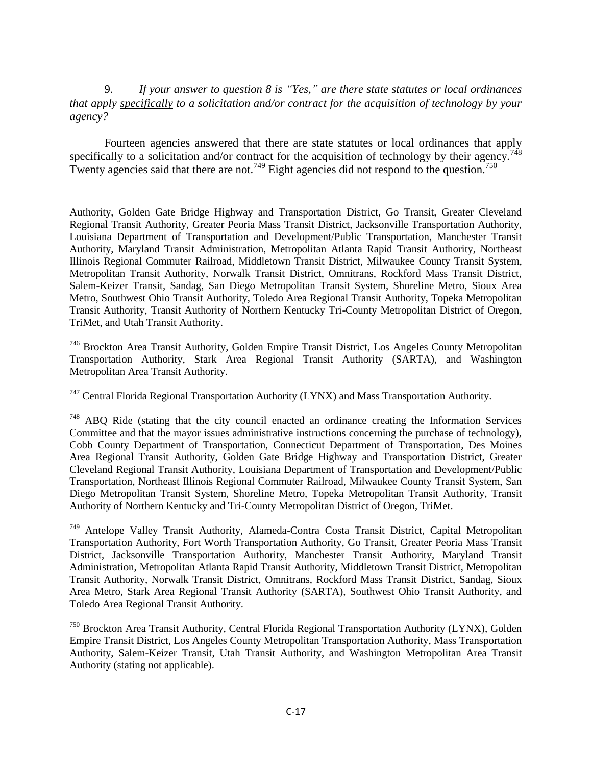9. *If your answer to question 8 is "Yes," are there state statutes or local ordinances that apply specifically to a solicitation and/or contract for the acquisition of technology by your agency?*

Fourteen agencies answered that there are state statutes or local ordinances that apply specifically to a solicitation and/or contract for the acquisition of technology by their agency.<sup>74</sup> Twenty agencies said that there are not.<sup>749</sup> Eight agencies did not respond to the question.<sup>750</sup>

 $\overline{\phantom{a}}$ 

Authority, Golden Gate Bridge Highway and Transportation District, Go Transit, Greater Cleveland Regional Transit Authority, Greater Peoria Mass Transit District, Jacksonville Transportation Authority, Louisiana Department of Transportation and Development/Public Transportation, Manchester Transit Authority, Maryland Transit Administration, Metropolitan Atlanta Rapid Transit Authority, Northeast Illinois Regional Commuter Railroad, Middletown Transit District, Milwaukee County Transit System, Metropolitan Transit Authority, Norwalk Transit District, Omnitrans, Rockford Mass Transit District, Salem-Keizer Transit, Sandag, San Diego Metropolitan Transit System, Shoreline Metro, Sioux Area Metro, Southwest Ohio Transit Authority, Toledo Area Regional Transit Authority, Topeka Metropolitan Transit Authority, Transit Authority of Northern Kentucky Tri-County Metropolitan District of Oregon, TriMet, and Utah Transit Authority.

<sup>746</sup> Brockton Area Transit Authority, Golden Empire Transit District, Los Angeles County Metropolitan Transportation Authority, Stark Area Regional Transit Authority (SARTA), and Washington Metropolitan Area Transit Authority.

<sup>747</sup> Central Florida Regional Transportation Authority (LYNX) and Mass Transportation Authority.

<sup>748</sup> ABQ Ride (stating that the city council enacted an ordinance creating the Information Services Committee and that the mayor issues administrative instructions concerning the purchase of technology), Cobb County Department of Transportation, Connecticut Department of Transportation, Des Moines Area Regional Transit Authority, Golden Gate Bridge Highway and Transportation District, Greater Cleveland Regional Transit Authority, Louisiana Department of Transportation and Development/Public Transportation, Northeast Illinois Regional Commuter Railroad, Milwaukee County Transit System, San Diego Metropolitan Transit System, Shoreline Metro, Topeka Metropolitan Transit Authority, Transit Authority of Northern Kentucky and Tri-County Metropolitan District of Oregon, TriMet.

<sup>749</sup> Antelope Valley Transit Authority, Alameda-Contra Costa Transit District, Capital Metropolitan Transportation Authority, Fort Worth Transportation Authority, Go Transit, Greater Peoria Mass Transit District, Jacksonville Transportation Authority, Manchester Transit Authority, Maryland Transit Administration, Metropolitan Atlanta Rapid Transit Authority, Middletown Transit District, Metropolitan Transit Authority, Norwalk Transit District, Omnitrans, Rockford Mass Transit District, Sandag, Sioux Area Metro, Stark Area Regional Transit Authority (SARTA), Southwest Ohio Transit Authority, and Toledo Area Regional Transit Authority.

<sup>750</sup> Brockton Area Transit Authority, Central Florida Regional Transportation Authority (LYNX), Golden Empire Transit District, Los Angeles County Metropolitan Transportation Authority, Mass Transportation Authority, Salem-Keizer Transit, Utah Transit Authority, and Washington Metropolitan Area Transit Authority (stating not applicable).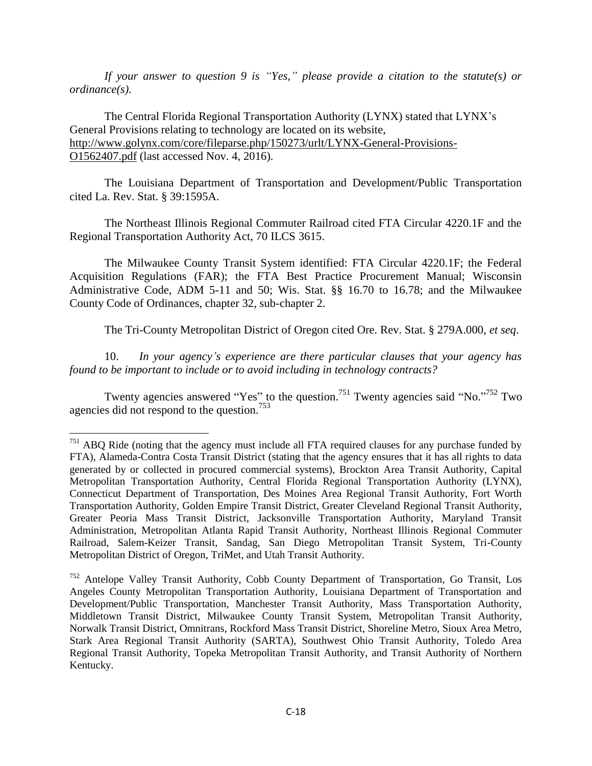*If your answer to question 9 is "Yes," please provide a citation to the statute(s) or ordinance(s).*

The Central Florida Regional Transportation Authority (LYNX) stated that LYNX's General Provisions relating to technology are located on its website, [http://www.golynx.com/core/fileparse.php/150273/urlt/LYNX-General-Provisions-](http://www.golynx.com/core/fileparse.php/150273/urlt/LYNX-General-Provisions-O1562407.pdf)[O1562407.pdf](http://www.golynx.com/core/fileparse.php/150273/urlt/LYNX-General-Provisions-O1562407.pdf) (last accessed Nov. 4, 2016).

The Louisiana Department of Transportation and Development/Public Transportation cited La. Rev. Stat. § 39:1595A.

The Northeast Illinois Regional Commuter Railroad cited FTA Circular 4220.1F and the Regional Transportation Authority Act, 70 ILCS 3615.

The Milwaukee County Transit System identified: FTA Circular 4220.1F; the Federal Acquisition Regulations (FAR); the FTA Best Practice Procurement Manual; Wisconsin Administrative Code, ADM 5-11 and 50; Wis. Stat. §§ 16.70 to 16.78; and the Milwaukee County Code of Ordinances, chapter 32, sub-chapter 2.

The Tri-County Metropolitan District of Oregon cited Ore. Rev. Stat. § 279A.000, *et seq*.

10. *In your agency"s experience are there particular clauses that your agency has found to be important to include or to avoid including in technology contracts?*

Twenty agencies answered "Yes" to the question.<sup>751</sup> Twenty agencies said "No."<sup>752</sup> Two agencies did not respond to the question.<sup>753</sup>

 $\overline{\phantom{a}}$ 

 $751$  ABQ Ride (noting that the agency must include all FTA required clauses for any purchase funded by FTA), Alameda-Contra Costa Transit District (stating that the agency ensures that it has all rights to data generated by or collected in procured commercial systems), Brockton Area Transit Authority, Capital Metropolitan Transportation Authority, Central Florida Regional Transportation Authority (LYNX), Connecticut Department of Transportation, Des Moines Area Regional Transit Authority, Fort Worth Transportation Authority, Golden Empire Transit District, Greater Cleveland Regional Transit Authority, Greater Peoria Mass Transit District, Jacksonville Transportation Authority, Maryland Transit Administration, Metropolitan Atlanta Rapid Transit Authority, Northeast Illinois Regional Commuter Railroad, Salem-Keizer Transit, Sandag, San Diego Metropolitan Transit System, Tri-County Metropolitan District of Oregon, TriMet, and Utah Transit Authority.

<sup>752</sup> Antelope Valley Transit Authority, Cobb County Department of Transportation, Go Transit, Los Angeles County Metropolitan Transportation Authority, Louisiana Department of Transportation and Development/Public Transportation, Manchester Transit Authority, Mass Transportation Authority, Middletown Transit District, Milwaukee County Transit System, Metropolitan Transit Authority, Norwalk Transit District, Omnitrans, Rockford Mass Transit District, Shoreline Metro, Sioux Area Metro, Stark Area Regional Transit Authority (SARTA), Southwest Ohio Transit Authority, Toledo Area Regional Transit Authority, Topeka Metropolitan Transit Authority, and Transit Authority of Northern Kentucky.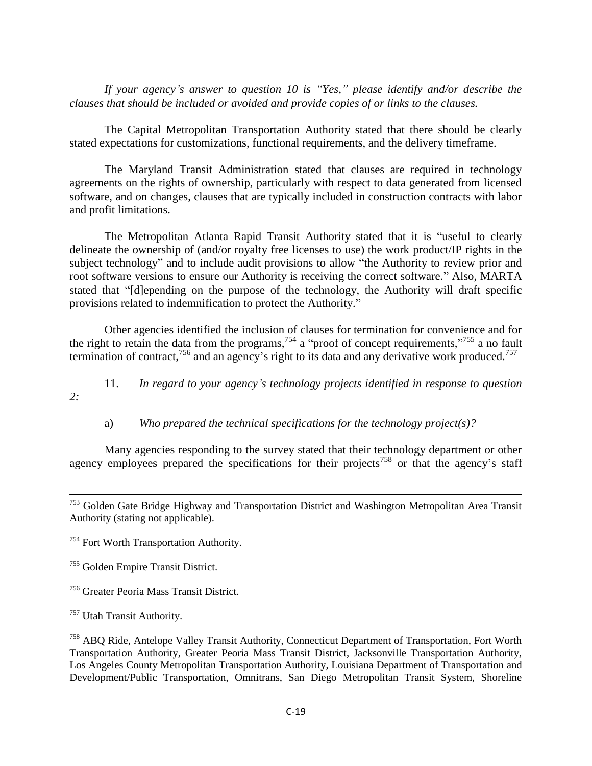*If your agency"s answer to question 10 is "Yes," please identify and/or describe the clauses that should be included or avoided and provide copies of or links to the clauses.*

The Capital Metropolitan Transportation Authority stated that there should be clearly stated expectations for customizations, functional requirements, and the delivery timeframe.

The Maryland Transit Administration stated that clauses are required in technology agreements on the rights of ownership, particularly with respect to data generated from licensed software, and on changes, clauses that are typically included in construction contracts with labor and profit limitations.

The Metropolitan Atlanta Rapid Transit Authority stated that it is "useful to clearly delineate the ownership of (and/or royalty free licenses to use) the work product/IP rights in the subject technology" and to include audit provisions to allow "the Authority to review prior and root software versions to ensure our Authority is receiving the correct software." Also, MARTA stated that "[d]epending on the purpose of the technology, the Authority will draft specific provisions related to indemnification to protect the Authority."

Other agencies identified the inclusion of clauses for termination for convenience and for the right to retain the data from the programs,<sup>754</sup> a "proof of concept requirements,"<sup>755</sup> a no fault termination of contract,<sup>756</sup> and an agency's right to its data and any derivative work produced.<sup>757</sup>

11. *In regard to your agency"s technology projects identified in response to question 2:*

a) *Who prepared the technical specifications for the technology project(s)?*

Many agencies responding to the survey stated that their technology department or other agency employees prepared the specifications for their projects<sup>758</sup> or that the agency's staff

 $\overline{\phantom{a}}$ 

<sup>&</sup>lt;sup>753</sup> Golden Gate Bridge Highway and Transportation District and Washington Metropolitan Area Transit Authority (stating not applicable).

<sup>754</sup> Fort Worth Transportation Authority.

<sup>755</sup> Golden Empire Transit District.

<sup>756</sup> Greater Peoria Mass Transit District.

<sup>&</sup>lt;sup>757</sup> Utah Transit Authority.

<sup>758</sup> ABQ Ride, Antelope Valley Transit Authority, Connecticut Department of Transportation, Fort Worth Transportation Authority, Greater Peoria Mass Transit District, Jacksonville Transportation Authority, Los Angeles County Metropolitan Transportation Authority, Louisiana Department of Transportation and Development/Public Transportation, Omnitrans, San Diego Metropolitan Transit System, Shoreline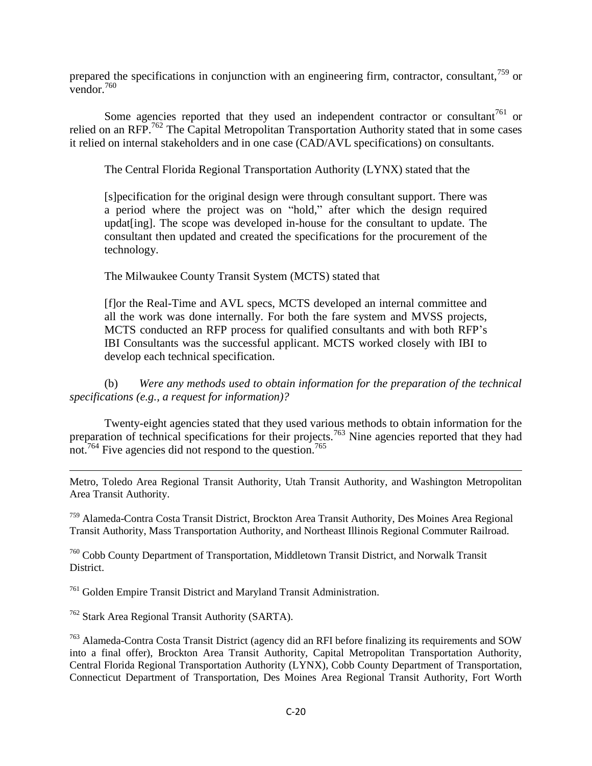prepared the specifications in conjunction with an engineering firm, contractor, consultant,<sup>759</sup> or vendor. $760$ 

Some agencies reported that they used an independent contractor or consultant<sup>761</sup> or relied on an RFP.<sup>762</sup> The Capital Metropolitan Transportation Authority stated that in some cases it relied on internal stakeholders and in one case (CAD/AVL specifications) on consultants.

The Central Florida Regional Transportation Authority (LYNX) stated that the

[s]pecification for the original design were through consultant support. There was a period where the project was on "hold," after which the design required updat[ing]. The scope was developed in-house for the consultant to update. The consultant then updated and created the specifications for the procurement of the technology.

The Milwaukee County Transit System (MCTS) stated that

[f]or the Real-Time and AVL specs, MCTS developed an internal committee and all the work was done internally. For both the fare system and MVSS projects, MCTS conducted an RFP process for qualified consultants and with both RFP's IBI Consultants was the successful applicant. MCTS worked closely with IBI to develop each technical specification.

(b) *Were any methods used to obtain information for the preparation of the technical specifications (e.g., a request for information)?*

Twenty-eight agencies stated that they used various methods to obtain information for the preparation of technical specifications for their projects.<sup>763</sup> Nine agencies reported that they had not.<sup>764</sup> Five agencies did not respond to the question.<sup>765</sup>

 $\overline{a}$ Metro, Toledo Area Regional Transit Authority, Utah Transit Authority, and Washington Metropolitan Area Transit Authority.

<sup>759</sup> Alameda-Contra Costa Transit District, Brockton Area Transit Authority, Des Moines Area Regional Transit Authority, Mass Transportation Authority, and Northeast Illinois Regional Commuter Railroad.

<sup>760</sup> Cobb County Department of Transportation, Middletown Transit District, and Norwalk Transit **District** 

<sup>761</sup> Golden Empire Transit District and Maryland Transit Administration.

<sup>762</sup> Stark Area Regional Transit Authority (SARTA).

<sup>763</sup> Alameda-Contra Costa Transit District (agency did an RFI before finalizing its requirements and SOW into a final offer), Brockton Area Transit Authority, Capital Metropolitan Transportation Authority, Central Florida Regional Transportation Authority (LYNX), Cobb County Department of Transportation, Connecticut Department of Transportation, Des Moines Area Regional Transit Authority, Fort Worth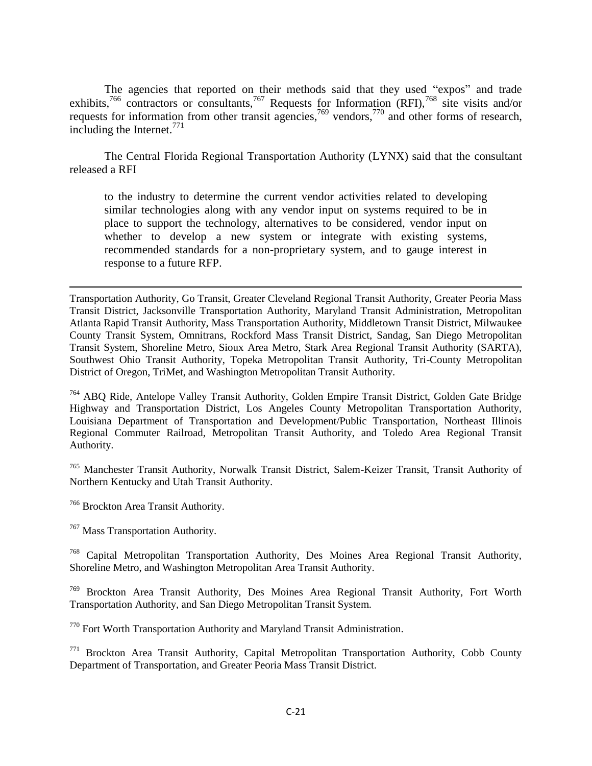The agencies that reported on their methods said that they used "expos" and trade exhibits,<sup>766</sup> contractors or consultants,<sup>767</sup> Requests for Information (RFI),<sup>768</sup> site visits and/or requests for information from other transit agencies,<sup>769</sup> vendors,<sup>770</sup> and other forms of research, including the Internet.<sup>771</sup>

The Central Florida Regional Transportation Authority (LYNX) said that the consultant released a RFI

to the industry to determine the current vendor activities related to developing similar technologies along with any vendor input on systems required to be in place to support the technology, alternatives to be considered, vendor input on whether to develop a new system or integrate with existing systems, recommended standards for a non-proprietary system, and to gauge interest in response to a future RFP.

<sup>764</sup> ABQ Ride, Antelope Valley Transit Authority, Golden Empire Transit District, Golden Gate Bridge Highway and Transportation District, Los Angeles County Metropolitan Transportation Authority, Louisiana Department of Transportation and Development/Public Transportation, Northeast Illinois Regional Commuter Railroad, Metropolitan Transit Authority, and Toledo Area Regional Transit Authority.

<sup>765</sup> Manchester Transit Authority, Norwalk Transit District, Salem-Keizer Transit, Transit Authority of Northern Kentucky and Utah Transit Authority.

<sup>766</sup> Brockton Area Transit Authority.

<sup>767</sup> Mass Transportation Authority.

<sup>768</sup> Capital Metropolitan Transportation Authority, Des Moines Area Regional Transit Authority, Shoreline Metro, and Washington Metropolitan Area Transit Authority.

<sup>769</sup> Brockton Area Transit Authority, Des Moines Area Regional Transit Authority, Fort Worth Transportation Authority, and San Diego Metropolitan Transit System.

 $770$  Fort Worth Transportation Authority and Maryland Transit Administration.

<sup>771</sup> Brockton Area Transit Authority, Capital Metropolitan Transportation Authority, Cobb County Department of Transportation, and Greater Peoria Mass Transit District.

 $\overline{a}$ Transportation Authority, Go Transit, Greater Cleveland Regional Transit Authority, Greater Peoria Mass Transit District, Jacksonville Transportation Authority, Maryland Transit Administration, Metropolitan Atlanta Rapid Transit Authority, Mass Transportation Authority, Middletown Transit District, Milwaukee County Transit System, Omnitrans, Rockford Mass Transit District, Sandag, San Diego Metropolitan Transit System, Shoreline Metro, Sioux Area Metro, Stark Area Regional Transit Authority (SARTA), Southwest Ohio Transit Authority, Topeka Metropolitan Transit Authority, Tri-County Metropolitan District of Oregon, TriMet, and Washington Metropolitan Transit Authority.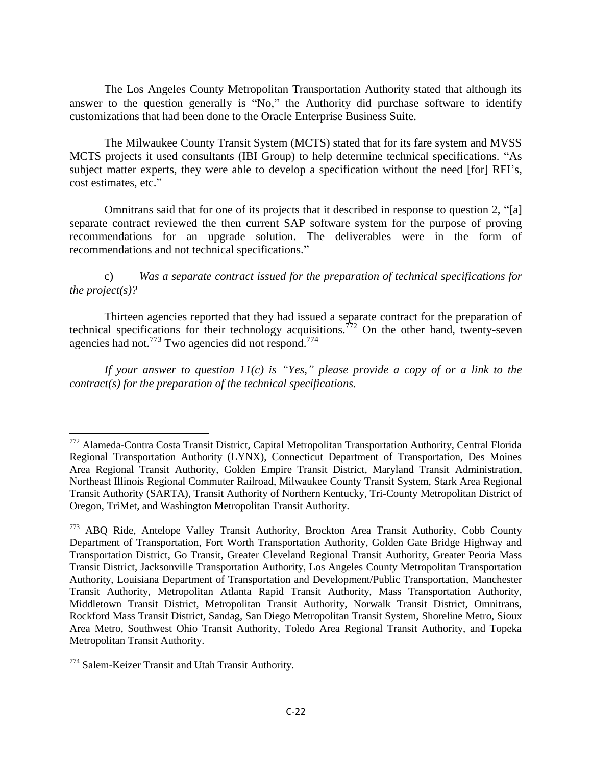The Los Angeles County Metropolitan Transportation Authority stated that although its answer to the question generally is "No," the Authority did purchase software to identify customizations that had been done to the Oracle Enterprise Business Suite.

The Milwaukee County Transit System (MCTS) stated that for its fare system and MVSS MCTS projects it used consultants (IBI Group) to help determine technical specifications. "As subject matter experts, they were able to develop a specification without the need [for] RFI's, cost estimates, etc."

Omnitrans said that for one of its projects that it described in response to question  $2$ , "[a] separate contract reviewed the then current SAP software system for the purpose of proving recommendations for an upgrade solution. The deliverables were in the form of recommendations and not technical specifications."

c) *Was a separate contract issued for the preparation of technical specifications for the project(s)?*

Thirteen agencies reported that they had issued a separate contract for the preparation of technical specifications for their technology acquisitions.<sup> $772$ </sup> On the other hand, twenty-seven agencies had not.<sup>773</sup> Two agencies did not respond.<sup>774</sup>

*If your answer to question 11(c) is "Yes," please provide a copy of or a link to the contract(s) for the preparation of the technical specifications.*

 $\overline{\phantom{a}}$ 

<sup>&</sup>lt;sup>772</sup> Alameda-Contra Costa Transit District, Capital Metropolitan Transportation Authority, Central Florida Regional Transportation Authority (LYNX), Connecticut Department of Transportation, Des Moines Area Regional Transit Authority, Golden Empire Transit District, Maryland Transit Administration, Northeast Illinois Regional Commuter Railroad, Milwaukee County Transit System, Stark Area Regional Transit Authority (SARTA), Transit Authority of Northern Kentucky, Tri-County Metropolitan District of Oregon, TriMet, and Washington Metropolitan Transit Authority.

<sup>773</sup> ABQ Ride, Antelope Valley Transit Authority, Brockton Area Transit Authority, Cobb County Department of Transportation, Fort Worth Transportation Authority, Golden Gate Bridge Highway and Transportation District, Go Transit, Greater Cleveland Regional Transit Authority, Greater Peoria Mass Transit District, Jacksonville Transportation Authority, Los Angeles County Metropolitan Transportation Authority, Louisiana Department of Transportation and Development/Public Transportation, Manchester Transit Authority, Metropolitan Atlanta Rapid Transit Authority, Mass Transportation Authority, Middletown Transit District, Metropolitan Transit Authority, Norwalk Transit District, Omnitrans, Rockford Mass Transit District, Sandag, San Diego Metropolitan Transit System, Shoreline Metro, Sioux Area Metro, Southwest Ohio Transit Authority, Toledo Area Regional Transit Authority, and Topeka Metropolitan Transit Authority.

<sup>774</sup> Salem-Keizer Transit and Utah Transit Authority.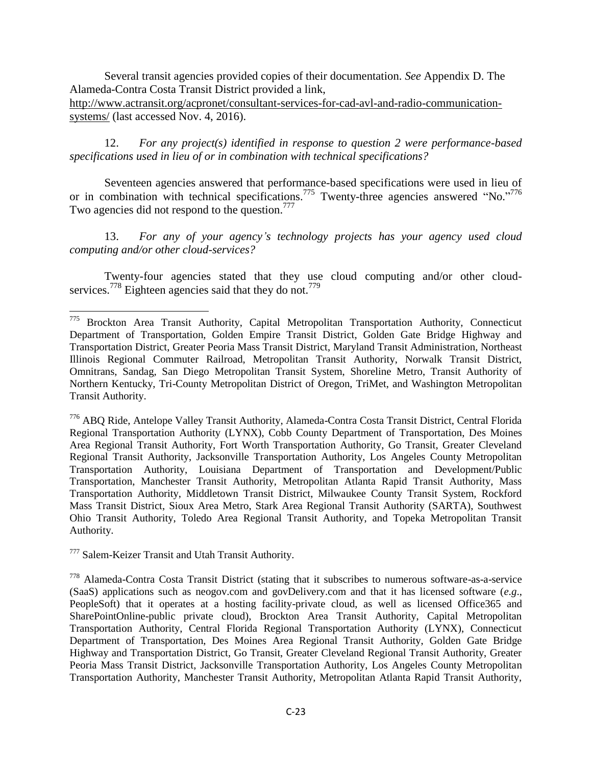Several transit agencies provided copies of their documentation. *See* Appendix D. The Alameda-Contra Costa Transit District provided a link,

[http://www.actransit.org/acpronet/consultant-services-for-cad-avl-and-radio-communication](http://www.actransit.org/acpronet/consultant-services-for-cad-avl-and-radio-communication-systems/)[systems/](http://www.actransit.org/acpronet/consultant-services-for-cad-avl-and-radio-communication-systems/) (last accessed Nov. 4, 2016).

12. *For any project(s) identified in response to question 2 were performance-based specifications used in lieu of or in combination with technical specifications?*

Seventeen agencies answered that performance-based specifications were used in lieu of or in combination with technical specifications.<sup>775</sup> Twenty-three agencies answered "No."<sup>776</sup> Two agencies did not respond to the question.<sup>777</sup>

13. *For any of your agency"s technology projects has your agency used cloud computing and/or other cloud-services?*

Twenty-four agencies stated that they use cloud computing and/or other cloudservices.<sup>778</sup> Eighteen agencies said that they do not.<sup>779</sup>

<sup>776</sup> ABQ Ride, Antelope Valley Transit Authority, Alameda-Contra Costa Transit District, Central Florida Regional Transportation Authority (LYNX), Cobb County Department of Transportation, Des Moines Area Regional Transit Authority, Fort Worth Transportation Authority, Go Transit, Greater Cleveland Regional Transit Authority, Jacksonville Transportation Authority, Los Angeles County Metropolitan Transportation Authority, Louisiana Department of Transportation and Development/Public Transportation, Manchester Transit Authority, Metropolitan Atlanta Rapid Transit Authority, Mass Transportation Authority, Middletown Transit District, Milwaukee County Transit System, Rockford Mass Transit District, Sioux Area Metro, Stark Area Regional Transit Authority (SARTA), Southwest Ohio Transit Authority, Toledo Area Regional Transit Authority, and Topeka Metropolitan Transit Authority.

<sup>777</sup> Salem-Keizer Transit and Utah Transit Authority.

 $\overline{\phantom{a}}$ 

<sup>778</sup> Alameda-Contra Costa Transit District (stating that it subscribes to numerous software-as-a-service (SaaS) applications such as neogov.com and govDelivery.com and that it has licensed software (*e.g*., PeopleSoft) that it operates at a hosting facility-private cloud, as well as licensed Office365 and SharePointOnline-public private cloud), Brockton Area Transit Authority, Capital Metropolitan Transportation Authority, Central Florida Regional Transportation Authority (LYNX), Connecticut Department of Transportation, Des Moines Area Regional Transit Authority, Golden Gate Bridge Highway and Transportation District, Go Transit, Greater Cleveland Regional Transit Authority, Greater Peoria Mass Transit District, Jacksonville Transportation Authority, Los Angeles County Metropolitan Transportation Authority, Manchester Transit Authority, Metropolitan Atlanta Rapid Transit Authority,

<sup>775</sup> Brockton Area Transit Authority, Capital Metropolitan Transportation Authority, Connecticut Department of Transportation, Golden Empire Transit District, Golden Gate Bridge Highway and Transportation District, Greater Peoria Mass Transit District, Maryland Transit Administration, Northeast Illinois Regional Commuter Railroad, Metropolitan Transit Authority, Norwalk Transit District, Omnitrans, Sandag, San Diego Metropolitan Transit System, Shoreline Metro, Transit Authority of Northern Kentucky, Tri-County Metropolitan District of Oregon, TriMet, and Washington Metropolitan Transit Authority.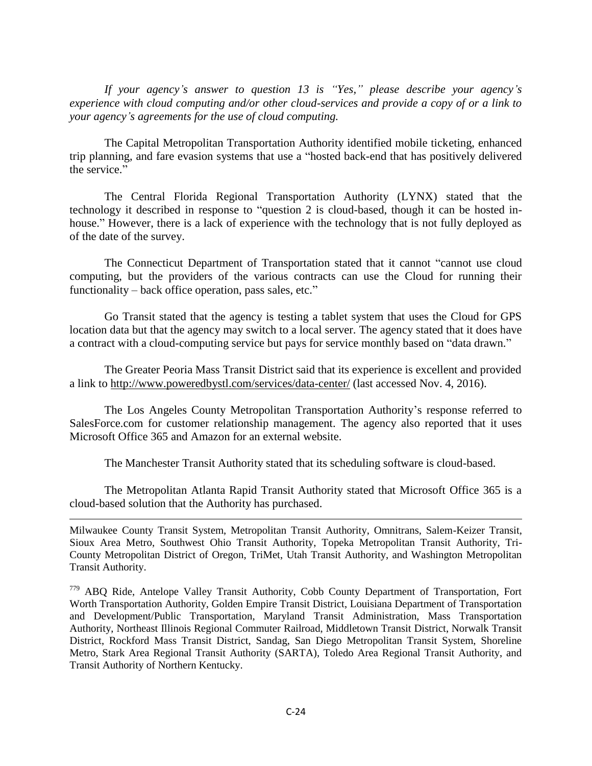*If your agency"s answer to question 13 is "Yes," please describe your agency"s experience with cloud computing and/or other cloud-services and provide a copy of or a link to your agency"s agreements for the use of cloud computing.*

The Capital Metropolitan Transportation Authority identified mobile ticketing, enhanced trip planning, and fare evasion systems that use a "hosted back-end that has positively delivered the service."

The Central Florida Regional Transportation Authority (LYNX) stated that the technology it described in response to "question 2 is cloud-based, though it can be hosted inhouse." However, there is a lack of experience with the technology that is not fully deployed as of the date of the survey.

The Connecticut Department of Transportation stated that it cannot "cannot use cloud computing, but the providers of the various contracts can use the Cloud for running their functionality – back office operation, pass sales, etc."

Go Transit stated that the agency is testing a tablet system that uses the Cloud for GPS location data but that the agency may switch to a local server. The agency stated that it does have a contract with a cloud-computing service but pays for service monthly based on "data drawn."

The Greater Peoria Mass Transit District said that its experience is excellent and provided a link to<http://www.poweredbystl.com/services/data-center/> (last accessed Nov. 4, 2016).

The Los Angeles County Metropolitan Transportation Authority's response referred to SalesForce.com for customer relationship management. The agency also reported that it uses Microsoft Office 365 and Amazon for an external website.

The Manchester Transit Authority stated that its scheduling software is cloud-based.

The Metropolitan Atlanta Rapid Transit Authority stated that Microsoft Office 365 is a cloud-based solution that the Authority has purchased.

 $\overline{\phantom{a}}$ 

Milwaukee County Transit System, Metropolitan Transit Authority, Omnitrans, Salem-Keizer Transit, Sioux Area Metro, Southwest Ohio Transit Authority, Topeka Metropolitan Transit Authority, Tri-County Metropolitan District of Oregon, TriMet, Utah Transit Authority, and Washington Metropolitan Transit Authority.

779 ABO Ride, Antelope Valley Transit Authority, Cobb County Department of Transportation, Fort Worth Transportation Authority, Golden Empire Transit District, Louisiana Department of Transportation and Development/Public Transportation, Maryland Transit Administration, Mass Transportation Authority, Northeast Illinois Regional Commuter Railroad, Middletown Transit District, Norwalk Transit District, Rockford Mass Transit District, Sandag, San Diego Metropolitan Transit System, Shoreline Metro, Stark Area Regional Transit Authority (SARTA), Toledo Area Regional Transit Authority, and Transit Authority of Northern Kentucky.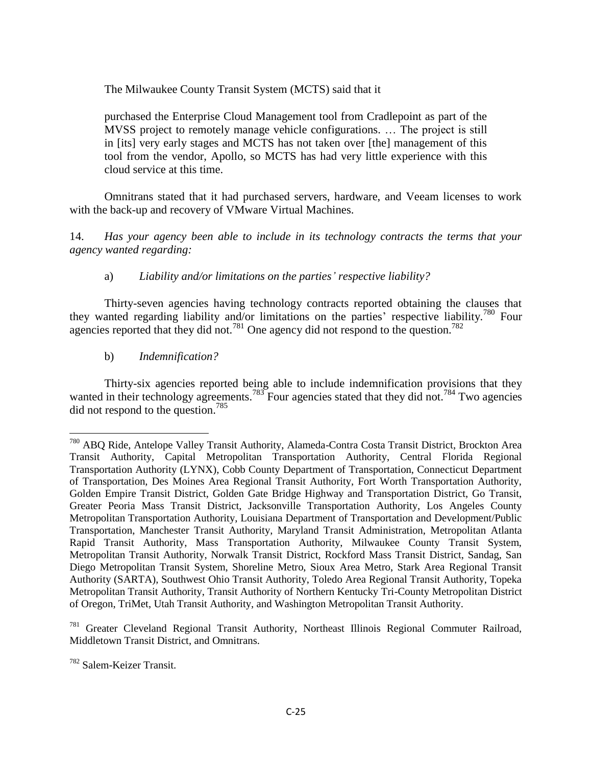The Milwaukee County Transit System (MCTS) said that it

purchased the Enterprise Cloud Management tool from Cradlepoint as part of the MVSS project to remotely manage vehicle configurations. … The project is still in [its] very early stages and MCTS has not taken over [the] management of this tool from the vendor, Apollo, so MCTS has had very little experience with this cloud service at this time.

Omnitrans stated that it had purchased servers, hardware, and Veeam licenses to work with the back-up and recovery of VMware Virtual Machines.

14. *Has your agency been able to include in its technology contracts the terms that your agency wanted regarding:*

### a) *Liability and/or limitations on the parties" respective liability?*

Thirty-seven agencies having technology contracts reported obtaining the clauses that they wanted regarding liability and/or limitations on the parties' respective liability.<sup>780</sup> Four agencies reported that they did not.<sup>781</sup> One agency did not respond to the question.<sup>782</sup>

### b) *Indemnification?*

Thirty-six agencies reported being able to include indemnification provisions that they wanted in their technology agreements.<sup>783</sup> Four agencies stated that they did not.<sup>784</sup> Two agencies did not respond to the question.<sup>785</sup>

<sup>781</sup> Greater Cleveland Regional Transit Authority, Northeast Illinois Regional Commuter Railroad, Middletown Transit District, and Omnitrans.

 $\overline{\phantom{a}}$ 

<sup>780</sup> ABQ Ride, Antelope Valley Transit Authority, Alameda-Contra Costa Transit District, Brockton Area Transit Authority, Capital Metropolitan Transportation Authority, Central Florida Regional Transportation Authority (LYNX), Cobb County Department of Transportation, Connecticut Department of Transportation, Des Moines Area Regional Transit Authority, Fort Worth Transportation Authority, Golden Empire Transit District, Golden Gate Bridge Highway and Transportation District, Go Transit, Greater Peoria Mass Transit District, Jacksonville Transportation Authority, Los Angeles County Metropolitan Transportation Authority, Louisiana Department of Transportation and Development/Public Transportation, Manchester Transit Authority, Maryland Transit Administration, Metropolitan Atlanta Rapid Transit Authority, Mass Transportation Authority, Milwaukee County Transit System, Metropolitan Transit Authority, Norwalk Transit District, Rockford Mass Transit District, Sandag, San Diego Metropolitan Transit System, Shoreline Metro, Sioux Area Metro, Stark Area Regional Transit Authority (SARTA), Southwest Ohio Transit Authority, Toledo Area Regional Transit Authority, Topeka Metropolitan Transit Authority, Transit Authority of Northern Kentucky Tri-County Metropolitan District of Oregon, TriMet, Utah Transit Authority, and Washington Metropolitan Transit Authority.

<sup>782</sup> Salem-Keizer Transit.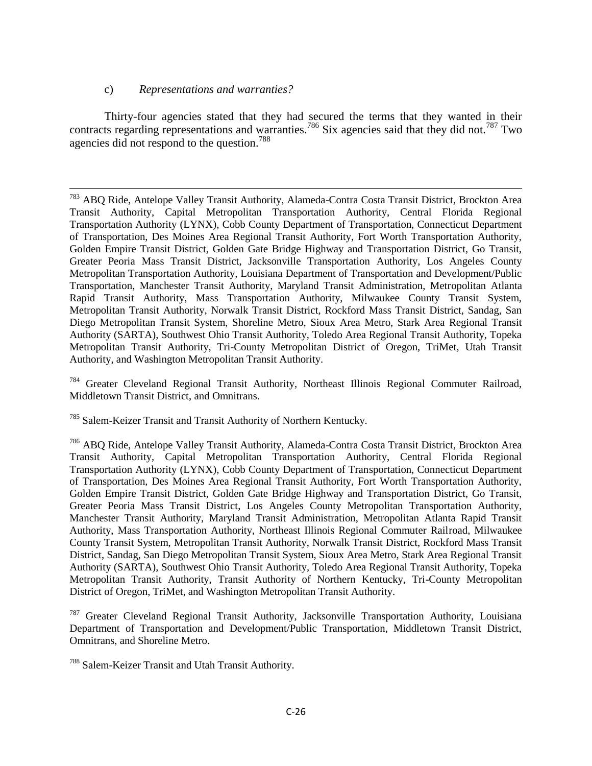#### c) *Representations and warranties?*

 $\overline{a}$ 

Thirty-four agencies stated that they had secured the terms that they wanted in their contracts regarding representations and warranties.<sup>786</sup> Six agencies said that they did not.<sup>787</sup> Two agencies did not respond to the question.<sup>788</sup>

<sup>784</sup> Greater Cleveland Regional Transit Authority, Northeast Illinois Regional Commuter Railroad, Middletown Transit District, and Omnitrans.

<sup>785</sup> Salem-Keizer Transit and Transit Authority of Northern Kentucky.

<sup>&</sup>lt;sup>783</sup> ABQ Ride, Antelope Valley Transit Authority, Alameda-Contra Costa Transit District, Brockton Area Transit Authority, Capital Metropolitan Transportation Authority, Central Florida Regional Transportation Authority (LYNX), Cobb County Department of Transportation, Connecticut Department of Transportation, Des Moines Area Regional Transit Authority, Fort Worth Transportation Authority, Golden Empire Transit District, Golden Gate Bridge Highway and Transportation District, Go Transit, Greater Peoria Mass Transit District, Jacksonville Transportation Authority, Los Angeles County Metropolitan Transportation Authority, Louisiana Department of Transportation and Development/Public Transportation, Manchester Transit Authority, Maryland Transit Administration, Metropolitan Atlanta Rapid Transit Authority, Mass Transportation Authority, Milwaukee County Transit System, Metropolitan Transit Authority, Norwalk Transit District, Rockford Mass Transit District, Sandag, San Diego Metropolitan Transit System, Shoreline Metro, Sioux Area Metro, Stark Area Regional Transit Authority (SARTA), Southwest Ohio Transit Authority, Toledo Area Regional Transit Authority, Topeka Metropolitan Transit Authority, Tri-County Metropolitan District of Oregon, TriMet, Utah Transit Authority, and Washington Metropolitan Transit Authority.

<sup>786</sup> ABQ Ride, Antelope Valley Transit Authority, Alameda-Contra Costa Transit District, Brockton Area Transit Authority, Capital Metropolitan Transportation Authority, Central Florida Regional Transportation Authority (LYNX), Cobb County Department of Transportation, Connecticut Department of Transportation, Des Moines Area Regional Transit Authority, Fort Worth Transportation Authority, Golden Empire Transit District, Golden Gate Bridge Highway and Transportation District, Go Transit, Greater Peoria Mass Transit District, Los Angeles County Metropolitan Transportation Authority, Manchester Transit Authority, Maryland Transit Administration, Metropolitan Atlanta Rapid Transit Authority, Mass Transportation Authority, Northeast Illinois Regional Commuter Railroad, Milwaukee County Transit System, Metropolitan Transit Authority, Norwalk Transit District, Rockford Mass Transit District, Sandag, San Diego Metropolitan Transit System, Sioux Area Metro, Stark Area Regional Transit Authority (SARTA), Southwest Ohio Transit Authority, Toledo Area Regional Transit Authority, Topeka Metropolitan Transit Authority, Transit Authority of Northern Kentucky, Tri-County Metropolitan District of Oregon, TriMet, and Washington Metropolitan Transit Authority.

<sup>&</sup>lt;sup>787</sup> Greater Cleveland Regional Transit Authority, Jacksonville Transportation Authority, Louisiana Department of Transportation and Development/Public Transportation, Middletown Transit District, Omnitrans, and Shoreline Metro.

<sup>788</sup> Salem-Keizer Transit and Utah Transit Authority.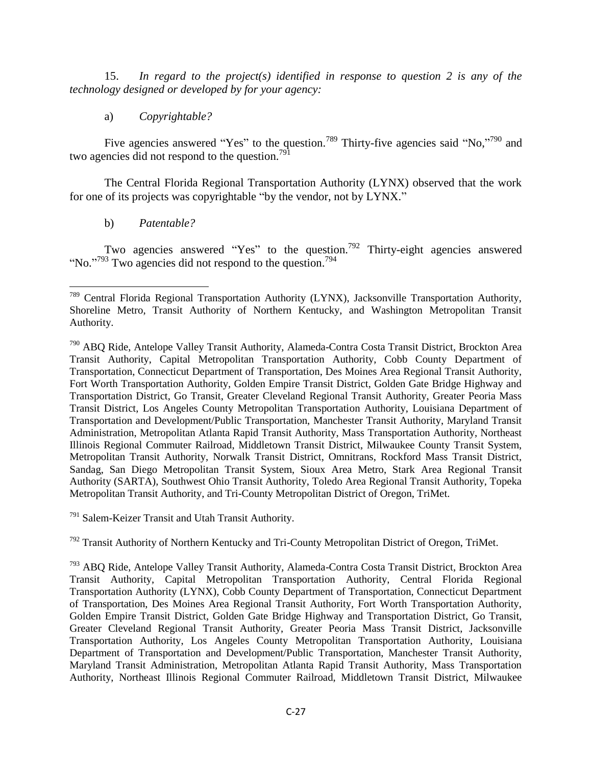15. *In regard to the project(s) identified in response to question 2 is any of the technology designed or developed by for your agency:*

a) *Copyrightable?*

Five agencies answered "Yes" to the question.<sup>789</sup> Thirty-five agencies said "No,"<sup>790</sup> and two agencies did not respond to the question.<sup>791</sup>

The Central Florida Regional Transportation Authority (LYNX) observed that the work for one of its projects was copyrightable "by the vendor, not by LYNX."

b) *Patentable?*

Two agencies answered "Yes" to the question.<sup>792</sup> Thirty-eight agencies answered "No."<sup>793</sup> Two agencies did not respond to the question.<sup>794</sup>

<sup>791</sup> Salem-Keizer Transit and Utah Transit Authority.

 $792$  Transit Authority of Northern Kentucky and Tri-County Metropolitan District of Oregon, TriMet.

 $\overline{\phantom{a}}$ <sup>789</sup> Central Florida Regional Transportation Authority (LYNX), Jacksonville Transportation Authority, Shoreline Metro, Transit Authority of Northern Kentucky, and Washington Metropolitan Transit Authority.

<sup>790</sup> ABQ Ride, Antelope Valley Transit Authority, Alameda-Contra Costa Transit District, Brockton Area Transit Authority, Capital Metropolitan Transportation Authority, Cobb County Department of Transportation, Connecticut Department of Transportation, Des Moines Area Regional Transit Authority, Fort Worth Transportation Authority, Golden Empire Transit District, Golden Gate Bridge Highway and Transportation District, Go Transit, Greater Cleveland Regional Transit Authority, Greater Peoria Mass Transit District, Los Angeles County Metropolitan Transportation Authority, Louisiana Department of Transportation and Development/Public Transportation, Manchester Transit Authority, Maryland Transit Administration, Metropolitan Atlanta Rapid Transit Authority, Mass Transportation Authority, Northeast Illinois Regional Commuter Railroad, Middletown Transit District, Milwaukee County Transit System, Metropolitan Transit Authority, Norwalk Transit District, Omnitrans, Rockford Mass Transit District, Sandag, San Diego Metropolitan Transit System, Sioux Area Metro, Stark Area Regional Transit Authority (SARTA), Southwest Ohio Transit Authority, Toledo Area Regional Transit Authority, Topeka Metropolitan Transit Authority, and Tri-County Metropolitan District of Oregon, TriMet.

<sup>793</sup> ABQ Ride, Antelope Valley Transit Authority, Alameda-Contra Costa Transit District, Brockton Area Transit Authority, Capital Metropolitan Transportation Authority, Central Florida Regional Transportation Authority (LYNX), Cobb County Department of Transportation, Connecticut Department of Transportation, Des Moines Area Regional Transit Authority, Fort Worth Transportation Authority, Golden Empire Transit District, Golden Gate Bridge Highway and Transportation District, Go Transit, Greater Cleveland Regional Transit Authority, Greater Peoria Mass Transit District, Jacksonville Transportation Authority, Los Angeles County Metropolitan Transportation Authority, Louisiana Department of Transportation and Development/Public Transportation, Manchester Transit Authority, Maryland Transit Administration, Metropolitan Atlanta Rapid Transit Authority, Mass Transportation Authority, Northeast Illinois Regional Commuter Railroad, Middletown Transit District, Milwaukee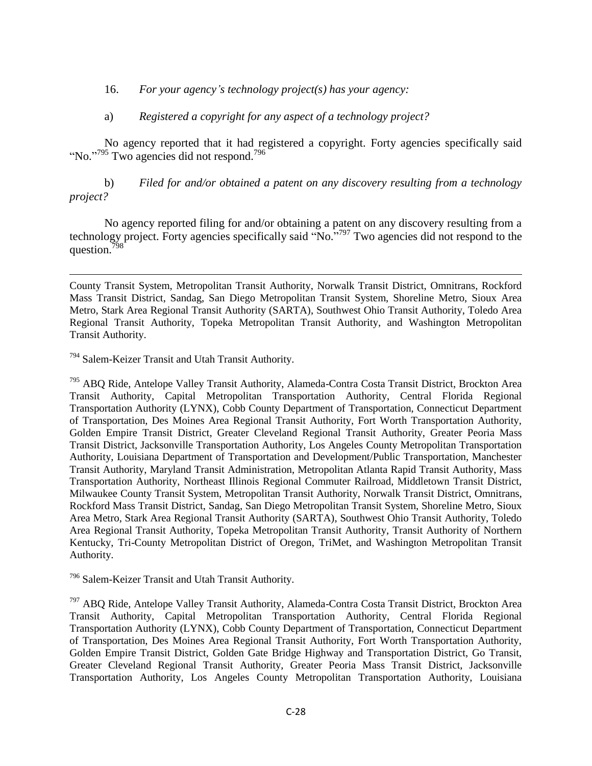16. *For your agency"s technology project(s) has your agency:*

### a) *Registered a copyright for any aspect of a technology project?*

No agency reported that it had registered a copyright. Forty agencies specifically said "No."<sup>795</sup> Two agencies did not respond.<sup>796</sup>

b) *Filed for and/or obtained a patent on any discovery resulting from a technology project?*

No agency reported filing for and/or obtaining a patent on any discovery resulting from a technology project. Forty agencies specifically said "No. $\frac{1}{2}$ " Two agencies did not respond to the question.<sup>7</sup>

<sup>794</sup> Salem-Keizer Transit and Utah Transit Authority.

l

<sup>795</sup> ABQ Ride, Antelope Valley Transit Authority, Alameda-Contra Costa Transit District, Brockton Area Transit Authority, Capital Metropolitan Transportation Authority, Central Florida Regional Transportation Authority (LYNX), Cobb County Department of Transportation, Connecticut Department of Transportation, Des Moines Area Regional Transit Authority, Fort Worth Transportation Authority, Golden Empire Transit District, Greater Cleveland Regional Transit Authority, Greater Peoria Mass Transit District, Jacksonville Transportation Authority, Los Angeles County Metropolitan Transportation Authority, Louisiana Department of Transportation and Development/Public Transportation, Manchester Transit Authority, Maryland Transit Administration, Metropolitan Atlanta Rapid Transit Authority, Mass Transportation Authority, Northeast Illinois Regional Commuter Railroad, Middletown Transit District, Milwaukee County Transit System, Metropolitan Transit Authority, Norwalk Transit District, Omnitrans, Rockford Mass Transit District, Sandag, San Diego Metropolitan Transit System, Shoreline Metro, Sioux Area Metro, Stark Area Regional Transit Authority (SARTA), Southwest Ohio Transit Authority, Toledo Area Regional Transit Authority, Topeka Metropolitan Transit Authority, Transit Authority of Northern Kentucky, Tri-County Metropolitan District of Oregon, TriMet, and Washington Metropolitan Transit Authority.

<sup>796</sup> Salem-Keizer Transit and Utah Transit Authority.

<sup>797</sup> ABQ Ride, Antelope Valley Transit Authority, Alameda-Contra Costa Transit District, Brockton Area Transit Authority, Capital Metropolitan Transportation Authority, Central Florida Regional Transportation Authority (LYNX), Cobb County Department of Transportation, Connecticut Department of Transportation, Des Moines Area Regional Transit Authority, Fort Worth Transportation Authority, Golden Empire Transit District, Golden Gate Bridge Highway and Transportation District, Go Transit, Greater Cleveland Regional Transit Authority, Greater Peoria Mass Transit District, Jacksonville Transportation Authority, Los Angeles County Metropolitan Transportation Authority, Louisiana

County Transit System, Metropolitan Transit Authority, Norwalk Transit District, Omnitrans, Rockford Mass Transit District, Sandag, San Diego Metropolitan Transit System, Shoreline Metro, Sioux Area Metro, Stark Area Regional Transit Authority (SARTA), Southwest Ohio Transit Authority, Toledo Area Regional Transit Authority, Topeka Metropolitan Transit Authority, and Washington Metropolitan Transit Authority.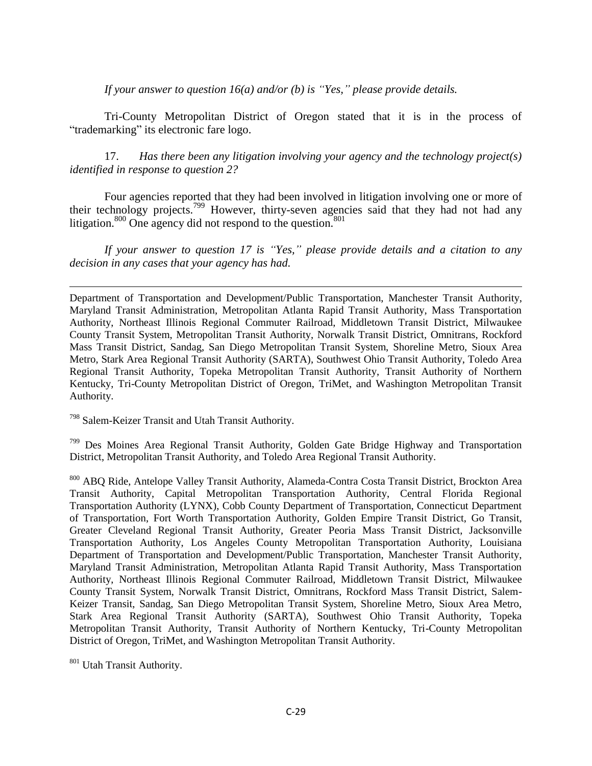*If your answer to question 16(a) and/or (b) is "Yes," please provide details.*

Tri-County Metropolitan District of Oregon stated that it is in the process of "trademarking" its electronic fare logo.

17. *Has there been any litigation involving your agency and the technology project(s) identified in response to question 2?*

Four agencies reported that they had been involved in litigation involving one or more of their technology projects.<sup>799</sup> However, thirty-seven agencies said that they had not had any litigation.<sup>800</sup> One agency did not respond to the question.<sup>801</sup>

*If your answer to question 17 is "Yes," please provide details and a citation to any decision in any cases that your agency has had.*

Department of Transportation and Development/Public Transportation, Manchester Transit Authority, Maryland Transit Administration, Metropolitan Atlanta Rapid Transit Authority, Mass Transportation Authority, Northeast Illinois Regional Commuter Railroad, Middletown Transit District, Milwaukee County Transit System, Metropolitan Transit Authority, Norwalk Transit District, Omnitrans, Rockford Mass Transit District, Sandag, San Diego Metropolitan Transit System, Shoreline Metro, Sioux Area Metro, Stark Area Regional Transit Authority (SARTA), Southwest Ohio Transit Authority, Toledo Area Regional Transit Authority, Topeka Metropolitan Transit Authority, Transit Authority of Northern Kentucky, Tri-County Metropolitan District of Oregon, TriMet, and Washington Metropolitan Transit Authority.

<sup>798</sup> Salem-Keizer Transit and Utah Transit Authority.

<sup>799</sup> Des Moines Area Regional Transit Authority, Golden Gate Bridge Highway and Transportation District, Metropolitan Transit Authority, and Toledo Area Regional Transit Authority.

800 ABQ Ride, Antelope Valley Transit Authority, Alameda-Contra Costa Transit District, Brockton Area Transit Authority, Capital Metropolitan Transportation Authority, Central Florida Regional Transportation Authority (LYNX), Cobb County Department of Transportation, Connecticut Department of Transportation, Fort Worth Transportation Authority, Golden Empire Transit District, Go Transit, Greater Cleveland Regional Transit Authority, Greater Peoria Mass Transit District, Jacksonville Transportation Authority, Los Angeles County Metropolitan Transportation Authority, Louisiana Department of Transportation and Development/Public Transportation, Manchester Transit Authority, Maryland Transit Administration, Metropolitan Atlanta Rapid Transit Authority, Mass Transportation Authority, Northeast Illinois Regional Commuter Railroad, Middletown Transit District, Milwaukee County Transit System, Norwalk Transit District, Omnitrans, Rockford Mass Transit District, Salem-Keizer Transit, Sandag, San Diego Metropolitan Transit System, Shoreline Metro, Sioux Area Metro, Stark Area Regional Transit Authority (SARTA), Southwest Ohio Transit Authority, Topeka Metropolitan Transit Authority, Transit Authority of Northern Kentucky, Tri-County Metropolitan District of Oregon, TriMet, and Washington Metropolitan Transit Authority.

801 Utah Transit Authority.

 $\overline{\phantom{a}}$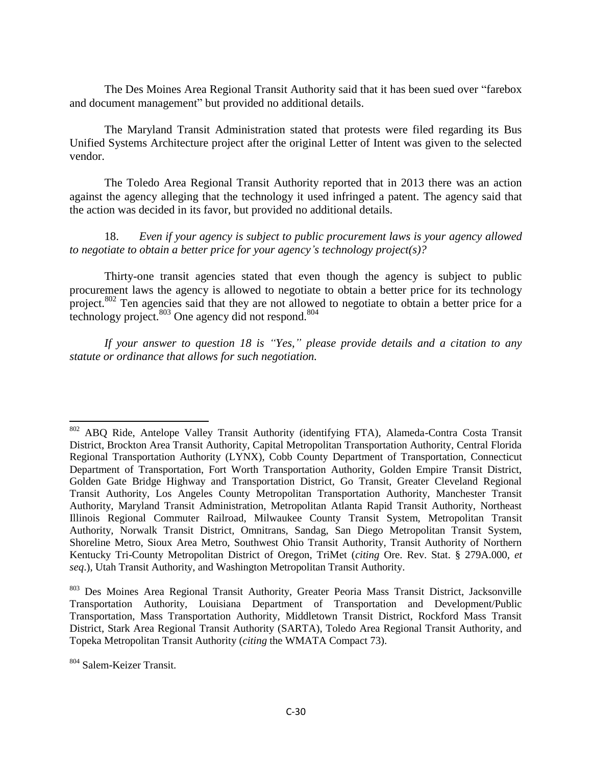The Des Moines Area Regional Transit Authority said that it has been sued over "farebox and document management" but provided no additional details.

The Maryland Transit Administration stated that protests were filed regarding its Bus Unified Systems Architecture project after the original Letter of Intent was given to the selected vendor.

The Toledo Area Regional Transit Authority reported that in 2013 there was an action against the agency alleging that the technology it used infringed a patent. The agency said that the action was decided in its favor, but provided no additional details.

18. *Even if your agency is subject to public procurement laws is your agency allowed to negotiate to obtain a better price for your agency"s technology project(s)?*

Thirty-one transit agencies stated that even though the agency is subject to public procurement laws the agency is allowed to negotiate to obtain a better price for its technology project.<sup>802</sup> Ten agencies said that they are not allowed to negotiate to obtain a better price for a technology project. $803$  One agency did not respond.  $804$ 

*If your answer to question 18 is "Yes," please provide details and a citation to any statute or ordinance that allows for such negotiation.*

 $\overline{a}$ 

<sup>&</sup>lt;sup>802</sup> ABQ Ride, Antelope Valley Transit Authority (identifying FTA), Alameda-Contra Costa Transit District, Brockton Area Transit Authority, Capital Metropolitan Transportation Authority, Central Florida Regional Transportation Authority (LYNX), Cobb County Department of Transportation, Connecticut Department of Transportation, Fort Worth Transportation Authority, Golden Empire Transit District, Golden Gate Bridge Highway and Transportation District, Go Transit, Greater Cleveland Regional Transit Authority, Los Angeles County Metropolitan Transportation Authority, Manchester Transit Authority, Maryland Transit Administration, Metropolitan Atlanta Rapid Transit Authority, Northeast Illinois Regional Commuter Railroad, Milwaukee County Transit System, Metropolitan Transit Authority, Norwalk Transit District, Omnitrans, Sandag, San Diego Metropolitan Transit System, Shoreline Metro, Sioux Area Metro, Southwest Ohio Transit Authority, Transit Authority of Northern Kentucky Tri-County Metropolitan District of Oregon, TriMet (*citing* Ore. Rev. Stat. § 279A.000, *et seq*.), Utah Transit Authority, and Washington Metropolitan Transit Authority.

<sup>803</sup> Des Moines Area Regional Transit Authority, Greater Peoria Mass Transit District, Jacksonville Transportation Authority, Louisiana Department of Transportation and Development/Public Transportation, Mass Transportation Authority, Middletown Transit District, Rockford Mass Transit District, Stark Area Regional Transit Authority (SARTA), Toledo Area Regional Transit Authority, and Topeka Metropolitan Transit Authority (*citing* the WMATA Compact 73).

<sup>804</sup> Salem-Keizer Transit.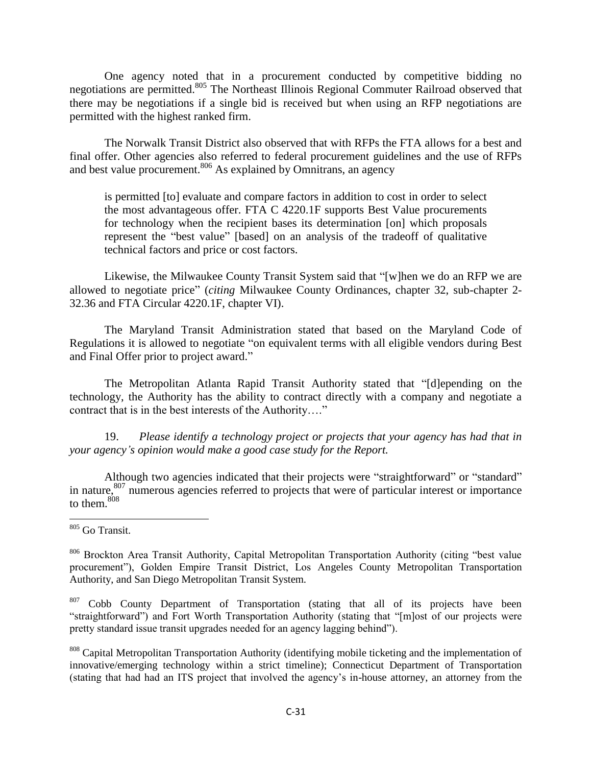One agency noted that in a procurement conducted by competitive bidding no negotiations are permitted.<sup>805</sup> The Northeast Illinois Regional Commuter Railroad observed that there may be negotiations if a single bid is received but when using an RFP negotiations are permitted with the highest ranked firm.

The Norwalk Transit District also observed that with RFPs the FTA allows for a best and final offer. Other agencies also referred to federal procurement guidelines and the use of RFPs and best value procurement.<sup>806</sup> As explained by Omnitrans, an agency

is permitted [to] evaluate and compare factors in addition to cost in order to select the most advantageous offer. FTA C 4220.1F supports Best Value procurements for technology when the recipient bases its determination [on] which proposals represent the "best value" [based] on an analysis of the tradeoff of qualitative technical factors and price or cost factors.

Likewise, the Milwaukee County Transit System said that "[w]hen we do an RFP we are allowed to negotiate price" *(citing Milwaukee County Ordinances, chapter 32, sub-chapter 2-*32.36 and FTA Circular 4220.1F, chapter VI).

The Maryland Transit Administration stated that based on the Maryland Code of Regulations it is allowed to negotiate "on equivalent terms with all eligible vendors during Best and Final Offer prior to project award."

The Metropolitan Atlanta Rapid Transit Authority stated that "[d]epending on the technology, the Authority has the ability to contract directly with a company and negotiate a contract that is in the best interests of the Authority…."

19. *Please identify a technology project or projects that your agency has had that in your agency"s opinion would make a good case study for the Report.*

Although two agencies indicated that their projects were "straightforward" or "standard" in nature,<sup>807</sup> numerous agencies referred to projects that were of particular interest or importance to them.<sup>808</sup>

 $\overline{\phantom{a}}$ 

<sup>805</sup> Go Transit.

<sup>806</sup> Brockton Area Transit Authority, Capital Metropolitan Transportation Authority (citing "best value procurement"), Golden Empire Transit District, Los Angeles County Metropolitan Transportation Authority, and San Diego Metropolitan Transit System.

<sup>&</sup>lt;sup>807</sup> Cobb County Department of Transportation (stating that all of its projects have been "straightforward") and Fort Worth Transportation Authority (stating that "[m]ost of our projects were pretty standard issue transit upgrades needed for an agency lagging behind").

<sup>&</sup>lt;sup>808</sup> Capital Metropolitan Transportation Authority (identifying mobile ticketing and the implementation of innovative/emerging technology within a strict timeline); Connecticut Department of Transportation (stating that had had an ITS project that involved the agency's in-house attorney, an attorney from the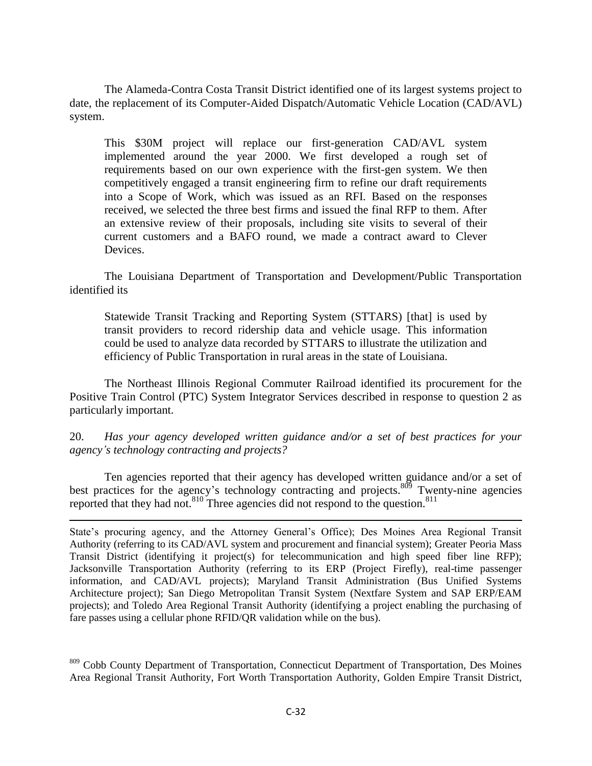The Alameda-Contra Costa Transit District identified one of its largest systems project to date, the replacement of its Computer-Aided Dispatch/Automatic Vehicle Location (CAD/AVL) system.

This \$30M project will replace our first-generation CAD/AVL system implemented around the year 2000. We first developed a rough set of requirements based on our own experience with the first-gen system. We then competitively engaged a transit engineering firm to refine our draft requirements into a Scope of Work, which was issued as an RFI. Based on the responses received, we selected the three best firms and issued the final RFP to them. After an extensive review of their proposals, including site visits to several of their current customers and a BAFO round, we made a contract award to Clever Devices.

The Louisiana Department of Transportation and Development/Public Transportation identified its

Statewide Transit Tracking and Reporting System (STTARS) [that] is used by transit providers to record ridership data and vehicle usage. This information could be used to analyze data recorded by STTARS to illustrate the utilization and efficiency of Public Transportation in rural areas in the state of Louisiana.

The Northeast Illinois Regional Commuter Railroad identified its procurement for the Positive Train Control (PTC) System Integrator Services described in response to question 2 as particularly important.

20. *Has your agency developed written guidance and/or a set of best practices for your agency"s technology contracting and projects?*

Ten agencies reported that their agency has developed written guidance and/or a set of best practices for the agency's technology contracting and projects.<sup>809</sup> Twenty-nine agencies reported that they had not.<sup>810</sup> Three agencies did not respond to the question.<sup>811</sup>

 $\overline{\phantom{a}}$ 

State's procuring agency, and the Attorney General's Office); Des Moines Area Regional Transit Authority (referring to its CAD/AVL system and procurement and financial system); Greater Peoria Mass Transit District (identifying it project(s) for telecommunication and high speed fiber line RFP); Jacksonville Transportation Authority (referring to its ERP (Project Firefly), real-time passenger information, and CAD/AVL projects); Maryland Transit Administration (Bus Unified Systems Architecture project); San Diego Metropolitan Transit System (Nextfare System and SAP ERP/EAM projects); and Toledo Area Regional Transit Authority (identifying a project enabling the purchasing of fare passes using a cellular phone RFID/QR validation while on the bus).

<sup>809</sup> Cobb County Department of Transportation, Connecticut Department of Transportation, Des Moines Area Regional Transit Authority, Fort Worth Transportation Authority, Golden Empire Transit District,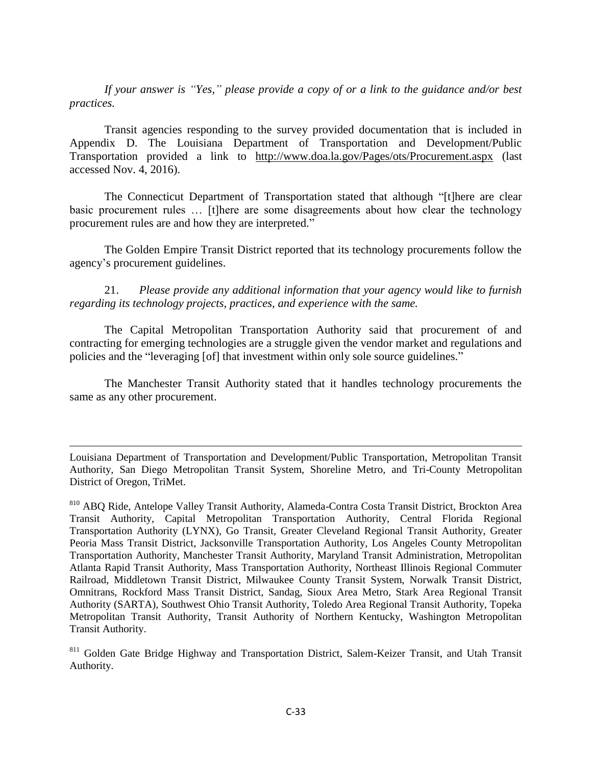*If your answer is "Yes," please provide a copy of or a link to the guidance and/or best practices.*

Transit agencies responding to the survey provided documentation that is included in Appendix D. The Louisiana Department of Transportation and Development/Public Transportation provided a link to <http://www.doa.la.gov/Pages/ots/Procurement.aspx> (last accessed Nov. 4, 2016).

The Connecticut Department of Transportation stated that although "[t]here are clear basic procurement rules … [t]here are some disagreements about how clear the technology procurement rules are and how they are interpreted."

The Golden Empire Transit District reported that its technology procurements follow the agency's procurement guidelines.

21. *Please provide any additional information that your agency would like to furnish regarding its technology projects, practices, and experience with the same.*

The Capital Metropolitan Transportation Authority said that procurement of and contracting for emerging technologies are a struggle given the vendor market and regulations and policies and the "leveraging [of] that investment within only sole source guidelines."

The Manchester Transit Authority stated that it handles technology procurements the same as any other procurement.

 $\overline{\phantom{a}}$ 

Louisiana Department of Transportation and Development/Public Transportation, Metropolitan Transit Authority, San Diego Metropolitan Transit System, Shoreline Metro, and Tri-County Metropolitan District of Oregon, TriMet.

<sup>810</sup> ABQ Ride, Antelope Valley Transit Authority, Alameda-Contra Costa Transit District, Brockton Area Transit Authority, Capital Metropolitan Transportation Authority, Central Florida Regional Transportation Authority (LYNX), Go Transit, Greater Cleveland Regional Transit Authority, Greater Peoria Mass Transit District, Jacksonville Transportation Authority, Los Angeles County Metropolitan Transportation Authority, Manchester Transit Authority, Maryland Transit Administration, Metropolitan Atlanta Rapid Transit Authority, Mass Transportation Authority, Northeast Illinois Regional Commuter Railroad, Middletown Transit District, Milwaukee County Transit System, Norwalk Transit District, Omnitrans, Rockford Mass Transit District, Sandag, Sioux Area Metro, Stark Area Regional Transit Authority (SARTA), Southwest Ohio Transit Authority, Toledo Area Regional Transit Authority, Topeka Metropolitan Transit Authority, Transit Authority of Northern Kentucky, Washington Metropolitan Transit Authority.

<sup>&</sup>lt;sup>811</sup> Golden Gate Bridge Highway and Transportation District, Salem-Keizer Transit, and Utah Transit Authority.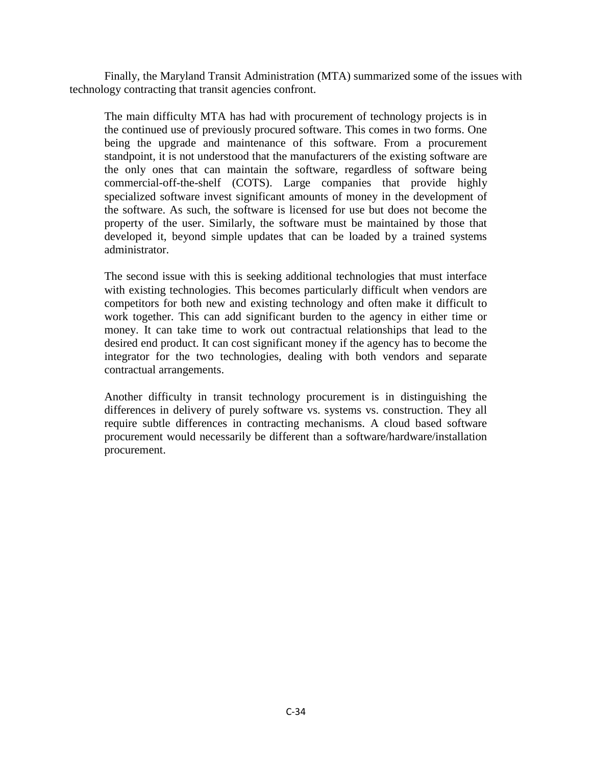Finally, the Maryland Transit Administration (MTA) summarized some of the issues with technology contracting that transit agencies confront.

The main difficulty MTA has had with procurement of technology projects is in the continued use of previously procured software. This comes in two forms. One being the upgrade and maintenance of this software. From a procurement standpoint, it is not understood that the manufacturers of the existing software are the only ones that can maintain the software, regardless of software being commercial-off-the-shelf (COTS). Large companies that provide highly specialized software invest significant amounts of money in the development of the software. As such, the software is licensed for use but does not become the property of the user. Similarly, the software must be maintained by those that developed it, beyond simple updates that can be loaded by a trained systems administrator.

The second issue with this is seeking additional technologies that must interface with existing technologies. This becomes particularly difficult when vendors are competitors for both new and existing technology and often make it difficult to work together. This can add significant burden to the agency in either time or money. It can take time to work out contractual relationships that lead to the desired end product. It can cost significant money if the agency has to become the integrator for the two technologies, dealing with both vendors and separate contractual arrangements.

Another difficulty in transit technology procurement is in distinguishing the differences in delivery of purely software vs. systems vs. construction. They all require subtle differences in contracting mechanisms. A cloud based software procurement would necessarily be different than a software/hardware/installation procurement.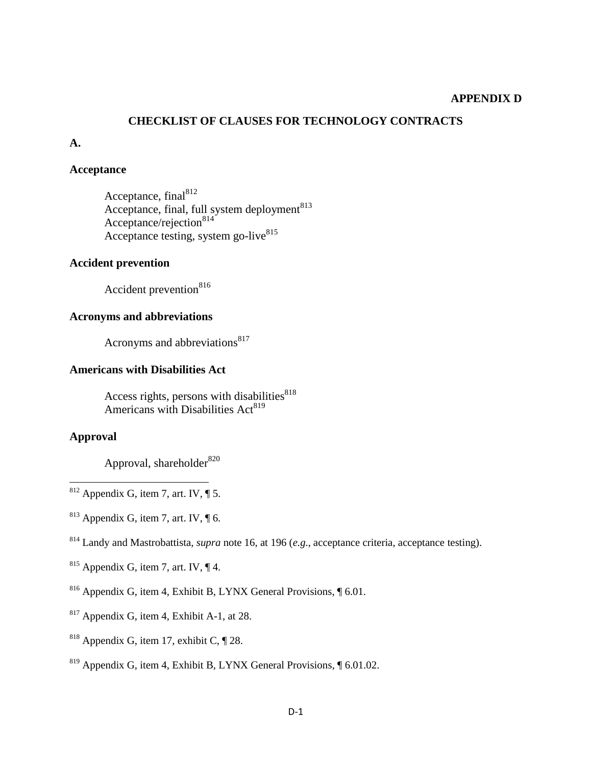#### **APPENDIX D**

#### **CHECKLIST OF CLAUSES FOR TECHNOLOGY CONTRACTS**

#### **A.**

#### **Acceptance**

Acceptance,  $final<sup>812</sup>$ Acceptance, final, full system deployment<sup>813</sup> Acceptance/rejection<sup>814</sup> Acceptance testing, system go-live<sup>815</sup>

### **Accident prevention**

Accident prevention<sup>816</sup>

## **Acronyms and abbreviations**

Acronyms and abbreviations<sup>817</sup>

# **Americans with Disabilities Act**

Access rights, persons with disabilities $818$ Americans with Disabilities  $Act<sup>819</sup>$ 

# **Approval**

 $\overline{\phantom{a}}$ 

Approval, shareholder<sup>820</sup>

- $812$  Appendix G, item 7, art. IV,  $\P$  5.
- $813$  Appendix G, item 7, art. IV,  $\P$  6.
- <sup>814</sup> Landy and Mastrobattista, *supra* note 16, at 196 (*e.g*., acceptance criteria, acceptance testing).
- $815$  Appendix G, item 7, art. IV,  $\P$  4.
- <sup>816</sup> Appendix G, item 4, Exhibit B, LYNX General Provisions, ¶ 6.01.
- $817$  Appendix G, item 4, Exhibit A-1, at 28.
- <sup>818</sup> Appendix G, item 17, exhibit C,  $\P$  28.
- $819$  Appendix G, item 4, Exhibit B, LYNX General Provisions,  $\sqrt{601.02}$ .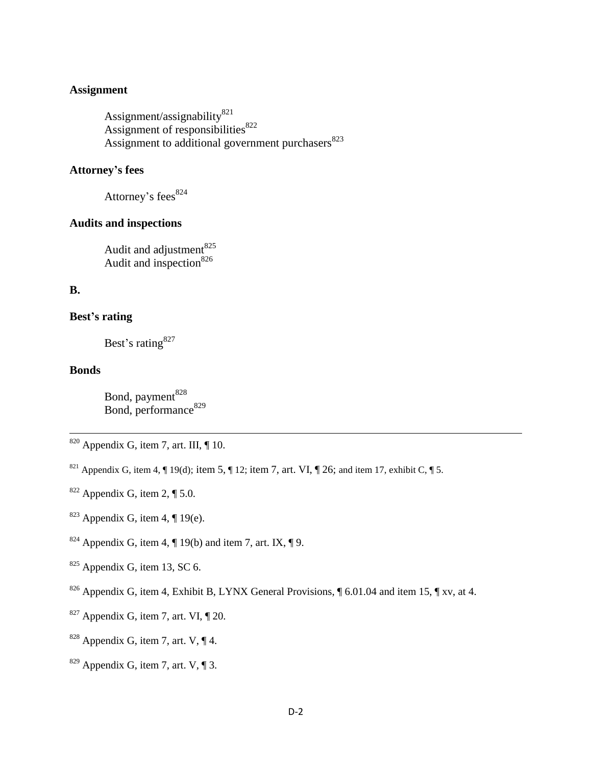#### **Assignment**

Assignment/assignability $821$ Assignment of responsibilities $822$ Assignment to additional government purchasers $823$ 

# **Attorney's fees**

Attorney's fees $824$ 

### **Audits and inspections**

Audit and adjustment<sup>825</sup> Audit and inspection  $826$ 

### **B.**

### **Best's rating**

Best's rating<sup>827</sup>

### **Bonds**

 $\overline{\phantom{a}}$ 

Bond, payment<sup>828</sup> Bond, performance<sup>829</sup>

- <sup>821</sup> Appendix G, item 4,  $\P$  19(d); item 5,  $\P$  12; item 7, art. VI,  $\P$  26; and item 17, exhibit C,  $\P$  5.
- $822$  Appendix G, item 2, ¶ 5.0.
- $823$  Appendix G, item 4, ¶ 19(e).
- <sup>824</sup> Appendix G, item 4,  $\P$  19(b) and item 7, art. IX,  $\P$  9.
- $825$  Appendix G, item 13, SC 6.
- <sup>826</sup> Appendix G, item 4, Exhibit B, LYNX General Provisions,  $\oint 6.01.04$  and item 15,  $\oint xy$ , at 4.
- $827$  Appendix G, item 7, art. VI,  $\P$  20.
- <sup>828</sup> Appendix G, item 7, art. V,  $\P$  4.
- $829$  Appendix G, item 7, art. V, ¶ 3.

 $820$  Appendix G, item 7, art. III,  $\P$  10.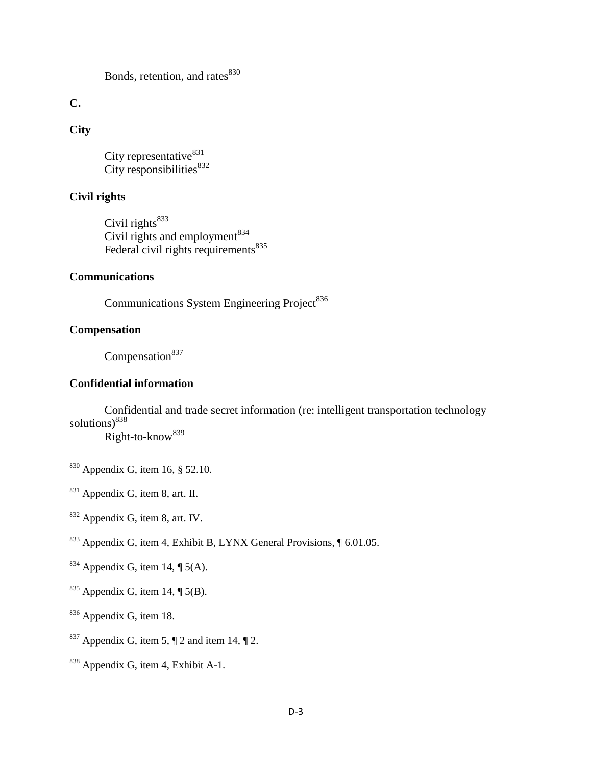Bonds, retention, and rates<sup>830</sup>

**C.**

# **City**

City representative $831$ City responsibilities $832$ 

# **Civil rights**

Civil rights<sup>833</sup> Civil rights and employment  $834$ Federal civil rights requirements $835$ 

### **Communications**

Communications System Engineering Project<sup>836</sup>

## **Compensation**

l

Compensation $837$ 

## **Confidential information**

Confidential and trade secret information (re: intelligent transportation technology solutions) $838$ 

Right-to-know<sup>839</sup>

<sup>833</sup> Appendix G, item 4, Exhibit B, LYNX General Provisions, ¶ 6.01.05.

- <sup>835</sup> Appendix G, item 14,  $\P$  5(B).
- <sup>836</sup> Appendix G, item 18.
- <sup>837</sup> Appendix G, item 5,  $\P$  2 and item 14,  $\P$  2.
- <sup>838</sup> Appendix G, item 4, Exhibit A-1.

 $830$  Appendix G, item 16, § 52.10.

<sup>831</sup> Appendix G, item 8, art. II.

<sup>832</sup> Appendix G, item 8, art. IV.

<sup>&</sup>lt;sup>834</sup> Appendix G, item 14,  $\P$  5(A).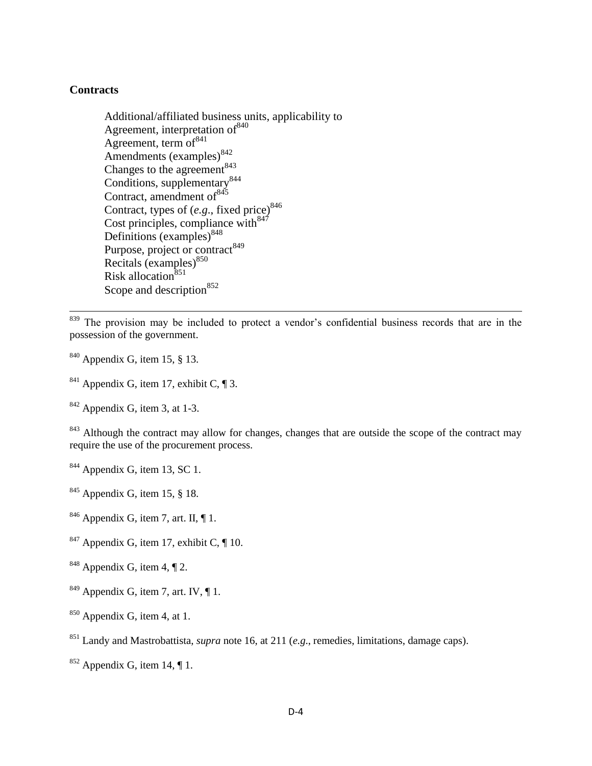#### **Contracts**

 $\overline{\phantom{a}}$ 

Additional/affiliated business units, applicability to Agreement, interpretation of<sup>840</sup> Agreement, term of  $841$ Amendments (examples)<sup>842</sup> Changes to the agreement  $843$ Conditions, supplementary<sup>844</sup> Contract, amendment of  $845$ Contract, types of (e.g., fixed price)<sup>846</sup> Cost principles, compliance with  $847$ Definitions  $\left($ examples $\right)^{848}$ Purpose, project or contract<sup>849</sup> Recitals (examples)<sup>850</sup> Risk allocation $851$ Scope and description<sup>852</sup>

<sup>839</sup> The provision may be included to protect a vendor's confidential business records that are in the possession of the government.

- $840$  Appendix G, item 15, § 13.
- <sup>841</sup> Appendix G, item 17, exhibit C,  $\P$ 3.

 $842$  Appendix G, item 3, at 1-3.

<sup>843</sup> Although the contract may allow for changes, changes that are outside the scope of the contract may require the use of the procurement process.

- $844$  Appendix G, item 13, SC 1.
- $845$  Appendix G, item 15, § 18.
- $846$  Appendix G, item 7, art. II,  $\P$  1.
- $847$  Appendix G, item 17, exhibit C,  $\P$  10.
- <sup>848</sup> Appendix G, item 4,  $\P$  2.
- $849$  Appendix G, item 7, art. IV,  $\P$  1.
- $850$  Appendix G, item 4, at 1.
- <sup>851</sup> Landy and Mastrobattista, *supra* note 16, at 211 (*e.g*., remedies, limitations, damage caps).
- $852$  Appendix G, item 14, ¶ 1.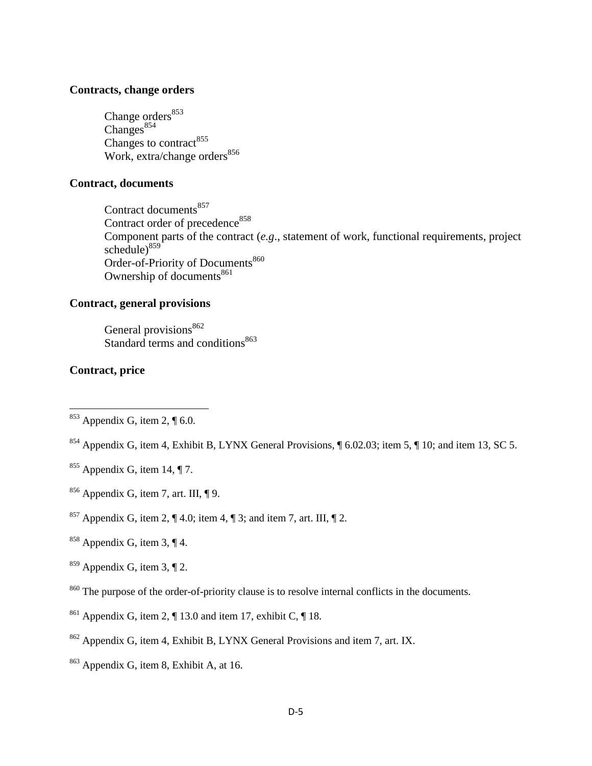#### **Contracts, change orders**

Change orders<sup>853</sup>  $Changes<sup>854</sup>$ Changes to contract<sup>855</sup> Work, extra/change orders $856$ 

### **Contract, documents**

Contract documents<sup>857</sup> Contract order of precedence<sup>858</sup> Component parts of the contract (*e.g*., statement of work, functional requirements, project schedule) $859$ Order-of-Priority of Documents<sup>860</sup> Ownership of documents $861$ 

# **Contract, general provisions**

General provisions<sup>862</sup> Standard terms and conditions<sup>863</sup>

#### **Contract, price**

l

- $855$  Appendix G, item 14, ¶ 7.
- $856$  Appendix G, item 7, art. III,  $\P$ 9.
- <sup>857</sup> Appendix G, item 2,  $\P$  4.0; item 4,  $\P$  3; and item 7, art. III,  $\P$  2.
- <sup>858</sup> Appendix G, item 3,  $\P$  4.
- $859$  Appendix G, item 3, ¶ 2.
- <sup>860</sup> The purpose of the order-of-priority clause is to resolve internal conflicts in the documents.
- <sup>861</sup> Appendix G, item 2,  $\P$  13.0 and item 17, exhibit C,  $\P$  18.
- <sup>862</sup> Appendix G, item 4, Exhibit B, LYNX General Provisions and item 7, art. IX.
- <sup>863</sup> Appendix G, item 8, Exhibit A, at 16.

 $853$  Appendix G, item 2, ¶ 6.0.

<sup>854</sup> Appendix G, item 4, Exhibit B, LYNX General Provisions, ¶ 6.02.03; item 5, ¶ 10; and item 13, SC 5.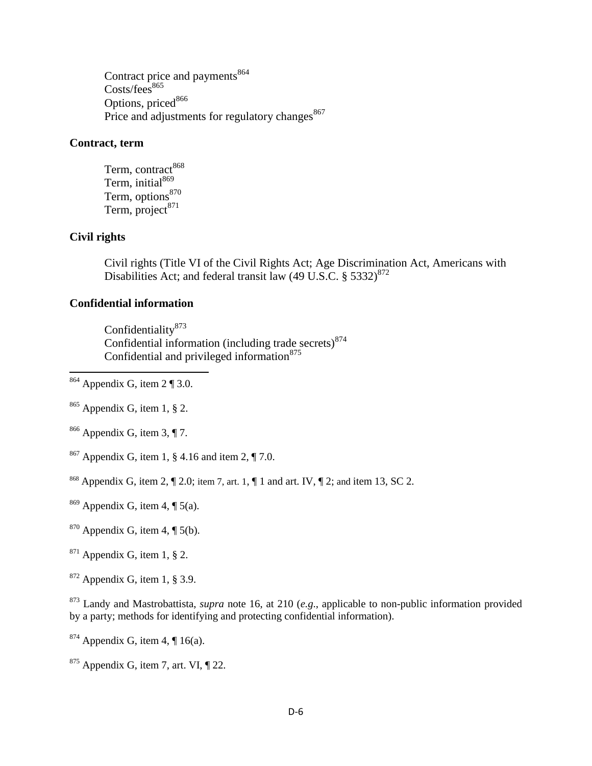Contract price and payments<sup>864</sup>  $\text{Costs/fees}^{865}$ Options, priced<sup>866</sup> Price and adjustments for regulatory changes<sup>867</sup>

# **Contract, term**

Term, contract<sup>868</sup> Term, initial<sup>869</sup> Term, options<sup>870</sup> Term, project $^{871}$ 

# **Civil rights**

 $\overline{a}$ 

Civil rights (Title VI of the Civil Rights Act; Age Discrimination Act, Americans with Disabilities Act; and federal transit law  $(49 \text{ U.S.C.} \S 5332)^{872}$ 

# **Confidential information**

Confidentiality<sup>873</sup> Confidential information (including trade secrets) $874$ Confidential and privileged information $875$ 

 $864$  Appendix G, item 2 ¶ 3.0.

<sup>865</sup> Appendix G, item 1, § 2.

 $866$  Appendix G, item 3, ¶ 7.

<sup>867</sup> Appendix G, item 1, § 4.16 and item 2, ¶ 7.0.

<sup>868</sup> Appendix G, item 2,  $\P$  2.0; item 7, art. 1,  $\P$  1 and art. IV,  $\P$  2; and item 13, SC 2.

 $869$  Appendix G, item 4, ¶ 5(a).

 $870$  Appendix G, item 4, ¶ 5(b).

 $871$  Appendix G, item 1, § 2.

 $872$  Appendix G, item 1, § 3.9.

<sup>873</sup> Landy and Mastrobattista, *supra* note 16, at 210 (*e.g*., applicable to non-public information provided by a party; methods for identifying and protecting confidential information).

 $874$  Appendix G, item 4, ¶ 16(a).

 $875$  Appendix G, item 7, art. VI,  $\P$  22.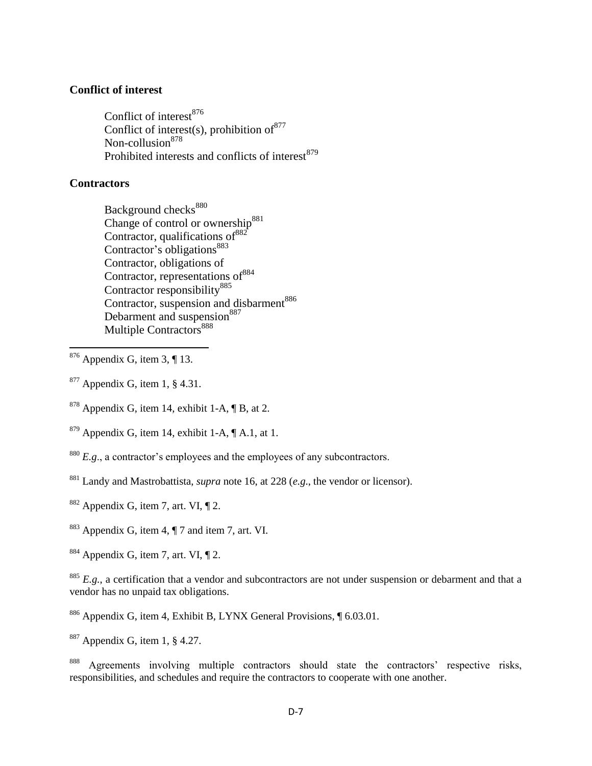#### **Conflict of interest**

Conflict of interest<sup>876</sup> Conflict of interest(s), prohibition of  $877$ Non-collusion<sup>878</sup> Prohibited interests and conflicts of interest<sup>879</sup>

#### **Contractors**

 $\overline{\phantom{a}}$ 

Background checks<sup>880</sup> Change of control or ownership<sup>881</sup> Contractor, qualifications of  $882$ Contractor's obligations<sup>883</sup> Contractor, obligations of Contractor, representations of  $884$ Contractor responsibility<sup>885</sup> Contractor, suspension and disbarment<sup>886</sup> Debarment and suspension<sup>887</sup> Multiple Contractors<sup>888</sup>

- $877$  Appendix G, item 1, § 4.31.
- $878$  Appendix G, item 14, exhibit 1-A,  $\P$  B, at 2.
- $879$  Appendix G, item 14, exhibit 1-A,  $\P$  A.1, at 1.
- <sup>880</sup> *E.g.*, a contractor's employees and the employees of any subcontractors.
- <sup>881</sup> Landy and Mastrobattista, *supra* note 16, at 228 (*e.g*., the vendor or licensor).
- $882$  Appendix G, item 7, art. VI,  $\P$  2.
- <sup>883</sup> Appendix G, item 4, ¶ 7 and item 7, art. VI.
- $884$  Appendix G, item 7, art. VI,  $\P$  2.

<sup>885</sup> *E.g.*, a certification that a vendor and subcontractors are not under suspension or debarment and that a vendor has no unpaid tax obligations.

- <sup>886</sup> Appendix G, item 4, Exhibit B, LYNX General Provisions, ¶ 6.03.01.
- <sup>887</sup> Appendix G, item 1, § 4.27.

<sup>888</sup> Agreements involving multiple contractors should state the contractors' respective risks, responsibilities, and schedules and require the contractors to cooperate with one another.

 $876$  Appendix G, item 3, ¶ 13.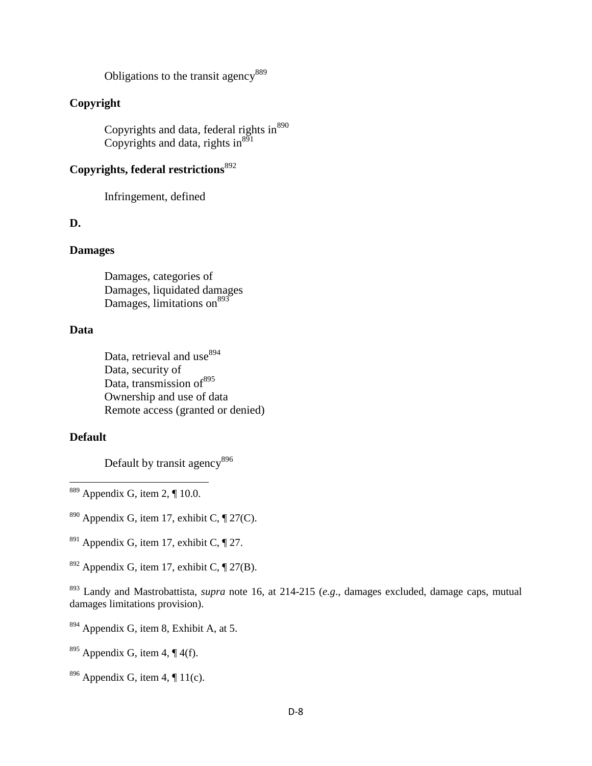Obligations to the transit agency<sup>889</sup>

# **Copyright**

Copyrights and data, federal rights in<sup>890</sup> Copyrights and data, rights in $^{891}$ 

# **Copyrights, federal restrictions**<sup>892</sup>

Infringement, defined

### **D.**

# **Damages**

Damages, categories of Damages, liquidated damages Damages, limitations on  $893$ 

### **Data**

Data, retrieval and use<sup>894</sup> Data, security of Data, transmission of<sup>895</sup> Ownership and use of data Remote access (granted or denied)

### **Default**

 $\overline{\phantom{a}}$ 

Default by transit agency<sup>896</sup>

 $889$  Appendix G, item 2, ¶ 10.0.

<sup>890</sup> Appendix G, item 17, exhibit C,  $\P$  27(C).

- <sup>891</sup> Appendix G, item 17, exhibit C,  $\P$  27.
- <sup>892</sup> Appendix G, item 17, exhibit C,  $\P$  27(B).

<sup>893</sup> Landy and Mastrobattista, *supra* note 16, at 214-215 (*e.g*., damages excluded, damage caps, mutual damages limitations provision).

- <sup>894</sup> Appendix G, item 8, Exhibit A, at 5.
- <sup>895</sup> Appendix G, item 4,  $\P$  4(f).
- <sup>896</sup> Appendix G, item 4,  $\P$  11(c).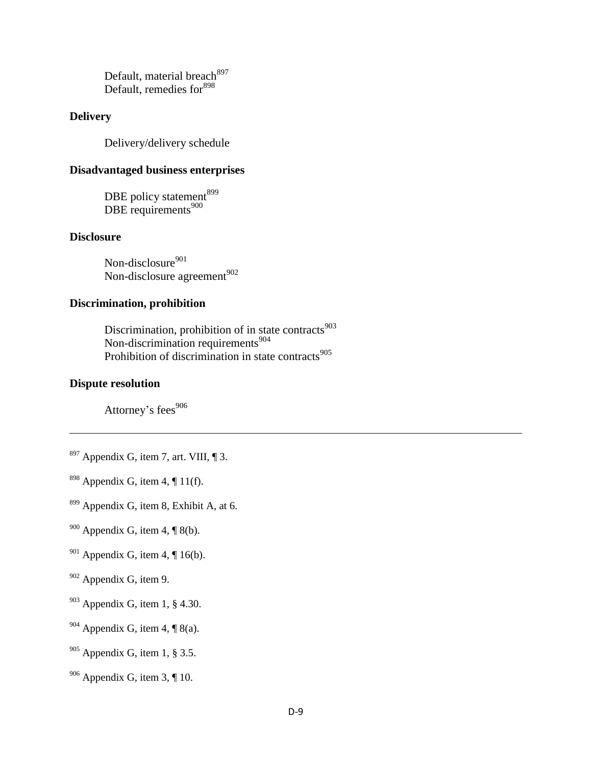Default, material breach<sup>897</sup> Default, remedies for<sup>898</sup>

### **Delivery**

Delivery/delivery schedule

# **Disadvantaged business enterprises**

DBE policy statement<sup>899</sup>  $\overline{DBE}$  requirements<sup>900</sup>

#### **Disclosure**

Non-disclosure<sup>901</sup> Non-disclosure agreement<sup>902</sup>

# **Discrimination, prohibition**

Discrimination, prohibition of in state contracts $903$ Non-discrimination requirements<sup>904</sup> Prohibition of discrimination in state contracts $905$ 

#### **Dispute resolution**

 $\overline{\phantom{a}}$ 

Attorney's fees<sup>906</sup>

- $897$  Appendix G, item 7, art. VIII, ¶ 3.
- <sup>898</sup> Appendix G, item 4,  $\P$  11(f).
- <sup>899</sup> Appendix G, item 8, Exhibit A, at 6.
- $900$  Appendix G, item 4, ¶ 8(b).
- <sup>901</sup> Appendix G, item 4,  $\P$  16(b).
- <sup>902</sup> Appendix G, item 9.
- $903$  Appendix G, item 1, § 4.30.
- $904$  Appendix G, item 4, ¶ 8(a).
- $905$  Appendix G, item 1, § 3.5.
- $906$  Appendix G, item 3, ¶ 10.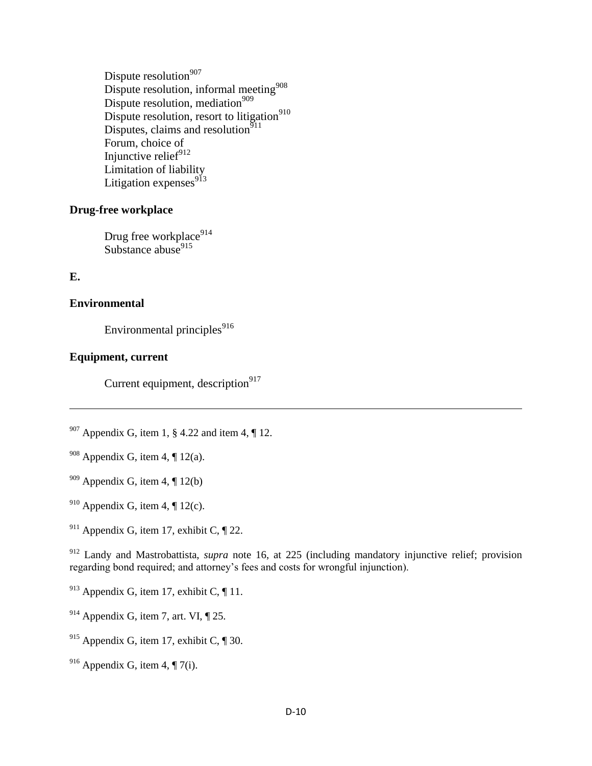Dispute resolution $907$ Dispute resolution, informal meeting<sup>908</sup> Dispute resolution, mediation<sup>909</sup> Dispute resolution, resort to litigation<sup>910</sup> Disputes, claims and resolution<sup>911</sup> Forum, choice of Injunctive relief $912$ Limitation of liability Litigation expenses<sup>913</sup>

### **Drug-free workplace**

Drug free workplace<sup>914</sup> Substance abuse $915$ 

### **E.**

l

#### **Environmental**

Environmental principles<sup>916</sup>

### **Equipment, current**

Current equipment, description $917$ 

 $907$  Appendix G, item 1, § 4.22 and item 4, ¶ 12.

- <sup>908</sup> Appendix G, item 4,  $\P$  12(a).
- $909$  Appendix G, item 4,  $\P$  12(b)
- <sup>910</sup> Appendix G, item 4,  $\P$  12(c).
- <sup>911</sup> Appendix G, item 17, exhibit C,  $\P$  22.

<sup>912</sup> Landy and Mastrobattista, *supra* note 16, at 225 (including mandatory injunctive relief; provision regarding bond required; and attorney's fees and costs for wrongful injunction).

- <sup>913</sup> Appendix G, item 17, exhibit C,  $\P$  11.
- $914$  Appendix G, item 7, art. VI,  $\P$  25.
- <sup>915</sup> Appendix G, item 17, exhibit C,  $\P$  30.
- <sup>916</sup> Appendix G, item 4,  $\P$  7(i).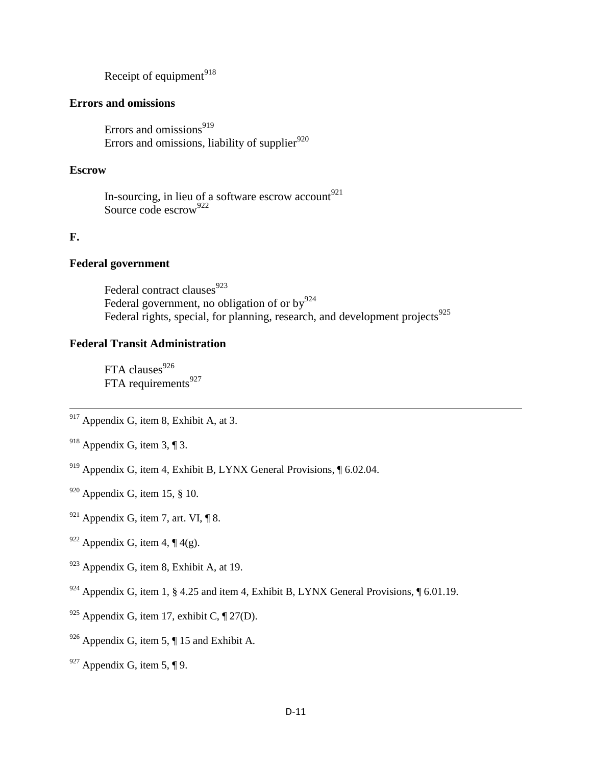Receipt of equipment $918$ 

### **Errors and omissions**

Errors and omissions $919$ Errors and omissions, liability of supplier $920$ 

### **Escrow**

In-sourcing, in lieu of a software escrow account  $921$ Source code escrow<sup>922</sup>

#### **F.**

l

### **Federal government**

Federal contract clauses<sup>923</sup> Federal government, no obligation of or  $by^{924}$ Federal rights, special, for planning, research, and development projects $925$ 

#### **Federal Transit Administration**

FTA clauses $926$ FTA requirements<sup>927</sup>

 $917$  Appendix G, item 8, Exhibit A, at 3.

- <sup>918</sup> Appendix G, item 3, ¶ 3.
- <sup>919</sup> Appendix G, item 4, Exhibit B, LYNX General Provisions,  $\sqrt{6.02.04}$ .
- $920$  Appendix G, item 15, § 10.
- $921$  Appendix G, item 7, art. VI, ¶ 8.
- <sup>922</sup> Appendix G, item 4,  $\P$  4(g).
- $923$  Appendix G, item 8, Exhibit A, at 19.
- <sup>924</sup> Appendix G, item 1, § 4.25 and item 4, Exhibit B, LYNX General Provisions, ¶ 6.01.19.
- <sup>925</sup> Appendix G, item 17, exhibit C,  $\P$  27(D).
- $926$  Appendix G, item 5,  $\P$  15 and Exhibit A.
- $927$  Appendix G, item 5, ¶ 9.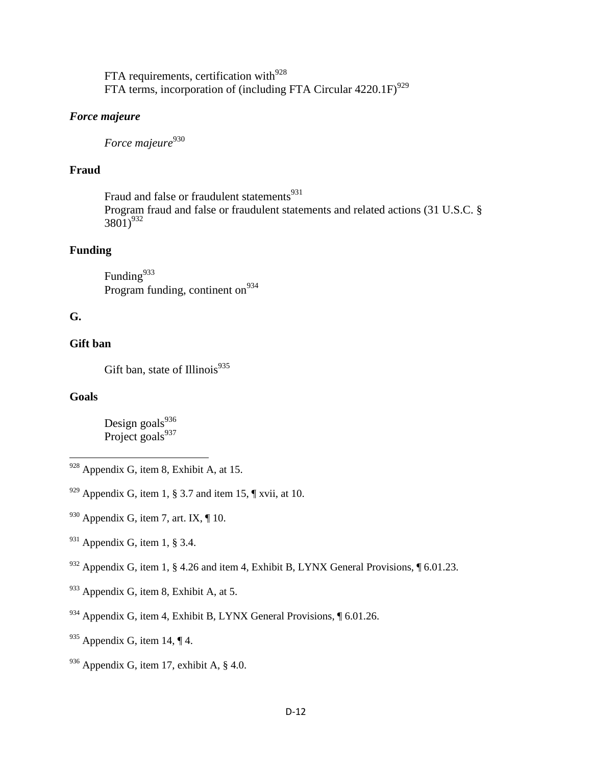FTA requirements, certification with $^{928}$ FTA terms, incorporation of (including FTA Circular  $4220.1F$ )<sup>929</sup>

# *Force majeure*

*Force majeure*<sup>930</sup>

# **Fraud**

Fraud and false or fraudulent statements<sup>931</sup> Program fraud and false or fraudulent statements and related actions (31 U.S.C. §  $3801)^{932}$ 

# **Funding**

Funding $933$ Program funding, continent on  $934$ 

# **G.**

# **Gift ban**

Gift ban, state of Illinois $935$ 

# **Goals**

l

Design goals $936$ Project goals<sup>937</sup>

<sup>932</sup> Appendix G, item 1, § 4.26 and item 4, Exhibit B, LYNX General Provisions,  $\sqrt{\phantom{a}}$  6.01.23.

- $933$  Appendix G, item 8, Exhibit A, at 5.
- <sup>934</sup> Appendix G, item 4, Exhibit B, LYNX General Provisions, ¶ 6.01.26.
- $935$  Appendix G, item 14, ¶ 4.
- $936$  Appendix G, item 17, exhibit A, § 4.0.

 $928$  Appendix G, item 8, Exhibit A, at 15.

 $929$  Appendix G, item 1, § 3.7 and item 15,  $\P$  xvii, at 10.

 $930$  Appendix G, item 7, art. IX,  $\P$  10.

 $931$  Appendix G, item 1, § 3.4.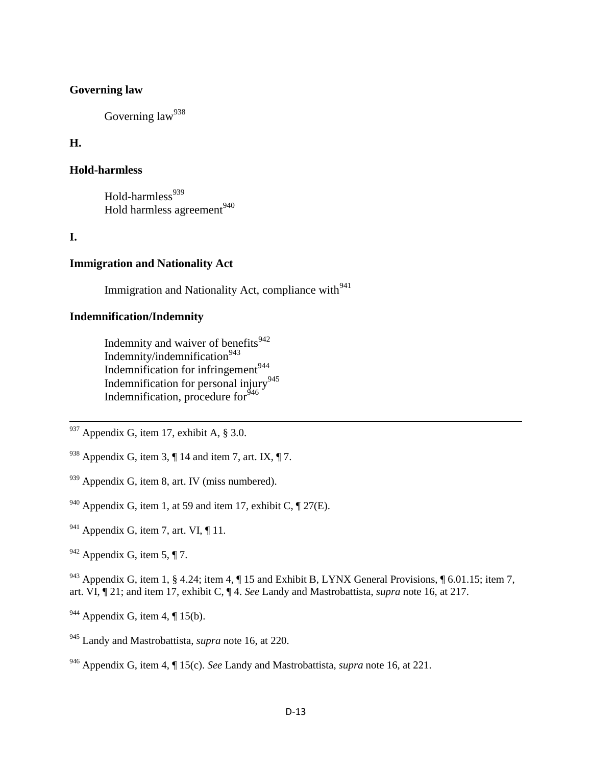#### **Governing law**

Governing law<sup>938</sup>

### **H.**

#### **Hold-harmless**

Hold-harmless $939$ Hold harmless agreement<sup>940</sup>

### **I.**

 $\overline{a}$ 

#### **Immigration and Nationality Act**

Immigration and Nationality Act, compliance with $941$ 

# **Indemnification/Indemnity**

Indemnity and waiver of benefits<sup>942</sup> Indemnity/indemnification<sup>943</sup> Indemnification for infringement $944$ Indemnification for personal injury<sup>945</sup> Indemnification, procedure for<sup>546</sup>

- $937$  Appendix G, item 17, exhibit A, § 3.0.
- <sup>938</sup> Appendix G, item 3,  $\P$  14 and item 7, art. IX,  $\P$  7.
- $939$  Appendix G, item 8, art. IV (miss numbered).
- <sup>940</sup> Appendix G, item 1, at 59 and item 17, exhibit C,  $\P$  27(E).
- $941$  Appendix G, item 7, art. VI,  $\P$  11.
- $942$  Appendix G, item 5, ¶ 7.

<sup>943</sup> Appendix G, item 1, § 4.24; item 4, ¶ 15 and Exhibit B, LYNX General Provisions, ¶ 6.01.15; item 7, art. VI, ¶ 21; and item 17, exhibit C, ¶ 4. *See* Landy and Mastrobattista, *supra* note 16, at 217.

- $944$  Appendix G, item 4, ¶ 15(b).
- <sup>945</sup> Landy and Mastrobattista, *supra* note 16, at 220.

<sup>946</sup> Appendix G, item 4, ¶ 15(c). *See* Landy and Mastrobattista, *supra* note 16, at 221.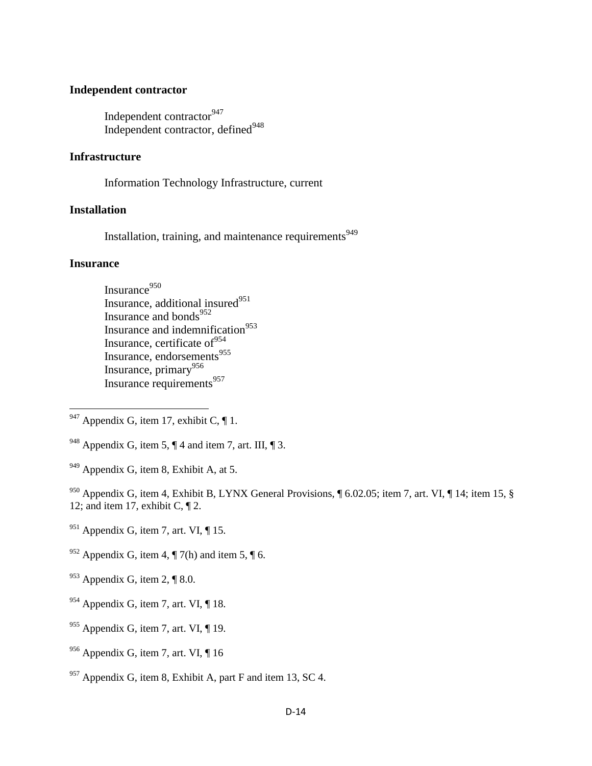#### **Independent contractor**

Independent contractor<sup>947</sup> Independent contractor, defined<sup>948</sup>

#### **Infrastructure**

Information Technology Infrastructure, current

#### **Installation**

Installation, training, and maintenance requirements<sup>949</sup>

#### **Insurance**

l

Insurance $950$ Insurance, additional insured $951$ Insurance and bonds<sup>952</sup> Insurance and indemnification<sup>953</sup> Insurance, certificate of  $954$ Insurance, endorsements<sup>955</sup> Insurance, primary<sup>956</sup> Insurance requirements<sup>957</sup>

 $947$  Appendix G, item 17, exhibit C,  $\P$  1.

 $949$  Appendix G, item 8, Exhibit A, at 5.

<sup>950</sup> Appendix G, item 4, Exhibit B, LYNX General Provisions, ¶ 6.02.05; item 7, art. VI, ¶ 14; item 15, § 12; and item 17, exhibit C,  $\P$  2.

- $951$  Appendix G, item 7, art. VI, ¶ 15.
- <sup>952</sup> Appendix G, item 4,  $\P$  7(h) and item 5,  $\P$  6.
- $953$  Appendix G, item 2, ¶ 8.0.
- $954$  Appendix G, item 7, art. VI, ¶ 18.
- $955$  Appendix G, item 7, art. VI, ¶ 19.
- $956$  Appendix G, item 7, art. VI,  $\P$  16
- $957$  Appendix G, item 8, Exhibit A, part F and item 13, SC 4.

<sup>&</sup>lt;sup>948</sup> Appendix G, item 5,  $\P$  4 and item 7, art. III,  $\P$  3.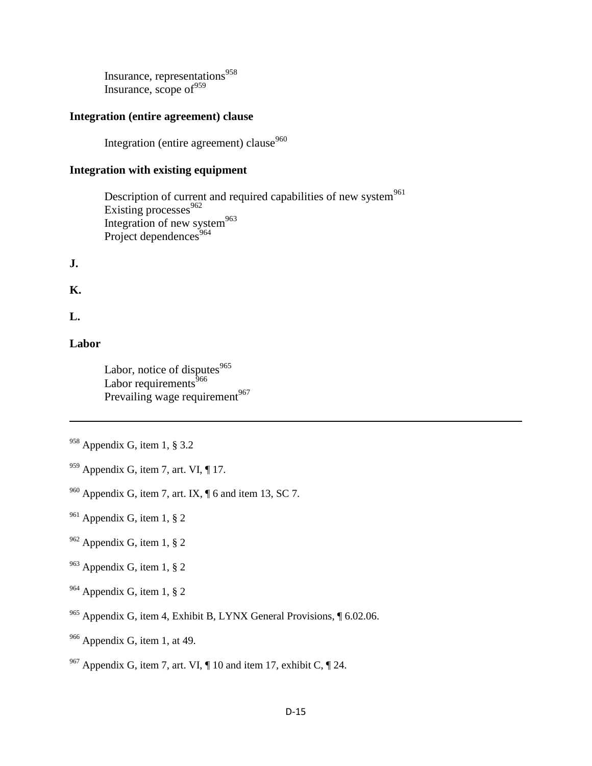Insurance, representations<sup>958</sup> Insurance, scope of  $959$ 

#### **Integration (entire agreement) clause**

Integration (entire agreement) clause<sup>960</sup>

### **Integration with existing equipment**

Description of current and required capabilities of new system<sup>961</sup> Existing processes<sup>962</sup> Integration of new system<sup>963</sup> Project dependences $964$ 

**J.**

**K.**

**L.**

 $\overline{a}$ 

### **Labor**

Labor, notice of disputes<sup>965</sup> Labor requirements $666$ Prevailing wage requirement<sup>967</sup>

 $959$  Appendix G, item 7, art. VI, ¶ 17.

 $960$  Appendix G, item 7, art. IX,  $\P$  6 and item 13, SC 7.

- $961$  Appendix G, item 1, § 2
- $962$  Appendix G, item 1, § 2
- $963$  Appendix G, item 1, § 2
- <sup>964</sup> Appendix G, item 1, § 2
- <sup>965</sup> Appendix G, item 4, Exhibit B, LYNX General Provisions, ¶ 6.02.06.
- <sup>966</sup> Appendix G, item 1, at 49.

<sup>958</sup> Appendix G, item 1, § 3.2

<sup>&</sup>lt;sup>967</sup> Appendix G, item 7, art. VI,  $\P$  10 and item 17, exhibit C,  $\P$  24.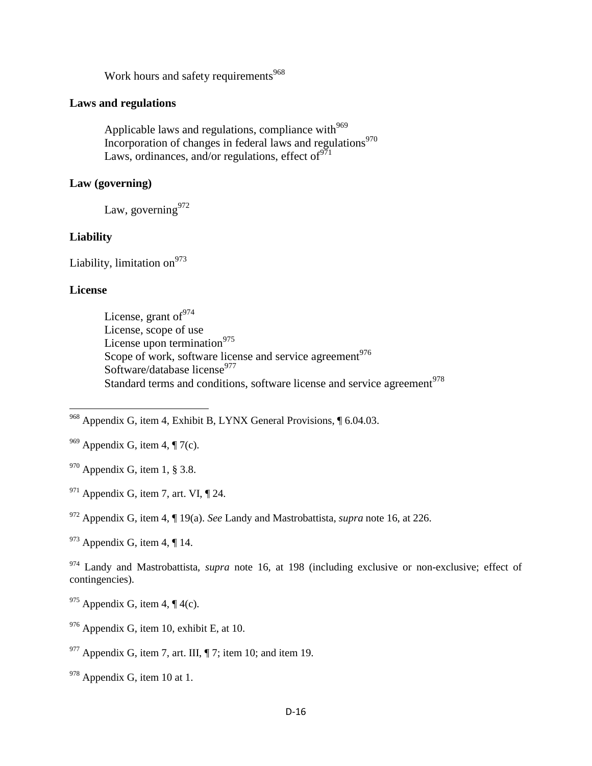Work hours and safety requirements<sup>968</sup>

### **Laws and regulations**

Applicable laws and regulations, compliance with $969$ Incorporation of changes in federal laws and regulations<sup>970</sup> Laws, ordinances, and/or regulations, effect of  $971$ 

### **Law (governing)**

Law, governing  $972$ 

#### **Liability**

Liability, limitation on $973$ 

#### **License**

l

License, grant of  $974$ License, scope of use License upon termination $975$ Scope of work, software license and service agreement<sup>976</sup> Software/database license $977$ Standard terms and conditions, software license and service agreement<sup>978</sup>

<sup>968</sup> Appendix G, item 4, Exhibit B, LYNX General Provisions, 1 6.04.03.

<sup>969</sup> Appendix G, item 4, ¶ 7(c).

 $970$  Appendix G, item 1, § 3.8.

 $971$  Appendix G, item 7, art. VI,  $\P$  24.

<sup>972</sup> Appendix G, item 4, ¶ 19(a). *See* Landy and Mastrobattista, *supra* note 16, at 226.

 $973$  Appendix G, item 4, ¶ 14.

<sup>974</sup> Landy and Mastrobattista, *supra* note 16, at 198 (including exclusive or non-exclusive; effect of contingencies).

 $975$  Appendix G, item 4,  $\P$  4(c).

 $976$  Appendix G, item 10, exhibit E, at 10.

 $977$  Appendix G, item 7, art. III,  $\P$  7; item 10; and item 19.

<sup>978</sup> Appendix G, item 10 at 1.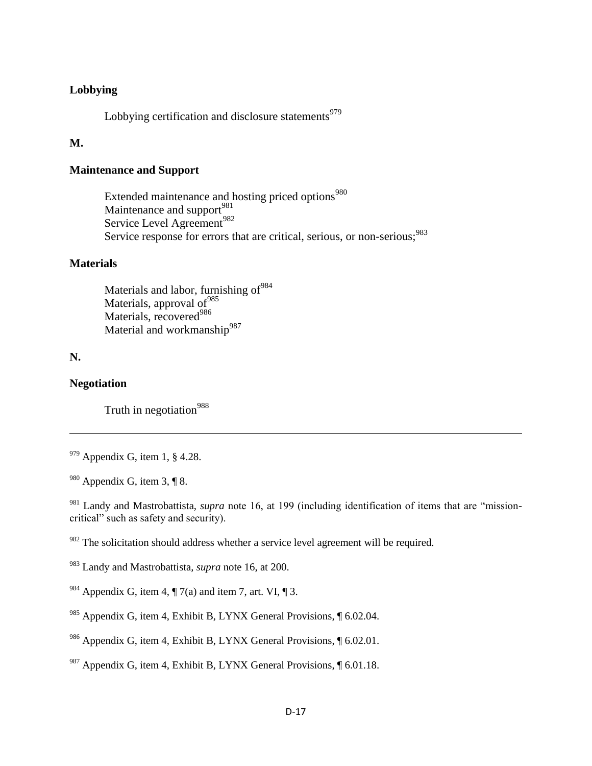#### **Lobbying**

Lobbying certification and disclosure statements<sup>979</sup>

# **M.**

## **Maintenance and Support**

Extended maintenance and hosting priced options<sup>980</sup> Maintenance and support $981$ Service Level Agreement<sup>982</sup> Service response for errors that are critical, serious, or non-serious;<sup>983</sup>

#### **Materials**

Materials and labor, furnishing of<sup>984</sup> Materials, approval of<sup>985</sup> Materials, recovered<sup>986</sup> Material and workmanship<sup>987</sup>

# **N.**

 $\overline{\phantom{a}}$ 

#### **Negotiation**

Truth in negotiation<sup>988</sup>

<sup>981</sup> Landy and Mastrobattista, *supra* note 16, at 199 (including identification of items that are "missioncritical" such as safety and security).

 $982$  The solicitation should address whether a service level agreement will be required.

987 Appendix G, item 4, Exhibit B, LYNX General Provisions,  $\int$  6.01.18.

 $979$  Appendix G, item 1, § 4.28.

 $980$  Appendix G, item 3, ¶ 8.

<sup>983</sup> Landy and Mastrobattista, *supra* note 16, at 200.

<sup>&</sup>lt;sup>984</sup> Appendix G, item 4,  $\P$  7(a) and item 7, art. VI,  $\P$  3.

<sup>&</sup>lt;sup>985</sup> Appendix G, item 4, Exhibit B, LYNX General Provisions,  $\sqrt{6.02.04}$ .

<sup>&</sup>lt;sup>986</sup> Appendix G, item 4, Exhibit B, LYNX General Provisions,  $\sqrt{6.02.01}$ .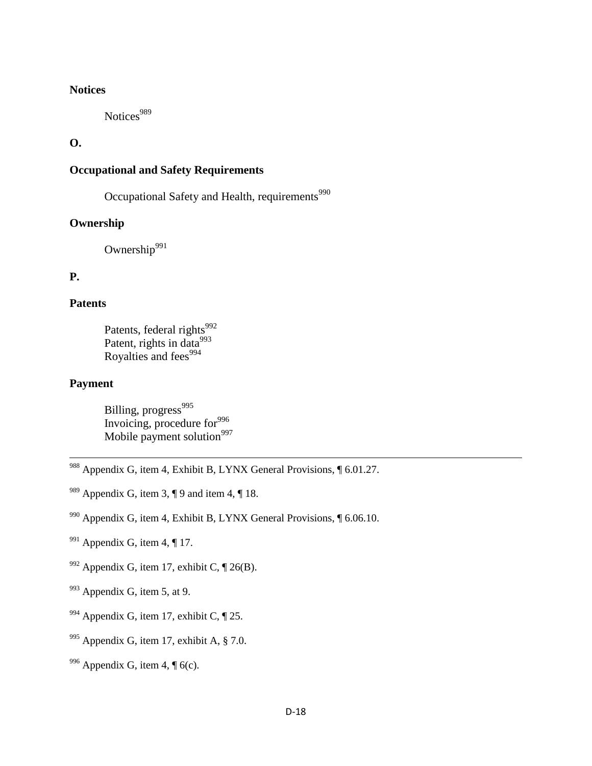#### **Notices**

Notices<sup>989</sup>

**O.**

# **Occupational and Safety Requirements**

Occupational Safety and Health, requirements<sup>990</sup>

### **Ownership**

Ownership $991$ 

# **P.**

#### **Patents**

Patents, federal rights<sup>992</sup> Patent, rights in data $^{993}$ Royalties and fees $994$ 

#### **Payment**

l

Billing, progress<sup>995</sup> Invoicing, procedure for $996$ Mobile payment solution $997$ 

- 988 Appendix G, item 4, Exhibit B, LYNX General Provisions, 1 6.01.27.
- <sup>989</sup> Appendix G, item 3,  $\P$  9 and item 4,  $\P$  18.
- <sup>990</sup> Appendix G, item 4, Exhibit B, LYNX General Provisions,  $\sqrt{6.06.10}$ .
- $991$  Appendix G, item 4, ¶ 17.
- <sup>992</sup> Appendix G, item 17, exhibit C,  $\P$  26(B).
- $993$  Appendix G, item 5, at 9.
- <sup>994</sup> Appendix G, item 17, exhibit C,  $\P$  25.
- $995$  Appendix G, item 17, exhibit A,  $\S$  7.0.
- $996$  Appendix G, item 4,  $\sqrt{\phantom{a}}$  6(c).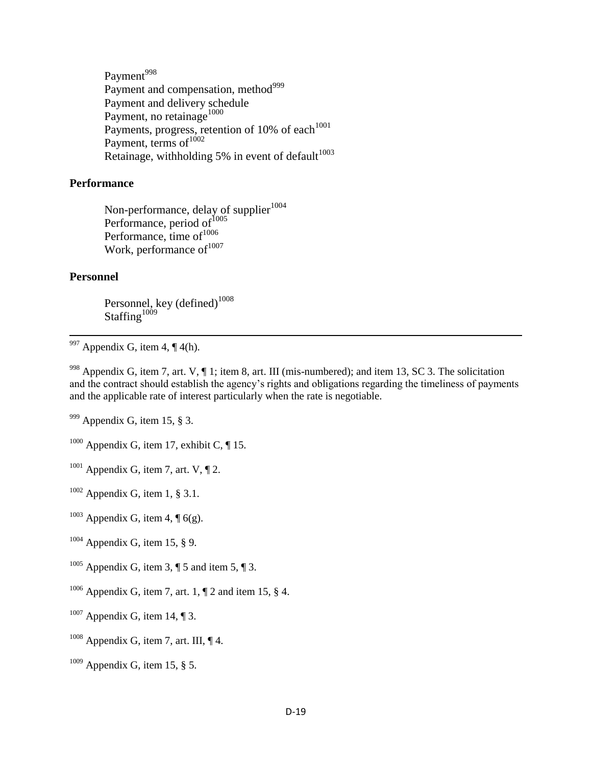Payment<sup>998</sup> Payment and compensation, method<sup>999</sup> Payment and delivery schedule Payment, no retainage<sup>1000</sup> Payments, progress, retention of 10% of each $1001$ Payment, terms of $1002$ Retainage, withholding 5% in event of default $1003$ 

#### **Performance**

Non-performance, delay of supplier<sup>1004</sup> Performance, period of<sup>1005</sup> Performance, time of $1006$ Work, performance of  $1007$ 

#### **Personnel**

 $\overline{a}$ 

Personnel, key (defined) $^{1008}$ Staffing $1009$ 

 $997$  Appendix G, item 4, ¶ 4(h).

<sup>998</sup> Appendix G, item 7, art. V,  $\P$  1; item 8, art. III (mis-numbered); and item 13, SC 3. The solicitation and the contract should establish the agency's rights and obligations regarding the timeliness of payments and the applicable rate of interest particularly when the rate is negotiable.

 $999$  Appendix G, item 15, § 3.

 $1000$  Appendix G, item 17, exhibit C,  $\P$  15.

- $1001$  Appendix G, item 7, art. V,  $\P$  2.
- $1002$  Appendix G, item 1, § 3.1.
- $1003$  Appendix G, item 4,  $\sqrt{6}$  6(g).
- $1004$  Appendix G, item 15, § 9.
- <sup>1005</sup> Appendix G, item 3,  $\P$  5 and item 5,  $\P$  3.
- <sup>1006</sup> Appendix G, item 7, art. 1,  $\P$  2 and item 15, § 4.
- $1007$  Appendix G, item 14, ¶ 3.
- $1008$  Appendix G, item 7, art. III,  $\P$  4.
- $1009$  Appendix G, item 15, § 5.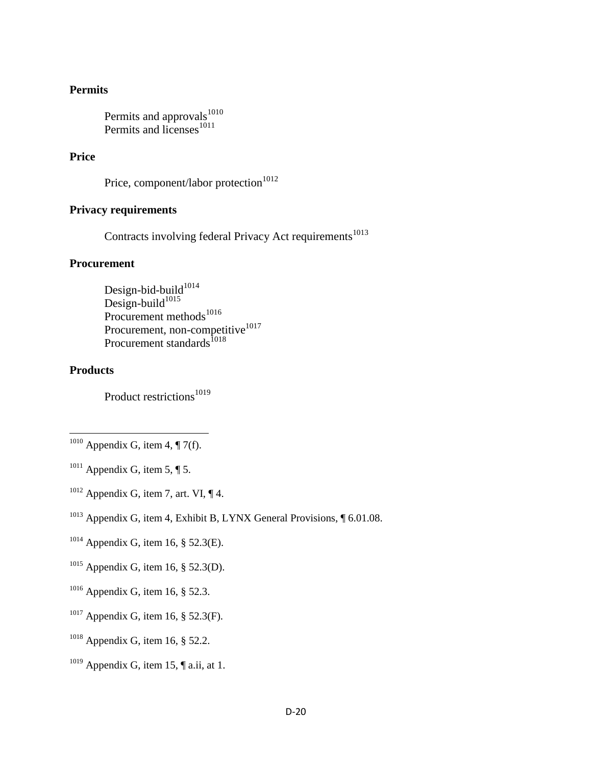#### **Permits**

Permits and approvals<sup>1010</sup> Permits and licenses<sup>1011</sup>

### **Price**

```
Price, component/labor protection<sup>1012</sup>
```
### **Privacy requirements**

Contracts involving federal Privacy Act requirements<sup>1013</sup>

#### **Procurement**

Design-bid-build $1014$ Design-build $^{1015}$ Procurement methods<sup>1016</sup> Procurement, non-competitive<sup>1017</sup> Procurement standards<sup>1018</sup>

#### **Products**

 $\overline{\phantom{a}}$ 

Product restrictions<sup>1019</sup>

- $1011$  Appendix G, item 5, ¶ 5.
- $1012$  Appendix G, item 7, art. VI,  $\P$  4.
- <sup>1013</sup> Appendix G, item 4, Exhibit B, LYNX General Provisions,  $\sqrt{6.01.08}$ .
- $1014$  Appendix G, item 16, § 52.3(E).
- $1015$  Appendix G, item 16, § 52.3(D).
- $1016$  Appendix G, item 16, § 52.3.
- <sup>1017</sup> Appendix G, item 16, § 52.3(F).
- <sup>1018</sup> Appendix G, item 16,  $\S$  52.2.
- $1019$  Appendix G, item 15,  $\P$  a.ii, at 1.

 $1010$  Appendix G, item 4, ¶ 7(f).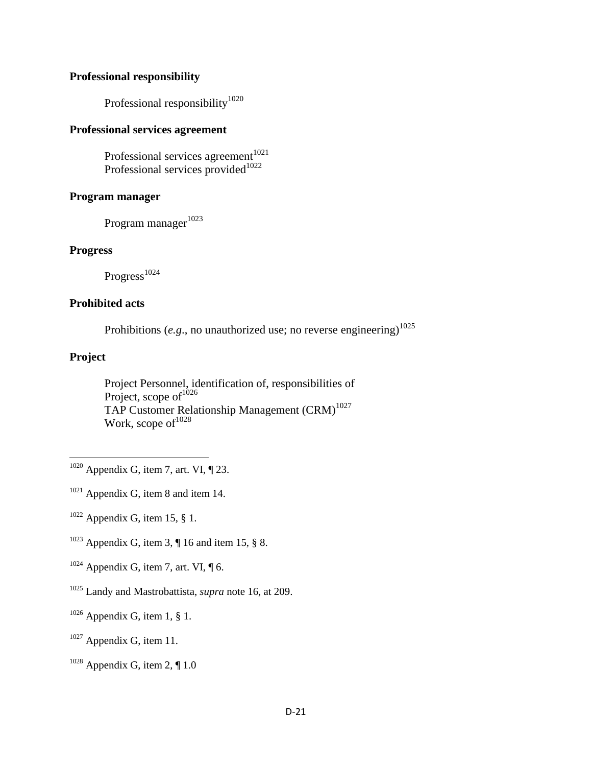#### **Professional responsibility**

Professional responsibility<sup>1020</sup>

### **Professional services agreement**

Professional services agreement $1021$ Professional services provided $1022$ 

#### **Program manager**

Program manager<sup>1023</sup>

#### **Progress**

Progress<sup>1024</sup>

#### **Prohibited acts**

Prohibitions ( $e.g.,$  no unauthorized use; no reverse engineering)<sup>1025</sup>

### **Project**

l

Project Personnel, identification of, responsibilities of Project, scope of $1^{1026}$ TAP Customer Relationship Management (CRM)<sup>1027</sup> Work, scope of  $1028$ 

- <sup>1021</sup> Appendix G, item 8 and item 14.
- $1022$  Appendix G, item 15, § 1.
- <sup>1023</sup> Appendix G, item 3,  $\P$  16 and item 15, § 8.
- $1024$  Appendix G, item 7, art. VI,  $\P$  6.
- <sup>1025</sup> Landy and Mastrobattista, *supra* note 16, at 209.
- $1026$  Appendix G, item 1, § 1.
- $1027$  Appendix G, item 11.

 $1020$  Appendix G, item 7, art. VI,  $\P$  23.

 $1028$  Appendix G, item 2, ¶ 1.0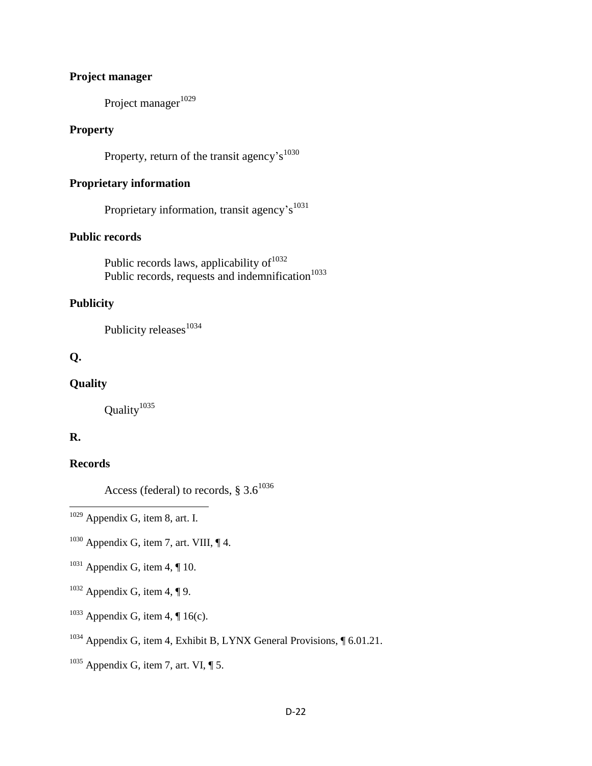# **Project manager**

Project manager $1029$ 

## **Property**

Property, return of the transit agency's<sup>1030</sup>

# **Proprietary information**

Proprietary information, transit agency's<sup>1031</sup>

# **Public records**

Public records laws, applicability of  $1032$ Public records, requests and indemnification $1033$ 

# **Publicity**

Publicity releases<sup>1034</sup>

# **Q.**

# **Quality**

Quality<sup>1035</sup>

# **R.**

 $\overline{a}$ 

### **Records**

Access (federal) to records,  $\S 3.6^{1036}$ 

- $1030$  Appendix G, item 7, art. VIII,  $\P$ 4.
- $1031$  Appendix G, item 4, ¶ 10.
- $1032$  Appendix G, item 4, ¶ 9.
- $1033$  Appendix G, item 4, ¶ 16(c).
- <sup>1034</sup> Appendix G, item 4, Exhibit B, LYNX General Provisions,  $\sqrt{\ }$  6.01.21.
- $1035$  Appendix G, item 7, art. VI, ¶ 5.

 $1029$  Appendix G, item 8, art. I.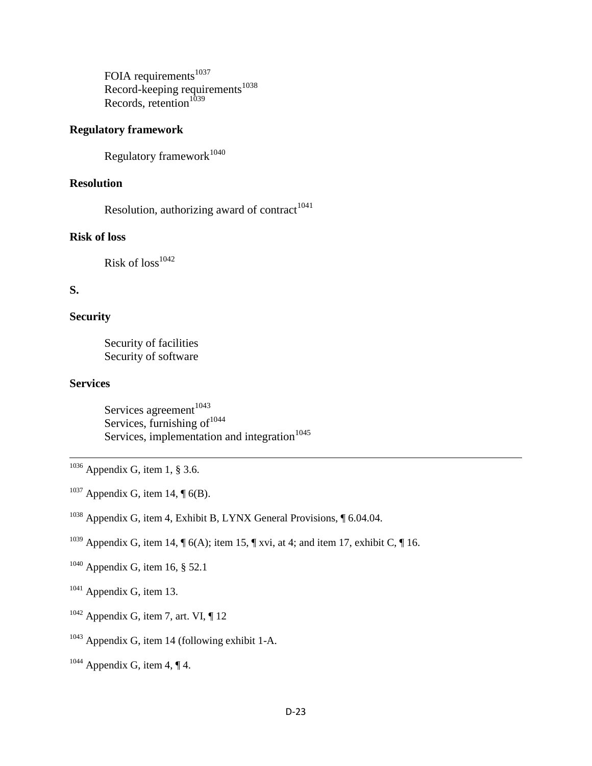FOIA requirements $1037$ Record-keeping requirements<sup>1038</sup> Records, retention $1039$ 

# **Regulatory framework**

Regulatory framework $1040$ 

# **Resolution**

Resolution, authorizing award of contract $1041$ 

# **Risk of loss**

Risk of  $loss^{1042}$ 

### **S.**

#### **Security**

Security of facilities Security of software

## **Services**

l

Services agreement $1043$ Services, furnishing of $1044$ Services, implementation and integration $1045$ 

- $1036$  Appendix G, item 1, § 3.6.
- <sup>1037</sup> Appendix G, item 14,  $\P$  6(B).
- <sup>1038</sup> Appendix G, item 4, Exhibit B, LYNX General Provisions, ¶ 6.04.04.
- <sup>1039</sup> Appendix G, item 14,  $\P$  6(A); item 15,  $\P$  xvi, at 4; and item 17, exhibit C,  $\P$  16.
- <sup>1040</sup> Appendix G, item 16, § 52.1
- $1041$  Appendix G, item 13.
- $1042$  Appendix G, item 7, art. VI,  $\P$  12
- <sup>1043</sup> Appendix G, item 14 (following exhibit 1-A.
- $1044$  Appendix G, item 4, ¶ 4.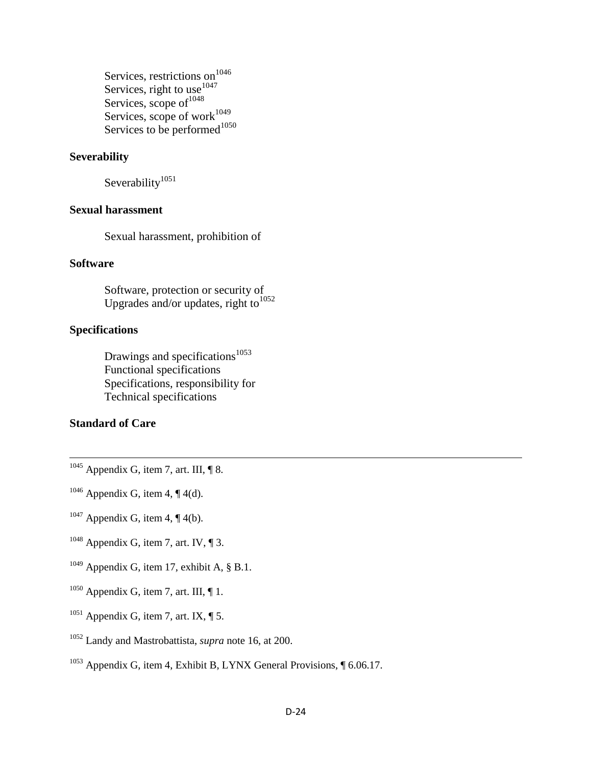Services, restrictions on<sup>1046</sup> Services, right to use $1047$ Services, scope of  $1048$ Services, scope of work<sup>1049</sup> Services to be performed $1050$ 

#### **Severability**

Severability<sup>1051</sup>

#### **Sexual harassment**

Sexual harassment, prohibition of

#### **Software**

Software, protection or security of Upgrades and/or updates, right to $^{1052}$ 

## **Specifications**

Drawings and specifications<sup>1053</sup> Functional specifications Specifications, responsibility for Technical specifications

### **Standard of Care**

l

- $1045$  Appendix G, item 7, art. III, ¶ 8.
- <sup>1046</sup> Appendix G, item 4,  $\P$  4(d).
- $1047$  Appendix G, item 4, ¶ 4(b).
- <sup>1048</sup> Appendix G, item 7, art. IV,  $\P$  3.
- <sup>1049</sup> Appendix G, item 17, exhibit A,  $\S$  B.1.
- $1050$  Appendix G, item 7, art. III,  $\P$  1.
- $1051$  Appendix G, item 7, art. IX,  $\P$  5.
- <sup>1052</sup> Landy and Mastrobattista, *supra* note 16, at 200.
- <sup>1053</sup> Appendix G, item 4, Exhibit B, LYNX General Provisions, ¶ 6.06.17.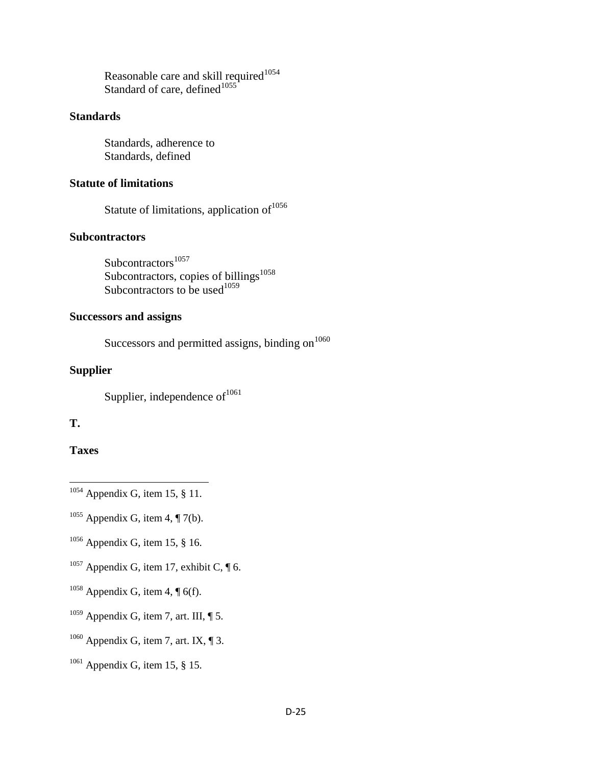Reasonable care and skill required $1054$ Standard of care, defined $1055$ 

# **Standards**

Standards, adherence to Standards, defined

### **Statute of limitations**

Statute of limitations, application of  $1056$ 

# **Subcontractors**

Subcontractors<sup>1057</sup> Subcontractors, copies of billings $^{1058}$ Subcontractors to be used $1059$ 

#### **Successors and assigns**

Successors and permitted assigns, binding on $1060$ 

#### **Supplier**

Supplier, independence of  $1061$ 

# **T.**

### **Taxes**

- $\overline{\phantom{a}}$  $1054$  Appendix G, item 15, § 11.
- <sup>1055</sup> Appendix G, item 4,  $\P$  7(b).
- $1056$  Appendix G, item 15, § 16.
- <sup>1057</sup> Appendix G, item 17, exhibit C,  $\P$  6.
- <sup>1058</sup> Appendix G, item 4,  $\P$  6(f).
- $1059$  Appendix G, item 7, art. III,  $\P$  5.
- <sup>1060</sup> Appendix G, item 7, art. IX,  $\P$  3.
- $1061$  Appendix G, item 15, § 15.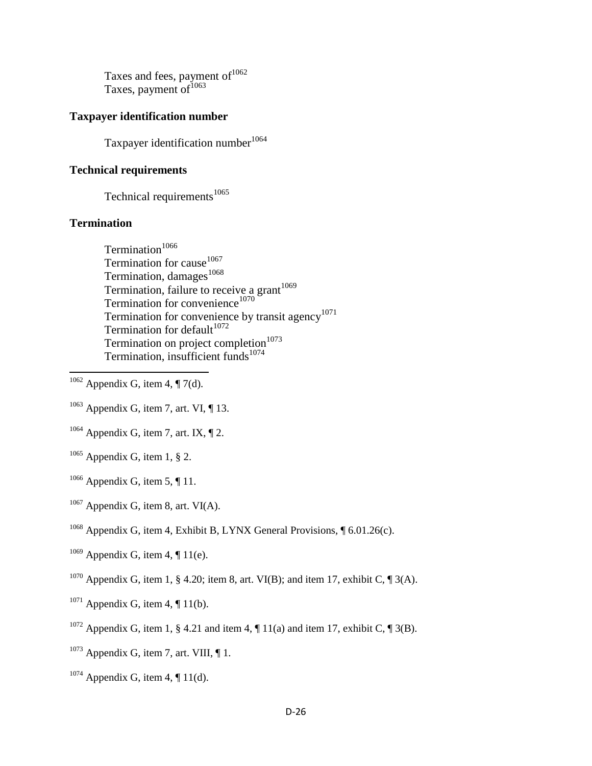Taxes and fees, payment of  $1062$ Taxes, payment of $1063$ 

### **Taxpayer identification number**

Taxpayer identification number<sup>1064</sup>

### **Technical requirements**

Technical requirements $1065$ 

### **Termination**

 $\overline{a}$ 

- $\mathrm{Termination^{1066}}$ Termination for cause  $1067$ Termination, damages<sup>1068</sup> Termination, failure to receive a grant<sup>1069</sup> Termination for convenience<sup>1070</sup> Termination for convenience by transit agency<sup>1071</sup> Termination for default $1072$ Termination on project completion $1073$ Termination, insufficient funds $1074$
- $1062$  Appendix G, item 4, ¶ 7(d).
- $1063$  Appendix G, item 7, art. VI, ¶ 13.
- $1064$  Appendix G, item 7, art. IX, ¶ 2.
- $1065$  Appendix G, item 1, § 2.
- $1066$  Appendix G, item 5, ¶ 11.
- $1067$  Appendix G, item 8, art. VI(A).
- <sup>1068</sup> Appendix G, item 4, Exhibit B, LYNX General Provisions,  $\oint$  6.01.26(c).
- <sup>1069</sup> Appendix G, item 4,  $\P$  11(e).
- <sup>1070</sup> Appendix G, item 1, § 4.20; item 8, art. VI(B); and item 17, exhibit C,  $\P$  3(A).
- $1071$  Appendix G, item 4,  $\P$  11(b).
- <sup>1072</sup> Appendix G, item 1, § 4.21 and item 4,  $\P$  11(a) and item 17, exhibit C,  $\P$  3(B).
- $1073$  Appendix G, item 7, art. VIII,  $\P$  1.
- <sup>1074</sup> Appendix G, item 4,  $\P$  11(d).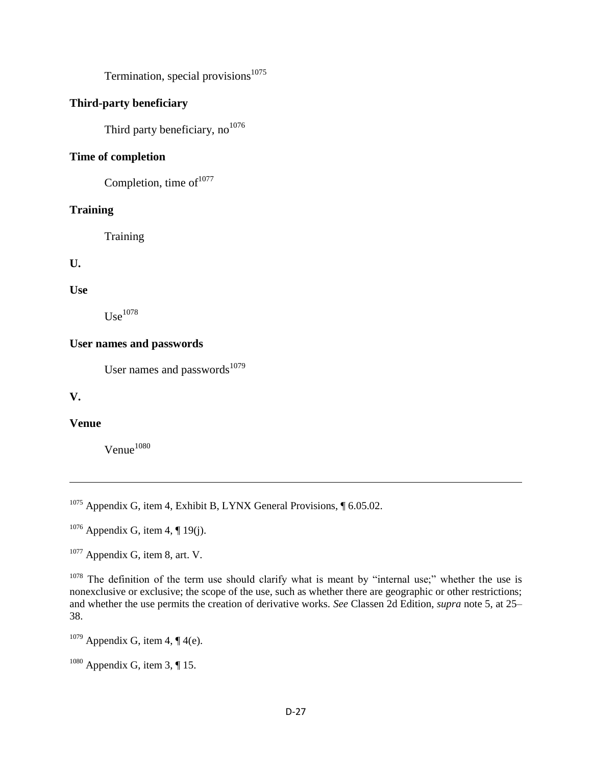Termination, special provisions $1075$ 

# **Third-party beneficiary**

Third party beneficiary,  $no^{1076}$ 

### **Time of completion**

Completion, time of  $1077$ 

## **Training**

**Training** 

**U.**

**Use**

 $\mathrm{Use}^{1078}$ 

#### **User names and passwords**

User names and passwords<sup>1079</sup>

**V.**

 $\overline{\phantom{a}}$ 

### **Venue**

 $V$ enue $^{1080}$ 

<sup>1075</sup> Appendix G, item 4, Exhibit B, LYNX General Provisions,  $\sqrt{6.05.02}$ .

 $1076$  Appendix G, item 4, ¶ 19(j).

 $1077$  Appendix G, item 8, art. V.

 $1078$  The definition of the term use should clarify what is meant by "internal use;" whether the use is nonexclusive or exclusive; the scope of the use, such as whether there are geographic or other restrictions; and whether the use permits the creation of derivative works. *See* Classen 2d Edition, *supra* note 5, at 25– 38.

<sup>1079</sup> Appendix G, item 4,  $\P$  4(e).

 $1080$  Appendix G, item 3, ¶ 15.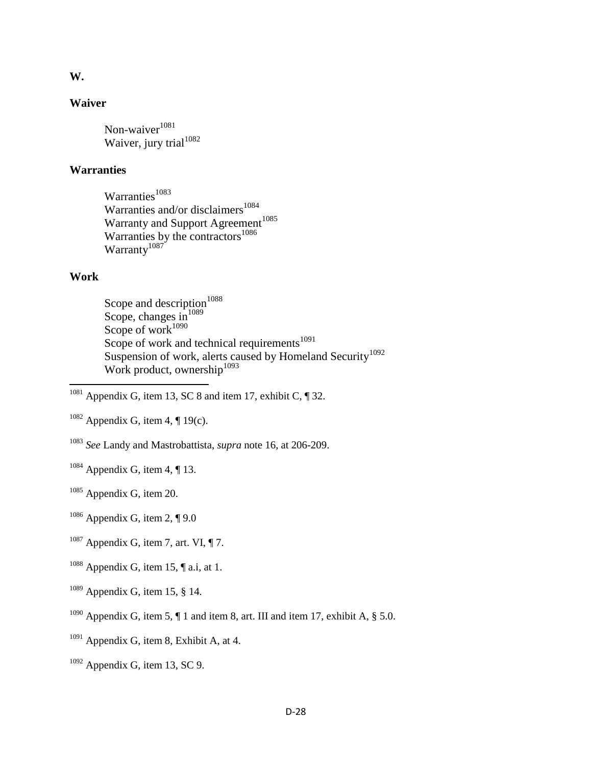#### **W.**

#### **Waiver**

Non-waiver $1081$ Waiver, jury trial<sup>1082</sup>

#### **Warranties**

Warranties<sup>1083</sup> Warranties and/or disclaimers $1084$ Warranty and Support Agreement<sup>1085</sup> Warranties by the contractors $^{1086}$ Warranty<sup>1087</sup>

#### **Work**

 $\overline{\phantom{a}}$ 

Scope and description<sup>1088</sup> Scope, changes  $\sin^{1089}$ Scope of work $1090$ Scope of work and technical requirements $1091$ Suspension of work, alerts caused by Homeland Security<sup>1092</sup> Work product, ownership $1093$ 

- $1084$  Appendix G, item 4, ¶ 13.
- <sup>1085</sup> Appendix G, item 20.
- $1086$  Appendix G, item 2, ¶ 9.0
- $1087$  Appendix G, item 7, art. VI,  $\P$  7.
- $1088$  Appendix G, item 15, ¶ a.i, at 1.
- $1089$  Appendix G, item 15, § 14.
- <sup>1090</sup> Appendix G, item 5,  $\P$  1 and item 8, art. III and item 17, exhibit A,  $\S$  5.0.
- $1091$  Appendix G, item 8, Exhibit A, at 4.
- $1092$  Appendix G, item 13, SC 9.

 $1081$  Appendix G, item 13, SC 8 and item 17, exhibit C,  $\parallel$  32.

<sup>&</sup>lt;sup>1082</sup> Appendix G, item 4,  $\P$  19(c).

<sup>1083</sup> *See* Landy and Mastrobattista, *supra* note 16, at 206-209.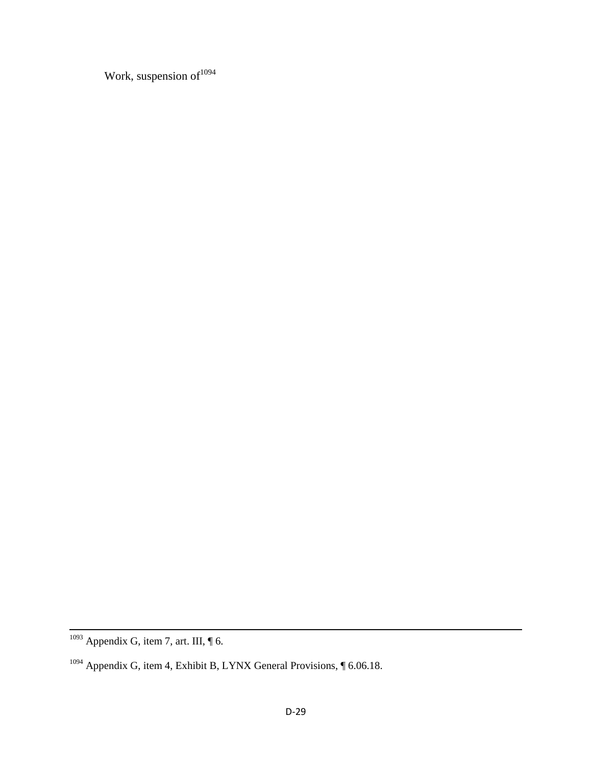Work, suspension of  $1094$ 

 $\overline{\phantom{a}}$ 

 $1093$  Appendix G, item 7, art. III,  $\P$  6.

<sup>&</sup>lt;sup>1094</sup> Appendix G, item 4, Exhibit B, LYNX General Provisions, ¶ 6.06.18.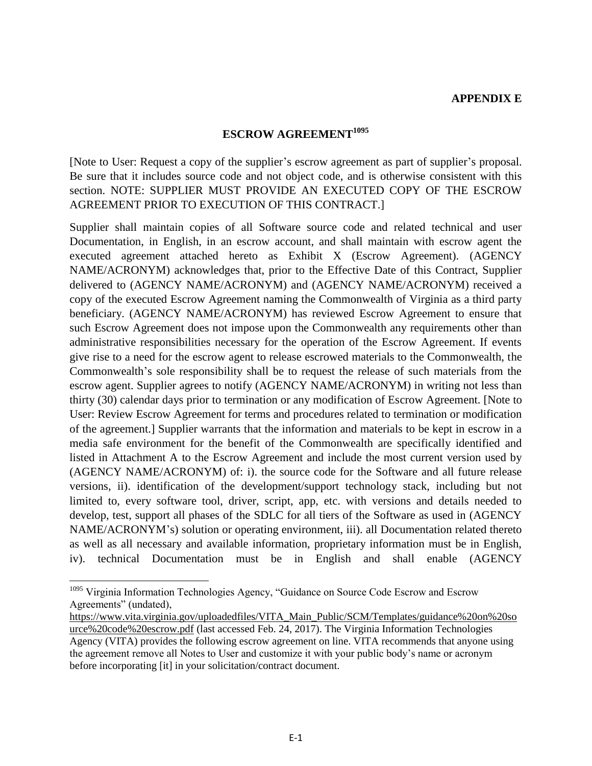#### **APPENDIX E**

## **ESCROW AGREEMENT<sup>1095</sup>**

[Note to User: Request a copy of the supplier's escrow agreement as part of supplier's proposal. Be sure that it includes source code and not object code, and is otherwise consistent with this section. NOTE: SUPPLIER MUST PROVIDE AN EXECUTED COPY OF THE ESCROW AGREEMENT PRIOR TO EXECUTION OF THIS CONTRACT.]

Supplier shall maintain copies of all Software source code and related technical and user Documentation, in English, in an escrow account, and shall maintain with escrow agent the executed agreement attached hereto as Exhibit X (Escrow Agreement). (AGENCY NAME/ACRONYM) acknowledges that, prior to the Effective Date of this Contract, Supplier delivered to (AGENCY NAME/ACRONYM) and (AGENCY NAME/ACRONYM) received a copy of the executed Escrow Agreement naming the Commonwealth of Virginia as a third party beneficiary. (AGENCY NAME/ACRONYM) has reviewed Escrow Agreement to ensure that such Escrow Agreement does not impose upon the Commonwealth any requirements other than administrative responsibilities necessary for the operation of the Escrow Agreement. If events give rise to a need for the escrow agent to release escrowed materials to the Commonwealth, the Commonwealth's sole responsibility shall be to request the release of such materials from the escrow agent. Supplier agrees to notify (AGENCY NAME/ACRONYM) in writing not less than thirty (30) calendar days prior to termination or any modification of Escrow Agreement. [Note to User: Review Escrow Agreement for terms and procedures related to termination or modification of the agreement.] Supplier warrants that the information and materials to be kept in escrow in a media safe environment for the benefit of the Commonwealth are specifically identified and listed in Attachment A to the Escrow Agreement and include the most current version used by (AGENCY NAME/ACRONYM) of: i). the source code for the Software and all future release versions, ii). identification of the development/support technology stack, including but not limited to, every software tool, driver, script, app, etc. with versions and details needed to develop, test, support all phases of the SDLC for all tiers of the Software as used in (AGENCY NAME/ACRONYM's) solution or operating environment, iii). all Documentation related thereto as well as all necessary and available information, proprietary information must be in English, iv). technical Documentation must be in English and shall enable (AGENCY

 $\overline{\phantom{a}}$ 

<sup>&</sup>lt;sup>1095</sup> Virginia Information Technologies Agency, "Guidance on Source Code Escrow and Escrow Agreements" (undated),

[https://www.vita.virginia.gov/uploadedfiles/VITA\\_Main\\_Public/SCM/Templates/guidance%20on%20so](https://www.vita.virginia.gov/uploadedfiles/VITA_Main_Public/SCM/Templates/guidance%20on%20source%20code%20escrow.pdf) [urce%20code%20escrow.pdf](https://www.vita.virginia.gov/uploadedfiles/VITA_Main_Public/SCM/Templates/guidance%20on%20source%20code%20escrow.pdf) (last accessed Feb. 24, 2017). The Virginia Information Technologies Agency (VITA) provides the following escrow agreement on line. VITA recommends that anyone using the agreement remove all Notes to User and customize it with your public body's name or acronym before incorporating [it] in your solicitation/contract document.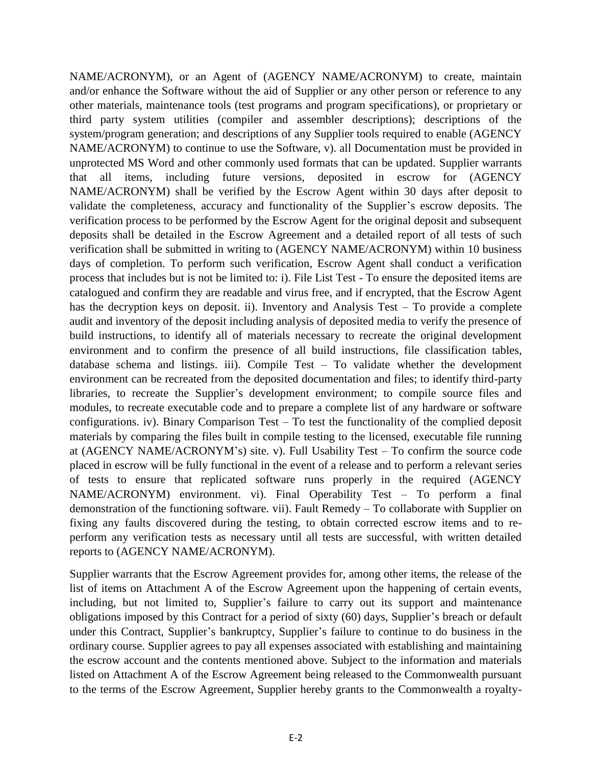NAME/ACRONYM), or an Agent of (AGENCY NAME/ACRONYM) to create, maintain and/or enhance the Software without the aid of Supplier or any other person or reference to any other materials, maintenance tools (test programs and program specifications), or proprietary or third party system utilities (compiler and assembler descriptions); descriptions of the system/program generation; and descriptions of any Supplier tools required to enable (AGENCY NAME/ACRONYM) to continue to use the Software, v). all Documentation must be provided in unprotected MS Word and other commonly used formats that can be updated. Supplier warrants that all items, including future versions, deposited in escrow for (AGENCY NAME/ACRONYM) shall be verified by the Escrow Agent within 30 days after deposit to validate the completeness, accuracy and functionality of the Supplier's escrow deposits. The verification process to be performed by the Escrow Agent for the original deposit and subsequent deposits shall be detailed in the Escrow Agreement and a detailed report of all tests of such verification shall be submitted in writing to (AGENCY NAME/ACRONYM) within 10 business days of completion. To perform such verification, Escrow Agent shall conduct a verification process that includes but is not be limited to: i). File List Test - To ensure the deposited items are catalogued and confirm they are readable and virus free, and if encrypted, that the Escrow Agent has the decryption keys on deposit. ii). Inventory and Analysis Test – To provide a complete audit and inventory of the deposit including analysis of deposited media to verify the presence of build instructions, to identify all of materials necessary to recreate the original development environment and to confirm the presence of all build instructions, file classification tables, database schema and listings. iii). Compile Test – To validate whether the development environment can be recreated from the deposited documentation and files; to identify third-party libraries, to recreate the Supplier's development environment; to compile source files and modules, to recreate executable code and to prepare a complete list of any hardware or software configurations. iv). Binary Comparison Test – To test the functionality of the complied deposit materials by comparing the files built in compile testing to the licensed, executable file running at (AGENCY NAME/ACRONYM's) site. v). Full Usability Test – To confirm the source code placed in escrow will be fully functional in the event of a release and to perform a relevant series of tests to ensure that replicated software runs properly in the required (AGENCY NAME/ACRONYM) environment. vi). Final Operability Test – To perform a final demonstration of the functioning software. vii). Fault Remedy – To collaborate with Supplier on fixing any faults discovered during the testing, to obtain corrected escrow items and to reperform any verification tests as necessary until all tests are successful, with written detailed reports to (AGENCY NAME/ACRONYM).

Supplier warrants that the Escrow Agreement provides for, among other items, the release of the list of items on Attachment A of the Escrow Agreement upon the happening of certain events, including, but not limited to, Supplier's failure to carry out its support and maintenance obligations imposed by this Contract for a period of sixty (60) days, Supplier's breach or default under this Contract, Supplier's bankruptcy, Supplier's failure to continue to do business in the ordinary course. Supplier agrees to pay all expenses associated with establishing and maintaining the escrow account and the contents mentioned above. Subject to the information and materials listed on Attachment A of the Escrow Agreement being released to the Commonwealth pursuant to the terms of the Escrow Agreement, Supplier hereby grants to the Commonwealth a royalty-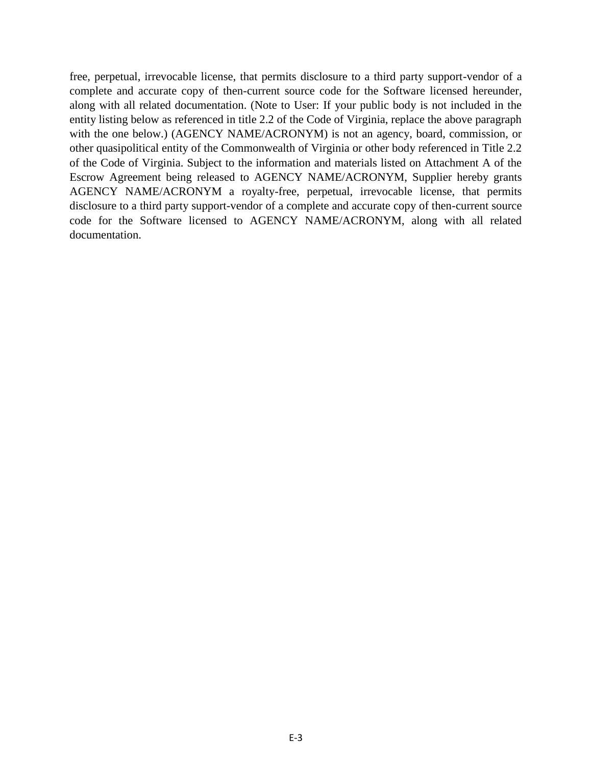free, perpetual, irrevocable license, that permits disclosure to a third party support-vendor of a complete and accurate copy of then-current source code for the Software licensed hereunder, along with all related documentation. (Note to User: If your public body is not included in the entity listing below as referenced in title 2.2 of the Code of Virginia, replace the above paragraph with the one below.) (AGENCY NAME/ACRONYM) is not an agency, board, commission, or other quasipolitical entity of the Commonwealth of Virginia or other body referenced in Title 2.2 of the Code of Virginia. Subject to the information and materials listed on Attachment A of the Escrow Agreement being released to AGENCY NAME/ACRONYM, Supplier hereby grants AGENCY NAME/ACRONYM a royalty-free, perpetual, irrevocable license, that permits disclosure to a third party support-vendor of a complete and accurate copy of then-current source code for the Software licensed to AGENCY NAME/ACRONYM, along with all related documentation.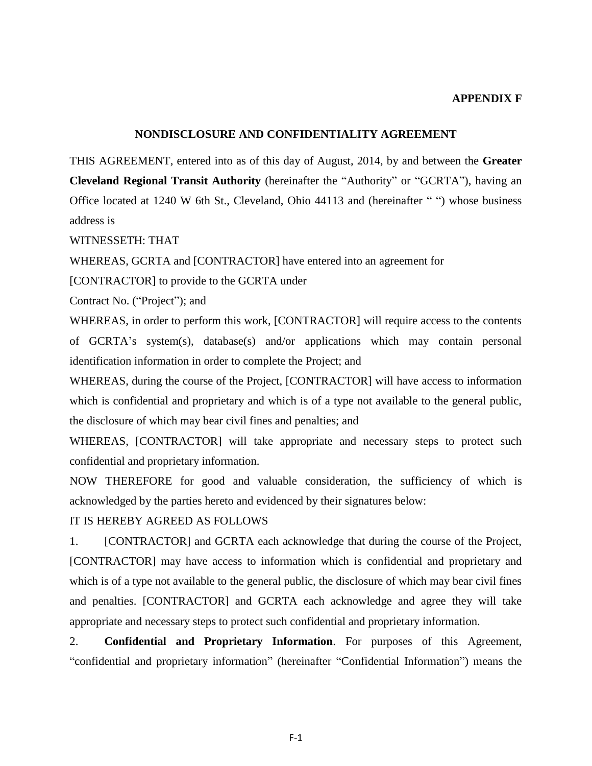#### **APPENDIX F**

#### **NONDISCLOSURE AND CONFIDENTIALITY AGREEMENT**

THIS AGREEMENT, entered into as of this day of August, 2014, by and between the **Greater Cleveland Regional Transit Authority** (hereinafter the "Authority" or "GCRTA"), having an Office located at 1240 W 6th St., Cleveland, Ohio 44113 and (hereinafter " ") whose business address is

WITNESSETH: THAT

WHEREAS, GCRTA and [CONTRACTOR] have entered into an agreement for

[CONTRACTOR] to provide to the GCRTA under

Contract No. ("Project"); and

WHEREAS, in order to perform this work, [CONTRACTOR] will require access to the contents of GCRTA's system(s), database(s) and/or applications which may contain personal identification information in order to complete the Project; and

WHEREAS, during the course of the Project, [CONTRACTOR] will have access to information which is confidential and proprietary and which is of a type not available to the general public, the disclosure of which may bear civil fines and penalties; and

WHEREAS, [CONTRACTOR] will take appropriate and necessary steps to protect such confidential and proprietary information.

NOW THEREFORE for good and valuable consideration, the sufficiency of which is acknowledged by the parties hereto and evidenced by their signatures below:

### IT IS HEREBY AGREED AS FOLLOWS

1. [CONTRACTOR] and GCRTA each acknowledge that during the course of the Project, [CONTRACTOR] may have access to information which is confidential and proprietary and which is of a type not available to the general public, the disclosure of which may bear civil fines and penalties. [CONTRACTOR] and GCRTA each acknowledge and agree they will take appropriate and necessary steps to protect such confidential and proprietary information.

2. **Confidential and Proprietary Information**. For purposes of this Agreement, "confidential and proprietary information" (hereinafter "Confidential Information") means the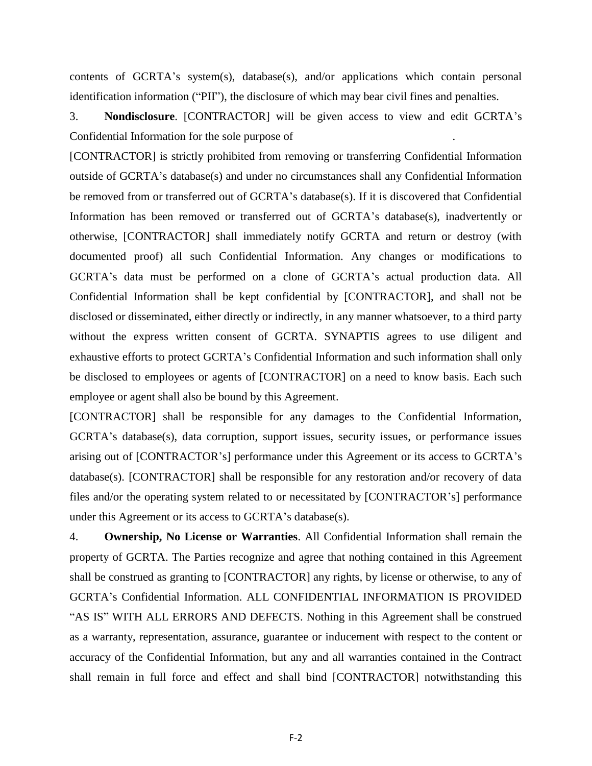contents of GCRTA's system(s), database(s), and/or applications which contain personal identification information ("PII"), the disclosure of which may bear civil fines and penalties.

3. **Nondisclosure**. [CONTRACTOR] will be given access to view and edit GCRTA's Confidential Information for the sole purpose of .

[CONTRACTOR] is strictly prohibited from removing or transferring Confidential Information outside of GCRTA's database(s) and under no circumstances shall any Confidential Information be removed from or transferred out of GCRTA's database(s). If it is discovered that Confidential Information has been removed or transferred out of GCRTA's database(s), inadvertently or otherwise, [CONTRACTOR] shall immediately notify GCRTA and return or destroy (with documented proof) all such Confidential Information. Any changes or modifications to GCRTA's data must be performed on a clone of GCRTA's actual production data. All Confidential Information shall be kept confidential by [CONTRACTOR], and shall not be disclosed or disseminated, either directly or indirectly, in any manner whatsoever, to a third party without the express written consent of GCRTA. SYNAPTIS agrees to use diligent and exhaustive efforts to protect GCRTA's Confidential Information and such information shall only be disclosed to employees or agents of [CONTRACTOR] on a need to know basis. Each such employee or agent shall also be bound by this Agreement.

[CONTRACTOR] shall be responsible for any damages to the Confidential Information, GCRTA's database(s), data corruption, support issues, security issues, or performance issues arising out of [CONTRACTOR's] performance under this Agreement or its access to GCRTA's database(s).  $[CONTRACTOR]$  shall be responsible for any restoration and/or recovery of data files and/or the operating system related to or necessitated by [CONTRACTOR's] performance under this Agreement or its access to GCRTA's database(s).

4. **Ownership, No License or Warranties**. All Confidential Information shall remain the property of GCRTA. The Parties recognize and agree that nothing contained in this Agreement shall be construed as granting to [CONTRACTOR] any rights, by license or otherwise, to any of GCRTA's Confidential Information. ALL CONFIDENTIAL INFORMATION IS PROVIDED "AS IS" WITH ALL ERRORS AND DEFECTS. Nothing in this Agreement shall be construed as a warranty, representation, assurance, guarantee or inducement with respect to the content or accuracy of the Confidential Information, but any and all warranties contained in the Contract shall remain in full force and effect and shall bind [CONTRACTOR] notwithstanding this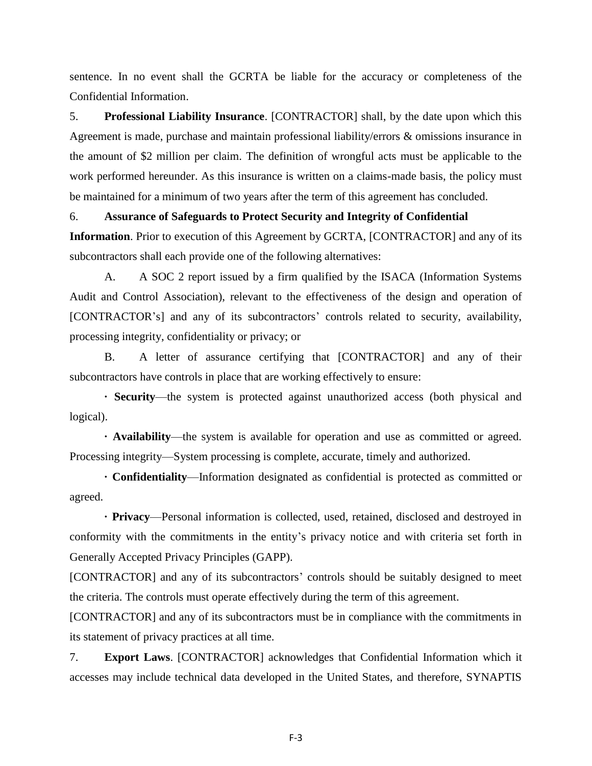sentence. In no event shall the GCRTA be liable for the accuracy or completeness of the Confidential Information.

5. **Professional Liability Insurance**. [CONTRACTOR] shall, by the date upon which this Agreement is made, purchase and maintain professional liability/errors & omissions insurance in the amount of \$2 million per claim. The definition of wrongful acts must be applicable to the work performed hereunder. As this insurance is written on a claims-made basis, the policy must be maintained for a minimum of two years after the term of this agreement has concluded.

#### 6. **Assurance of Safeguards to Protect Security and Integrity of Confidential**

**Information**. Prior to execution of this Agreement by GCRTA, [CONTRACTOR] and any of its subcontractors shall each provide one of the following alternatives:

A. A SOC 2 report issued by a firm qualified by the ISACA (Information Systems Audit and Control Association), relevant to the effectiveness of the design and operation of [CONTRACTOR's] and any of its subcontractors' controls related to security, availability, processing integrity, confidentiality or privacy; or

B. A letter of assurance certifying that [CONTRACTOR] and any of their subcontractors have controls in place that are working effectively to ensure:

**· Security**—the system is protected against unauthorized access (both physical and logical).

**· Availability**—the system is available for operation and use as committed or agreed. Processing integrity—System processing is complete, accurate, timely and authorized.

**· Confidentiality**—Information designated as confidential is protected as committed or agreed.

**· Privacy**—Personal information is collected, used, retained, disclosed and destroyed in conformity with the commitments in the entity's privacy notice and with criteria set forth in Generally Accepted Privacy Principles (GAPP).

[CONTRACTOR] and any of its subcontractors' controls should be suitably designed to meet the criteria. The controls must operate effectively during the term of this agreement.

[CONTRACTOR] and any of its subcontractors must be in compliance with the commitments in its statement of privacy practices at all time.

7. **Export Laws**. [CONTRACTOR] acknowledges that Confidential Information which it accesses may include technical data developed in the United States, and therefore, SYNAPTIS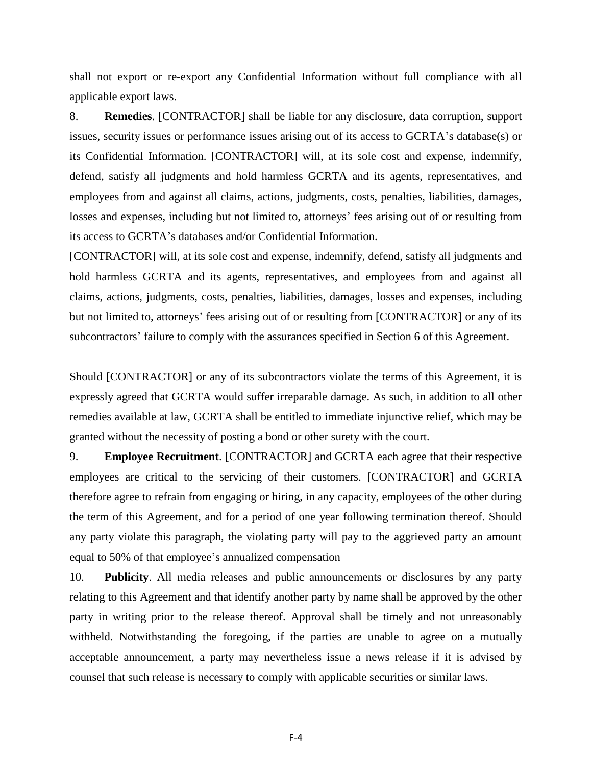shall not export or re-export any Confidential Information without full compliance with all applicable export laws.

8. **Remedies**. [CONTRACTOR] shall be liable for any disclosure, data corruption, support issues, security issues or performance issues arising out of its access to GCRTA's database(s) or its Confidential Information. [CONTRACTOR] will, at its sole cost and expense, indemnify, defend, satisfy all judgments and hold harmless GCRTA and its agents, representatives, and employees from and against all claims, actions, judgments, costs, penalties, liabilities, damages, losses and expenses, including but not limited to, attorneys' fees arising out of or resulting from its access to GCRTA's databases and/or Confidential Information.

[CONTRACTOR] will, at its sole cost and expense, indemnify, defend, satisfy all judgments and hold harmless GCRTA and its agents, representatives, and employees from and against all claims, actions, judgments, costs, penalties, liabilities, damages, losses and expenses, including but not limited to, attorneys' fees arising out of or resulting from [CONTRACTOR] or any of its subcontractors' failure to comply with the assurances specified in Section 6 of this Agreement.

Should [CONTRACTOR] or any of its subcontractors violate the terms of this Agreement, it is expressly agreed that GCRTA would suffer irreparable damage. As such, in addition to all other remedies available at law, GCRTA shall be entitled to immediate injunctive relief, which may be granted without the necessity of posting a bond or other surety with the court.

9. **Employee Recruitment**. [CONTRACTOR] and GCRTA each agree that their respective employees are critical to the servicing of their customers. [CONTRACTOR] and GCRTA therefore agree to refrain from engaging or hiring, in any capacity, employees of the other during the term of this Agreement, and for a period of one year following termination thereof. Should any party violate this paragraph, the violating party will pay to the aggrieved party an amount equal to 50% of that employee's annualized compensation

10. **Publicity**. All media releases and public announcements or disclosures by any party relating to this Agreement and that identify another party by name shall be approved by the other party in writing prior to the release thereof. Approval shall be timely and not unreasonably withheld. Notwithstanding the foregoing, if the parties are unable to agree on a mutually acceptable announcement, a party may nevertheless issue a news release if it is advised by counsel that such release is necessary to comply with applicable securities or similar laws.

F-4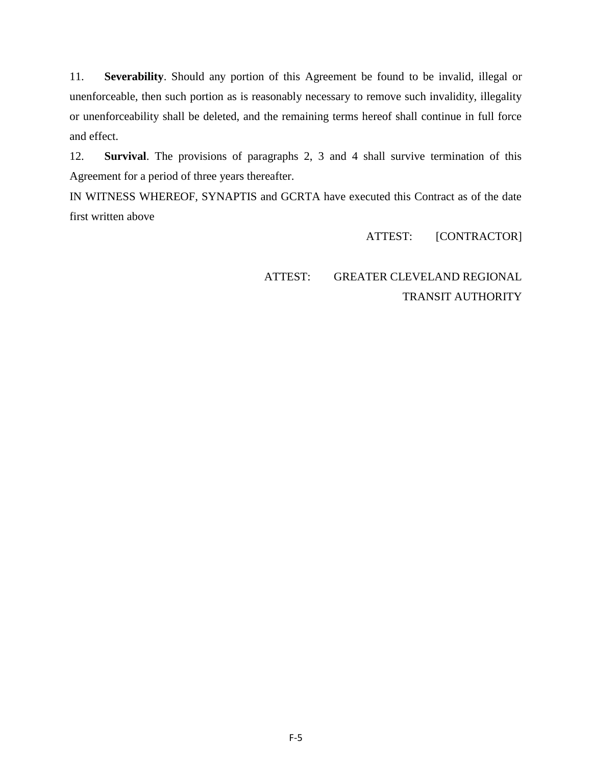11. **Severability**. Should any portion of this Agreement be found to be invalid, illegal or unenforceable, then such portion as is reasonably necessary to remove such invalidity, illegality or unenforceability shall be deleted, and the remaining terms hereof shall continue in full force and effect.

12. **Survival**. The provisions of paragraphs 2, 3 and 4 shall survive termination of this Agreement for a period of three years thereafter.

IN WITNESS WHEREOF, SYNAPTIS and GCRTA have executed this Contract as of the date first written above

ATTEST: [CONTRACTOR]

ATTEST: GREATER CLEVELAND REGIONAL TRANSIT AUTHORITY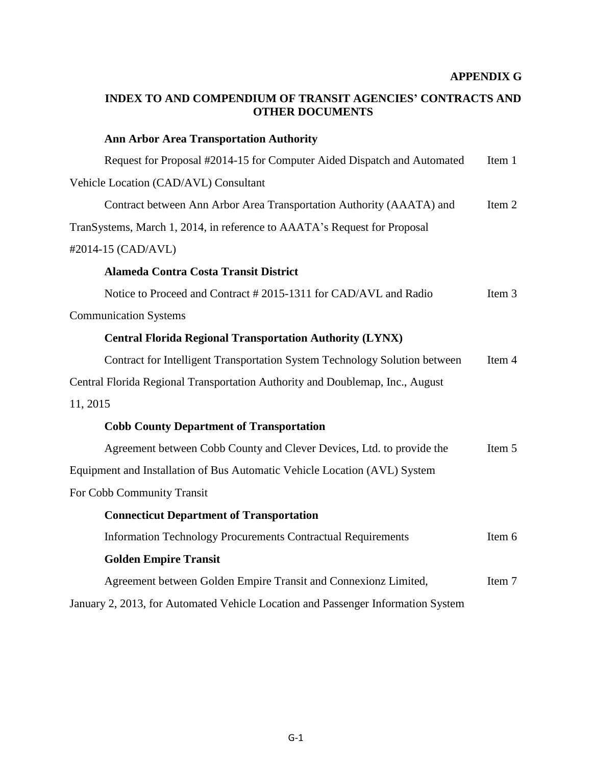# **INDEX TO AND COMPENDIUM OF TRANSIT AGENCIES' CONTRACTS AND OTHER DOCUMENTS**

| <b>Ann Arbor Area Transportation Authority</b>                                   |        |
|----------------------------------------------------------------------------------|--------|
| Request for Proposal #2014-15 for Computer Aided Dispatch and Automated          | Item 1 |
| Vehicle Location (CAD/AVL) Consultant                                            |        |
| Contract between Ann Arbor Area Transportation Authority (AAATA) and             | Item 2 |
| TranSystems, March 1, 2014, in reference to AAATA's Request for Proposal         |        |
| #2014-15 (CAD/AVL)                                                               |        |
| <b>Alameda Contra Costa Transit District</b>                                     |        |
| Notice to Proceed and Contract #2015-1311 for CAD/AVL and Radio                  | Item 3 |
| <b>Communication Systems</b>                                                     |        |
| <b>Central Florida Regional Transportation Authority (LYNX)</b>                  |        |
| Contract for Intelligent Transportation System Technology Solution between       | Item 4 |
| Central Florida Regional Transportation Authority and Doublemap, Inc., August    |        |
| 11, 2015                                                                         |        |
| <b>Cobb County Department of Transportation</b>                                  |        |
| Agreement between Cobb County and Clever Devices, Ltd. to provide the            | Item 5 |
| Equipment and Installation of Bus Automatic Vehicle Location (AVL) System        |        |
| For Cobb Community Transit                                                       |        |
| <b>Connecticut Department of Transportation</b>                                  |        |
| <b>Information Technology Procurements Contractual Requirements</b>              | Item 6 |
| <b>Golden Empire Transit</b>                                                     |        |
| Agreement between Golden Empire Transit and Connexionz Limited,                  | Item 7 |
| January 2, 2013, for Automated Vehicle Location and Passenger Information System |        |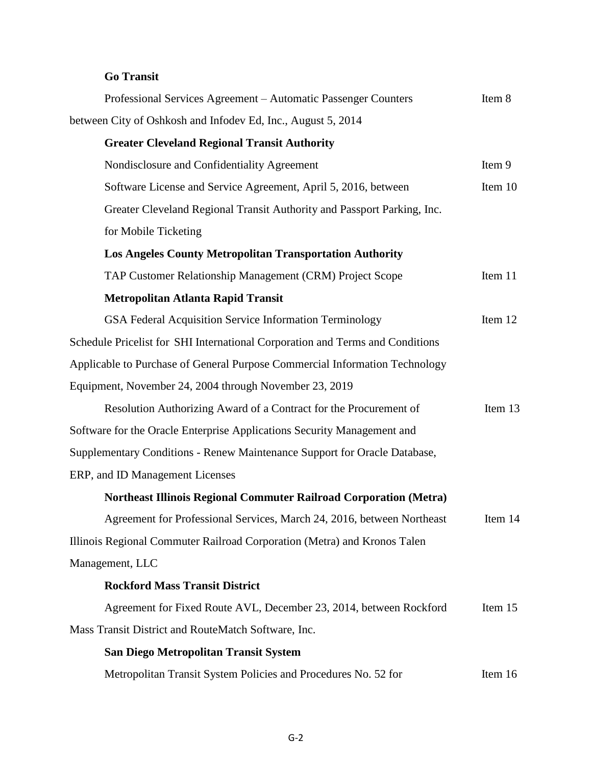# **Go Transit**

| Professional Services Agreement - Automatic Passenger Counters                | Item 8  |
|-------------------------------------------------------------------------------|---------|
| between City of Oshkosh and Infodev Ed, Inc., August 5, 2014                  |         |
| <b>Greater Cleveland Regional Transit Authority</b>                           |         |
| Nondisclosure and Confidentiality Agreement                                   | Item 9  |
| Software License and Service Agreement, April 5, 2016, between                | Item 10 |
| Greater Cleveland Regional Transit Authority and Passport Parking, Inc.       |         |
| for Mobile Ticketing                                                          |         |
| <b>Los Angeles County Metropolitan Transportation Authority</b>               |         |
| TAP Customer Relationship Management (CRM) Project Scope                      | Item 11 |
| <b>Metropolitan Atlanta Rapid Transit</b>                                     |         |
| GSA Federal Acquisition Service Information Terminology                       | Item 12 |
| Schedule Pricelist for SHI International Corporation and Terms and Conditions |         |
| Applicable to Purchase of General Purpose Commercial Information Technology   |         |
| Equipment, November 24, 2004 through November 23, 2019                        |         |
| Resolution Authorizing Award of a Contract for the Procurement of             | Item 13 |
| Software for the Oracle Enterprise Applications Security Management and       |         |
| Supplementary Conditions - Renew Maintenance Support for Oracle Database,     |         |
| ERP, and ID Management Licenses                                               |         |
| <b>Northeast Illinois Regional Commuter Railroad Corporation (Metra)</b>      |         |
| Agreement for Professional Services, March 24, 2016, between Northeast        | Item 14 |
| Illinois Regional Commuter Railroad Corporation (Metra) and Kronos Talen      |         |
| Management, LLC                                                               |         |
| <b>Rockford Mass Transit District</b>                                         |         |
| Agreement for Fixed Route AVL, December 23, 2014, between Rockford            | Item 15 |
| Mass Transit District and RouteMatch Software, Inc.                           |         |
| San Diego Metropolitan Transit System                                         |         |
| Metropolitan Transit System Policies and Procedures No. 52 for                | Item 16 |